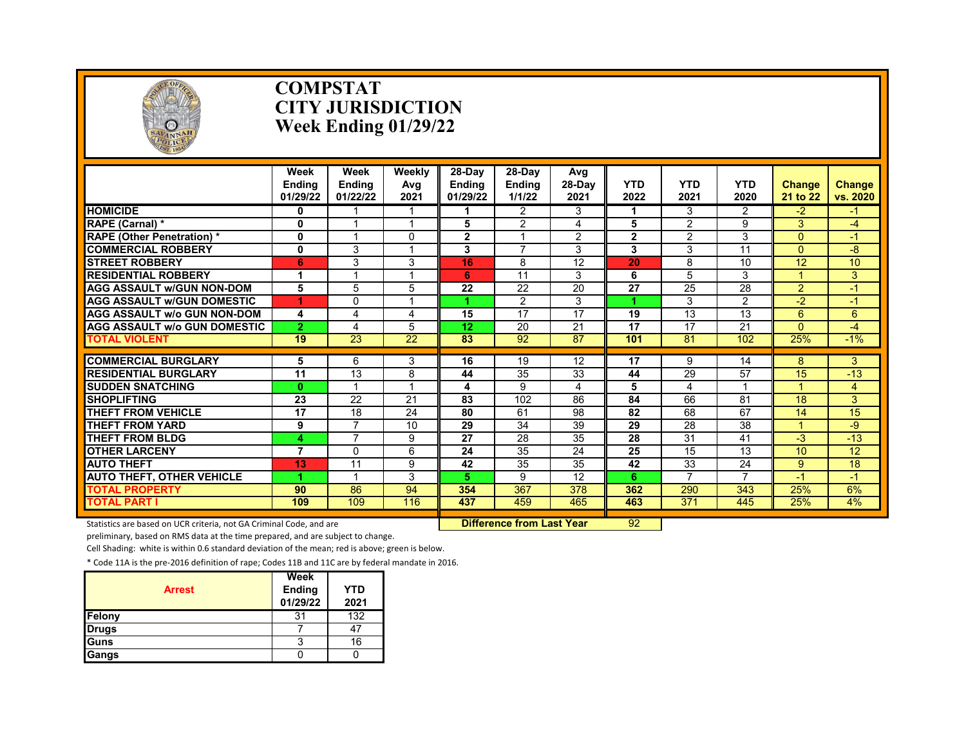

#### **COMPSTAT CITY JURISDICTION Week Ending 01/29/22**

|                                     | Week<br><b>Endina</b><br>01/29/22 | Week<br><b>Endina</b><br>01/22/22 | Weekly<br>Avg<br>2021 | $28-Dav$<br><b>Endina</b><br>01/29/22 | 28-Dav<br><b>Ending</b><br>1/1/22 | Avg<br>28-Day<br>2021 | <b>YTD</b><br>2022 | <b>YTD</b><br>2021 | <b>YTD</b><br>2020 | Change<br>21 to 22 | Change<br>vs. 2020 |
|-------------------------------------|-----------------------------------|-----------------------------------|-----------------------|---------------------------------------|-----------------------------------|-----------------------|--------------------|--------------------|--------------------|--------------------|--------------------|
| <b>HOMICIDE</b>                     | 0                                 |                                   |                       |                                       | 2                                 | 3                     | 1                  | 3                  | $\overline{2}$     | $-2$               | -1                 |
| RAPE (Carnal) *                     | $\mathbf{0}$                      | $\overline{\mathbf{A}}$           |                       | 5                                     | $\mathcal{P}$                     | 4                     | 5                  | $\mathcal{P}$      | 9                  | 3                  | $-4$               |
| <b>RAPE (Other Penetration) *</b>   | $\mathbf 0$                       | -1                                | 0                     | $\mathbf{2}$                          | $\overline{\mathbf{A}}$           | $\overline{2}$        | $\mathbf{2}$       | 2                  | 3                  | $\Omega$           | -1                 |
| <b>COMMERCIAL ROBBERY</b>           | $\mathbf{0}$                      | 3                                 |                       | 3                                     | $\overline{7}$                    | 3                     | 3                  | 3                  | 11                 | $\Omega$           | -8                 |
| <b>STREET ROBBERY</b>               | 6                                 | 3                                 | 3                     | 16                                    | 8                                 | 12                    | 20                 | 8                  | 10                 | 12                 | 10                 |
| <b>RESIDENTIAL ROBBERY</b>          | 1                                 |                                   |                       | 6                                     | 11                                | 3                     | 6                  | 5                  | 3                  |                    | 3                  |
| <b>AGG ASSAULT w/GUN NON-DOM</b>    | 5                                 | 5                                 | 5                     | 22                                    | 22                                | 20                    | 27                 | 25                 | 28                 | $\overline{2}$     | $-1$               |
| <b>AGG ASSAULT w/GUN DOMESTIC</b>   | 4                                 | $\Omega$                          |                       | 4                                     | $\mathcal{P}$                     | 3                     | 4                  | 3                  | $\overline{2}$     | $-2$               | $-1$               |
| <b>AGG ASSAULT w/o GUN NON-DOM</b>  | 4                                 | 4                                 | 4                     | 15                                    | 17                                | 17                    | 19                 | 13                 | 13                 | 6                  | 6                  |
| <b>AGG ASSAULT w/o GUN DOMESTIC</b> | $\overline{2}$                    | $\overline{4}$                    | 5                     | 12                                    | 20                                | 21                    | 17                 | 17                 | 21                 | $\Omega$           | $-4$               |
| <b>TOTAL VIOLENT</b>                | 19                                | $\overline{23}$                   | $\overline{22}$       | 83                                    | $\overline{92}$                   | $\overline{87}$       | 101                | 81                 | 102                | 25%                | $-1\%$             |
|                                     |                                   |                                   |                       |                                       |                                   |                       |                    |                    |                    |                    |                    |
| <b>COMMERCIAL BURGLARY</b>          | 5                                 | 6                                 | 3                     | 16                                    | $\overline{19}$                   | $\overline{12}$       | $\overline{17}$    | 9                  | 14                 | 8                  | 3                  |
| <b>RESIDENTIAL BURGLARY</b>         | 11                                | 13                                | 8                     | 44                                    | 35                                | 33                    | 44                 | 29                 | 57                 | 15                 | $-13$              |
| <b>SUDDEN SNATCHING</b>             | $\mathbf{0}$                      | $\overline{\mathbf{A}}$           |                       | 4                                     | 9                                 | 4                     | 5                  | 4                  |                    |                    | $\overline{4}$     |
| <b>SHOPLIFTING</b>                  | 23                                | 22                                | 21                    | 83                                    | 102                               | 86                    | 84                 | 66                 | 81                 | 18                 | 3                  |
| <b>THEFT FROM VEHICLE</b>           | 17                                | 18                                | 24                    | 80                                    | 61                                | 98                    | 82                 | 68                 | 67                 | 14                 | 15                 |
| <b>THEFT FROM YARD</b>              | 9                                 | 7                                 | 10                    | 29                                    | 34                                | 39                    | 29                 | 28                 | 38                 |                    | -9                 |
| <b>THEFT FROM BLDG</b>              | 4                                 | $\overline{7}$                    | 9                     | 27                                    | 28                                | 35                    | 28                 | 31                 | 41                 | $-3$               | $-13$              |
| <b>OTHER LARCENY</b>                | $\overline{7}$                    | $\Omega$                          | 6                     | 24                                    | 35                                | 24                    | 25                 | 15                 | 13                 | 10 <sup>10</sup>   | 12                 |
| <b>AUTO THEFT</b>                   | 13                                | 11                                | 9                     | 42                                    | 35                                | 35                    | 42                 | 33                 | 24                 | 9                  | 18                 |
| <b>AUTO THEFT, OTHER VEHICLE</b>    | 1                                 | $\overline{\mathbf{A}}$           | 3                     | 5.                                    | 9                                 | 12                    | 6                  | $\overline{7}$     | $\overline{7}$     | $-1$               | $-1$               |
| <b>TOTAL PROPERTY</b>               | 90                                | 86                                | 94                    | 354                                   | 367                               | 378                   | 362                | 290                | 343                | 25%                | 6%                 |
| <b>TOTAL PART I</b>                 | 109                               | 109                               | 116                   | 437                                   | 459                               | 465                   | 463                | 371                | 445                | 25%                | 4%                 |

Statistics are based on UCR criteria, not GA Criminal Code, and are **Difference from Last Year** 92

preliminary, based on RMS data at the time prepared, and are subject to change.

Cell Shading: white is within 0.6 standard deviation of the mean; red is above; green is below.

| <b>Arrest</b> | Week<br><b>Ending</b><br>01/29/22 | <b>YTD</b><br>2021 |
|---------------|-----------------------------------|--------------------|
| Felony        | 31                                | 132                |
| <b>Drugs</b>  |                                   |                    |
| Guns          | ว                                 | 16                 |
| Gangs         |                                   |                    |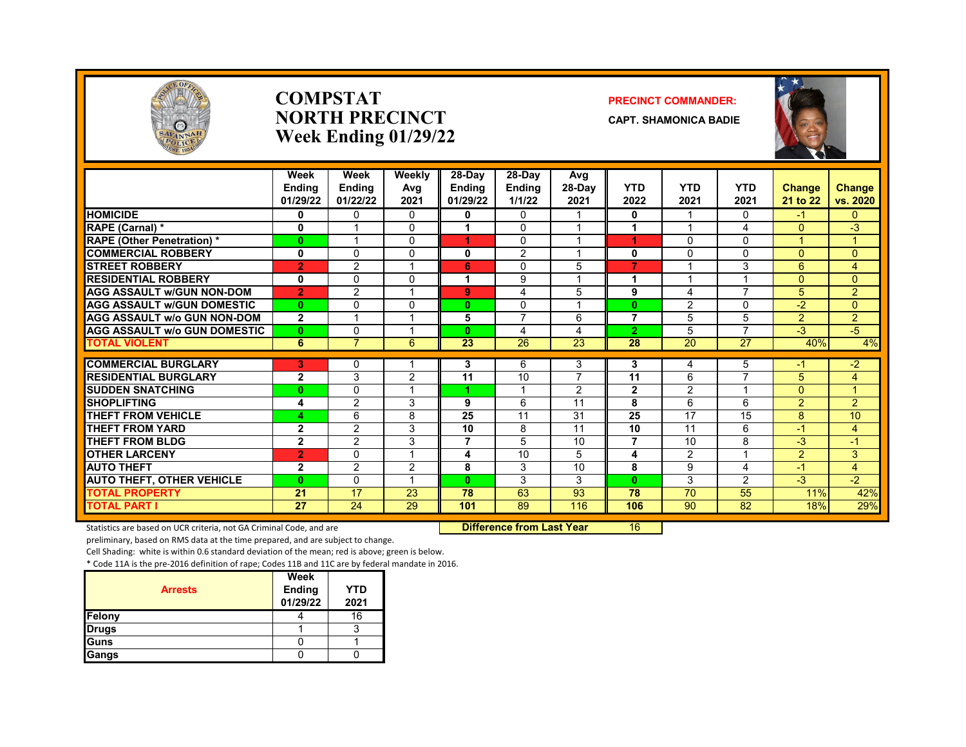

#### **COMPSTAT PRECINCT COMMANDER: NORTH PRECINCT CAPT. SHAMONICA BADIE Week Ending 01/29/22**



|                                     | Week            | Week                    | <b>Weekly</b>  | 28-Day          | 28-Dav          | Avg                     |                |                         |                          |                |                 |
|-------------------------------------|-----------------|-------------------------|----------------|-----------------|-----------------|-------------------------|----------------|-------------------------|--------------------------|----------------|-----------------|
|                                     | <b>Endina</b>   | <b>Ending</b>           | Avg            | <b>Endina</b>   | <b>Ending</b>   | $28-Dav$                | <b>YTD</b>     | <b>YTD</b>              | <b>YTD</b>               | <b>Change</b>  | <b>Change</b>   |
|                                     | 01/29/22        | 01/22/22                | 2021           | 01/29/22        | 1/1/22          | 2021                    | 2022           | 2021                    | 2021                     | 21 to 22       | vs. 2020        |
| <b>HOMICIDE</b>                     | 0               | 0                       | 0              | 0               | $\mathbf{0}$    |                         | 0              |                         | 0                        | -1             | $\overline{0}$  |
| RAPE (Carnal) *                     | $\mathbf{0}$    |                         | $\Omega$       |                 | $\Omega$        |                         |                |                         | 4                        | $\Omega$       | $-3$            |
| <b>RAPE (Other Penetration)*</b>    | $\mathbf{0}$    |                         | $\Omega$       | 4               | 0               | 1                       | 1              | $\Omega$                | $\Omega$                 |                | 4               |
| <b>COMMERCIAL ROBBERY</b>           | $\mathbf{0}$    | $\Omega$                | $\Omega$       | $\mathbf{0}$    | 2               | 1                       | $\mathbf{0}$   | $\Omega$                | $\Omega$                 | $\Omega$       | $\Omega$        |
| <b>STREET ROBBERY</b>               | $\overline{2}$  | 2                       |                | 6               | $\Omega$        | 5                       | 7              |                         | 3                        | 6              | 4               |
| <b>RESIDENTIAL ROBBERY</b>          | 0               | $\Omega$                | $\Omega$       |                 | 9               | $\overline{\mathbf{A}}$ |                | $\overline{\mathbf{A}}$ |                          | $\Omega$       | $\Omega$        |
| <b>AGG ASSAULT W/GUN NON-DOM</b>    | $\overline{2}$  | $\overline{2}$          |                | 9               | 4               | 5                       | 9              | 4                       | 7                        | 5              | $\overline{2}$  |
| <b>AGG ASSAULT W/GUN DOMESTIC</b>   | $\bf{0}$        | $\Omega$                | $\Omega$       | 0               | $\Omega$        | 1                       | $\bf{0}$       | 2                       | $\Omega$                 | $-2$           | $\Omega$        |
| <b>AGG ASSAULT w/o GUN NON-DOM</b>  | $\mathbf{2}$    | $\overline{\mathbf{A}}$ |                | 5               | $\overline{7}$  | 6                       | $\overline{7}$ | 5                       | 5                        | $\overline{2}$ | $\overline{2}$  |
| <b>AGG ASSAULT W/o GUN DOMESTIC</b> | $\bf{0}$        | $\mathbf{0}$            |                | O.              | 4               | 4                       | $\overline{2}$ | 5                       | $\overline{\phantom{a}}$ | $-3$           | $-5$            |
| <b>TOTAL VIOLENT</b>                | 6               | 7                       | 6              | $\overline{23}$ | $\overline{26}$ | $\overline{23}$         | 28             | $\overline{20}$         | $\overline{27}$          | 40%            | 4%              |
| <b>COMMERCIAL BURGLARY</b>          | 3               | 0                       |                | 3               | 6               | 3                       | 3              | 4                       | 5                        | -1             | $-2$            |
| <b>RESIDENTIAL BURGLARY</b>         | $\mathbf{2}$    | 3                       | $\overline{2}$ | 11              | 10              | $\overline{7}$          | 11             | 6                       |                          | 5              | 4               |
| <b>SUDDEN SNATCHING</b>             | $\bf{0}$        | $\mathbf{0}$            |                | A.              |                 | $\overline{2}$          | $\overline{2}$ | $\overline{2}$          |                          | $\Omega$       | 4               |
| <b>SHOPLIFTING</b>                  | 4               | 2                       | 3              | 9               | 6               | 11                      | 8              | 6                       | 6                        | 2              | $\overline{2}$  |
| THEFT FROM VEHICLE                  | 4               | 6                       | 8              | 25              | 11              | 31                      | 25             | 17                      | 15                       | 8              | 10 <sup>1</sup> |
| <b>THEFT FROM YARD</b>              | $\mathbf{2}$    | 2                       | 3              | 10              | 8               | 11                      | 10             | 11                      | 6                        | $-1$           | $\overline{4}$  |
| <b>THEFT FROM BLDG</b>              | $\overline{2}$  | 2                       | 3              | 7               | 5               | 10                      | $\overline{7}$ | 10                      | 8                        | $-3$           | $-1$            |
| <b>OTHER LARCENY</b>                | $\overline{2}$  | $\Omega$                |                | 4               | 10              | 5                       | 4              | 2                       | 1                        | 2              | 3               |
| <b>AUTO THEFT</b>                   | $\mathbf{2}$    | 2                       | $\overline{2}$ | 8               | 3               | 10                      | 8              | 9                       | 4                        | $-1$           | $\overline{4}$  |
| <b>AUTO THEFT, OTHER VEHICLE</b>    | $\bf{0}$        | $\Omega$                |                | O.              | 3               | 3                       | $\mathbf{0}$   | 3                       | 2                        | $-3$           | $-2$            |
| <b>TOTAL PROPERTY</b>               | 21              | 17                      | 23             | 78              | 63              | 93                      | 78             | $\overline{70}$         | 55                       | 11%            | 42%             |
| <b>TOTAL PART I</b>                 | $\overline{27}$ | $\overline{24}$         | 29             | 101             | 89              | 116                     | 106            | 90                      | 82                       | 18%            | 29%             |

Statistics are based on UCR criteria, not GA Criminal Code, and are **Difference from Last Year** 16

preliminary, based on RMS data at the time prepared, and are subject to change.

Cell Shading: white is within 0.6 standard deviation of the mean; red is above; green is below.

| <b>Arrests</b> | Week<br><b>Ending</b><br>01/29/22 | <b>YTD</b><br>2021 |
|----------------|-----------------------------------|--------------------|
| Felony         |                                   | 16                 |
| <b>Drugs</b>   |                                   |                    |
| <b>I</b> Guns  |                                   |                    |
| Gangs          |                                   |                    |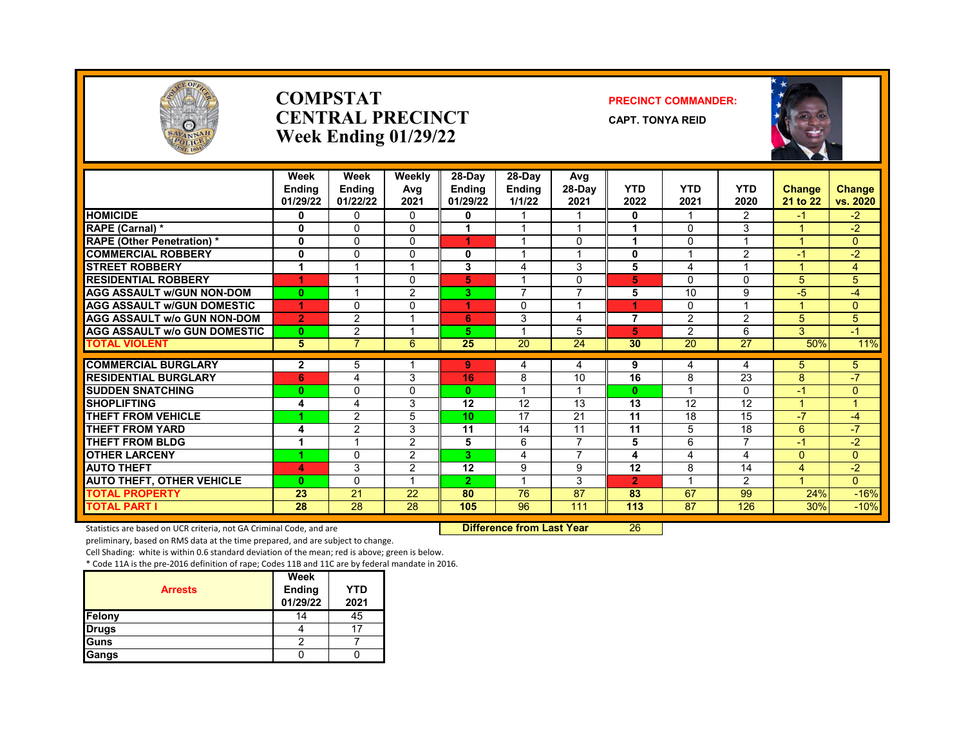

#### **COMPSTAT PRECINCT COMMANDER: CENTRAL PRECINCT** CAPT. TONYA REID **Week Ending 01/29/22**





|                                     | 01/29/22       | 01/22/22       | 2021           | 01/29/22        | 1/1/22 | 2021           | 2022                     | 2021     | 2020           | 21 to 22       | vs. 2020       |
|-------------------------------------|----------------|----------------|----------------|-----------------|--------|----------------|--------------------------|----------|----------------|----------------|----------------|
| <b>HOMICIDE</b>                     | 0              | 0              | $\Omega$       | 0               |        |                | 0                        |          | $\overline{2}$ | -1             | $-2$           |
| <b>RAPE (Carnal) *</b>              | 0              | $\Omega$       | $\Omega$       |                 |        |                |                          | $\Omega$ | 3              |                | $-2$           |
| <b>RAPE (Other Penetration) *</b>   | 0              | $\Omega$       | $\Omega$       |                 |        | $\Omega$       |                          | 0        |                |                | $\mathbf{0}$   |
| <b>COMMERCIAL ROBBERY</b>           | 0              | 0              | $\Omega$       | 0               |        |                | 0                        |          | 2              | $-1$           | $-2$           |
| <b>STREET ROBBERY</b>               |                |                |                | 3               | 4      | 3              | 5                        | 4        |                |                | $\overline{4}$ |
| <b>RESIDENTIAL ROBBERY</b>          |                |                | $\Omega$       | 5               |        | 0              | 5                        | $\Omega$ | 0              | 5              | 5              |
| <b>AGG ASSAULT w/GUN NON-DOM</b>    | $\mathbf{0}$   |                | $\overline{2}$ | 3.              | 7      | 7              | 5                        | 10       | 9              | -5             | $-4$           |
| <b>AGG ASSAULT W/GUN DOMESTIC</b>   |                | $\Omega$       | 0              |                 | 0      |                |                          | 0        |                |                | $\mathbf{0}$   |
| <b>AGG ASSAULT w/o GUN NON-DOM</b>  | $\overline{2}$ | $\overline{2}$ |                | 6               | 3      | 4              | $\overline{\phantom{a}}$ | 2        | 2              | 5              | 5              |
| <b>AGG ASSAULT w/o GUN DOMESTIC</b> | $\mathbf{0}$   | $\overline{2}$ |                | 5.              |        | 5              | 5                        | 2        | 6              | 3              | $-1$           |
| <b>TOTAL VIOLENT</b>                | 5              |                | $6^{\circ}$    | 25              | 20     | 24             | 30                       | 20       | 27             | 50%            | 11%            |
| <b>COMMERCIAL BURGLARY</b>          | $\mathbf{2}$   | 5              |                | 9               | 4      | 4              | 9                        | 4        | 4              | 5.             | $5^{\circ}$    |
| <b>RESIDENTIAL BURGLARY</b>         | 6              | 4              | 3              | 16              | 8      | 10             | 16                       | 8        | 23             | 8              | $-7$           |
| <b>SUDDEN SNATCHING</b>             | $\mathbf{0}$   | $\Omega$       | $\Omega$       | $\bf{0}$        |        |                | $\mathbf{0}$             |          | 0              | $-1$           | $\mathbf{0}$   |
| <b>SHOPLIFTING</b>                  | 4              | 4              | 3              | 12              | 12     | 13             | 13                       | 12       | 12             |                |                |
| <b>THEFT FROM VEHICLE</b>           |                | $\overline{2}$ | 5              | 10 <sub>1</sub> | 17     | 21             | 11                       | 18       | 15             | $-7$           | $-4$           |
| <b>THEFT FROM YARD</b>              | 4              | 2              | 3              | 11              | 14     | 11             | 11                       | 5        | 18             | 6              | $-7$           |
| <b>THEFT FROM BLDG</b>              |                |                | $\overline{2}$ | 5               | 6      | 7              | 5                        | 6        | 7              | $-1$           | $-2$           |
| <b>OTHER LARCENY</b>                |                | $\Omega$       | 2              | 3.              | 4      | $\overline{7}$ | 4                        | 4        | 4              | $\mathbf{0}$   | $\mathbf{0}$   |
| <b>AUTO THEFT</b>                   | 4              | 3              | 2              | 12              | 9      | 9              | 12                       | 8        | 14             | 4              | $-2$           |
| <b>AUTO THEFT, OTHER VEHICLE</b>    | $\bf{0}$       | $\Omega$       |                | $\overline{2}$  |        | 3              | $\overline{2}$           |          | $\overline{2}$ | $\overline{A}$ | $\Omega$       |
| <b>TOTAL PROPERTY</b>               | 23             | 21             | 22             | 80              | 76     | 87             | 83                       | 67       | 99             | 24%            | $-16%$         |
| <b>TOTAL PART I</b>                 | 28             | 28             | 28             | 105             | 96     | 111            | 113                      | 87       | 126            | 30%            | $-10%$         |

Statistics are based on UCR criteria, not GA Criminal Code, and are **Difference from Last Year** 26

preliminary, based on RMS data at the time prepared, and are subject to change.

Cell Shading: white is within 0.6 standard deviation of the mean; red is above; green is below.

| <b>Arrests</b> | Week<br><b>Ending</b><br>01/29/22 | YTD<br>2021 |
|----------------|-----------------------------------|-------------|
| Felony         | 14                                | 45          |
| <b>Drugs</b>   |                                   |             |
| Guns           |                                   |             |
| Gangs          |                                   |             |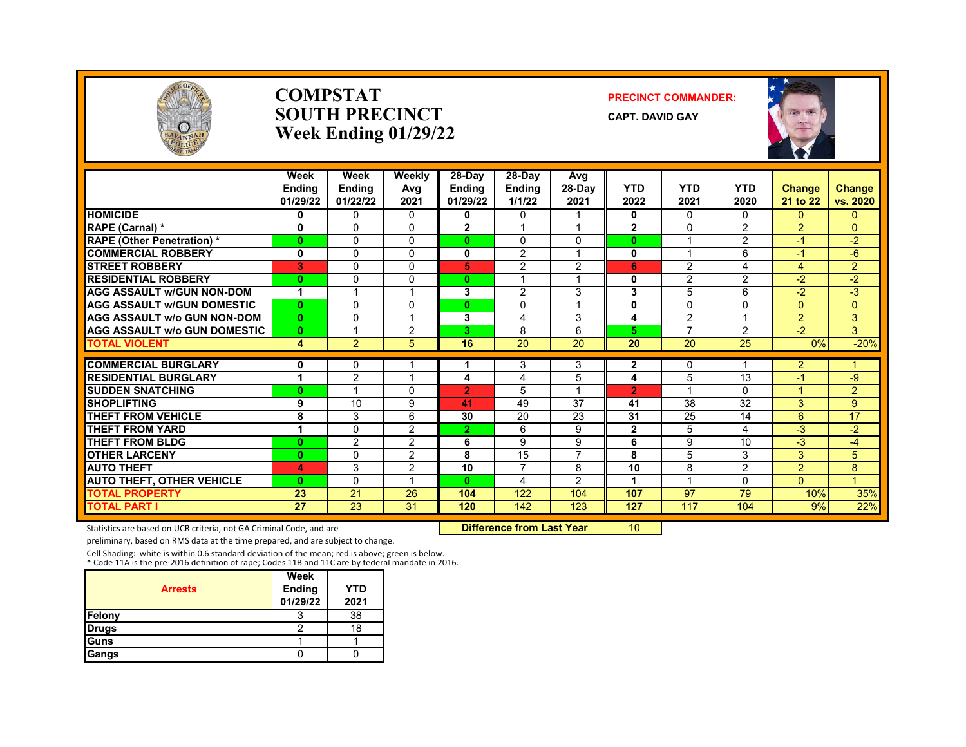

#### **COMPSTAT PRECINCT COMMANDER: SOUTH PRECINCT** CAPT. DAVID GAY **Week Ending 01/29/22**



|                                     | Week<br><b>Endina</b><br>01/29/22 | Week<br><b>Ending</b><br>01/22/22 | Weekly<br>Avg<br>2021 | $28-Dav$<br><b>Ending</b><br>01/29/22 | $28-Dav$<br><b>Ending</b><br>1/1/22 | Avg<br>$28-Dav$<br>2021  | <b>YTD</b><br>2022 | <b>YTD</b><br>2021      | <b>YTD</b><br>2020 | <b>Change</b><br>21 to 22 | <b>Change</b><br>vs. 2020 |
|-------------------------------------|-----------------------------------|-----------------------------------|-----------------------|---------------------------------------|-------------------------------------|--------------------------|--------------------|-------------------------|--------------------|---------------------------|---------------------------|
| <b>HOMICIDE</b>                     | 0                                 | $\Omega$                          | $\Omega$              | 0                                     | $\mathbf{0}$                        | -1                       | $\bf{0}$           | $\Omega$                | $\Omega$           | $\Omega$                  | $\mathbf{0}$              |
| RAPE (Carnal) *                     | 0                                 | $\Omega$                          | 0                     | $\mathbf{2}$                          |                                     |                          | 2                  | $\Omega$                | $\overline{2}$     | $\overline{2}$            | $\Omega$                  |
| <b>RAPE (Other Penetration) *</b>   | $\bf{0}$                          | $\mathbf{0}$                      | 0                     | $\bf{0}$                              | $\Omega$                            | 0                        | $\mathbf{0}$       |                         | $\overline{2}$     | $-1$                      | $-2$                      |
| <b>COMMERCIAL ROBBERY</b>           | $\mathbf{0}$                      | $\Omega$                          | $\Omega$              | 0                                     | $\overline{2}$                      | 1                        | $\mathbf{0}$       |                         | 6                  | $-1$                      | $-6$                      |
| <b>STREET ROBBERY</b>               | 3                                 | $\Omega$                          | 0                     | 5                                     | 2                                   | 2                        | 6                  | 2                       | 4                  | 4                         | $\overline{2}$            |
| <b>RESIDENTIAL ROBBERY</b>          | $\bf{0}$                          | $\Omega$                          | 0                     | $\bf{0}$                              |                                     |                          | 0                  | $\overline{2}$          | 2                  | $-2$                      | $-2$                      |
| <b>AGG ASSAULT w/GUN NON-DOM</b>    | 1                                 |                                   |                       | 3                                     | 2                                   | 3                        | 3                  | 5                       | 6                  | $-2$                      | $-3$                      |
| <b>AGG ASSAULT W/GUN DOMESTIC</b>   | $\bf{0}$                          | $\Omega$                          | $\Omega$              | $\bf{0}$                              | $\Omega$                            | 1                        | $\mathbf{0}$       | $\Omega$                | $\Omega$           | $\Omega$                  | $\Omega$                  |
| <b>AGG ASSAULT w/o GUN NON-DOM</b>  | $\bf{0}$                          | $\mathbf{0}$                      |                       | 3                                     | 4                                   | 3                        | 4                  | 2                       | 1                  | $\overline{2}$            | 3                         |
| <b>AGG ASSAULT W/o GUN DOMESTIC</b> | $\mathbf{0}$                      |                                   | 2                     | 3.                                    | 8                                   | 6                        | 5                  | $\overline{7}$          | $\overline{2}$     | $-2$                      | 3 <sup>°</sup>            |
| <b>TOTAL VIOLENT</b>                | 4                                 | $\overline{2}$                    | 5                     | 16                                    | $\overline{20}$                     | $\overline{20}$          | $\overline{20}$    | $\overline{20}$         | $\overline{25}$    | 0%                        | $-20%$                    |
| <b>COMMERCIAL BURGLARY</b>          | 0                                 | $\mathbf{0}$                      |                       | 1                                     | 3                                   | 3                        | 2                  | 0                       |                    | $\overline{2}$            |                           |
| <b>RESIDENTIAL BURGLARY</b>         | 1                                 | 2                                 |                       | 4                                     | 4                                   | 5                        | 4                  | 5                       | $\overline{13}$    | $-1$                      | -9                        |
| <b>SUDDEN SNATCHING</b>             | $\bf{0}$                          |                                   | 0                     | $\overline{2}$                        | 5                                   | $\overline{\mathbf{A}}$  | $\overline{2}$     |                         | $\Omega$           |                           | $\overline{2}$            |
| <b>SHOPLIFTING</b>                  | 9                                 | 10                                | 9                     | 41                                    | 49                                  | 37                       | 41                 | 38                      | 32                 | 3                         | 9 <sup>°</sup>            |
| <b>THEFT FROM VEHICLE</b>           | 8                                 | 3                                 | 6                     | 30                                    | 20                                  | 23                       | 31                 | 25                      | 14                 | 6                         | 17                        |
| <b>THEFT FROM YARD</b>              | 1                                 | $\mathbf{0}$                      | 2                     | $\mathbf{2}$                          | 6                                   | 9                        | $\overline{2}$     | 5                       | 4                  | $-3$                      | $-2$                      |
| THEFT FROM BLDG                     | $\bf{0}$                          | 2                                 | $\overline{2}$        | 6                                     | 9                                   | 9                        | 6                  | 9                       | 10                 | $-3$                      | $-4$                      |
| <b>OTHER LARCENY</b>                | $\bf{0}$                          | $\mathbf{0}$                      | $\overline{2}$        | 8                                     | 15                                  | $\overline{\phantom{a}}$ | 8                  | 5                       | 3                  | 3                         | 5                         |
| <b>AUTO THEFT</b>                   | 4                                 | 3                                 | $\overline{2}$        | 10                                    | $\overline{7}$                      | 8                        | 10                 | 8                       | $\overline{2}$     | $\overline{2}$            | 8                         |
| <b>AUTO THEFT, OTHER VEHICLE</b>    | $\bf{0}$                          | $\Omega$                          |                       | $\mathbf{0}$                          | 4                                   | $\overline{2}$           | 1                  | $\overline{\mathbf{A}}$ | $\Omega$           | $\Omega$                  | $\mathbf{1}$              |
| <b>TOTAL PROPERTY</b>               | 23                                | 21                                | 26                    | 104                                   | 122                                 | 104                      | 107                | 97                      | 79                 | 10%                       | 35%                       |
| <b>TOTAL PART I</b>                 | 27                                | $\overline{23}$                   | 31                    | 120                                   | 142                                 | 123                      | 127                | 117                     | 104                | 9%                        | 22%                       |

Statistics are based on UCR criteria, not GA Criminal Code, and are **Difference from Last Year** 10

preliminary, based on RMS data at the time prepared, and are subject to change.

Cell Shading: white is within 0.6 standard deviation of the mean; red is above; green is below. \* Code 11A is the pre-2016 definition of rape; Codes 11B and 11C are by federal mandate in 2016.

| <b>Arrests</b> | Week<br><b>Ending</b><br>01/29/22 | YTD<br>2021 |
|----------------|-----------------------------------|-------------|
| Felony         | 3                                 | 38          |
| <b>Drugs</b>   |                                   | 18          |
| <b>Guns</b>    |                                   |             |
| Gangs          |                                   |             |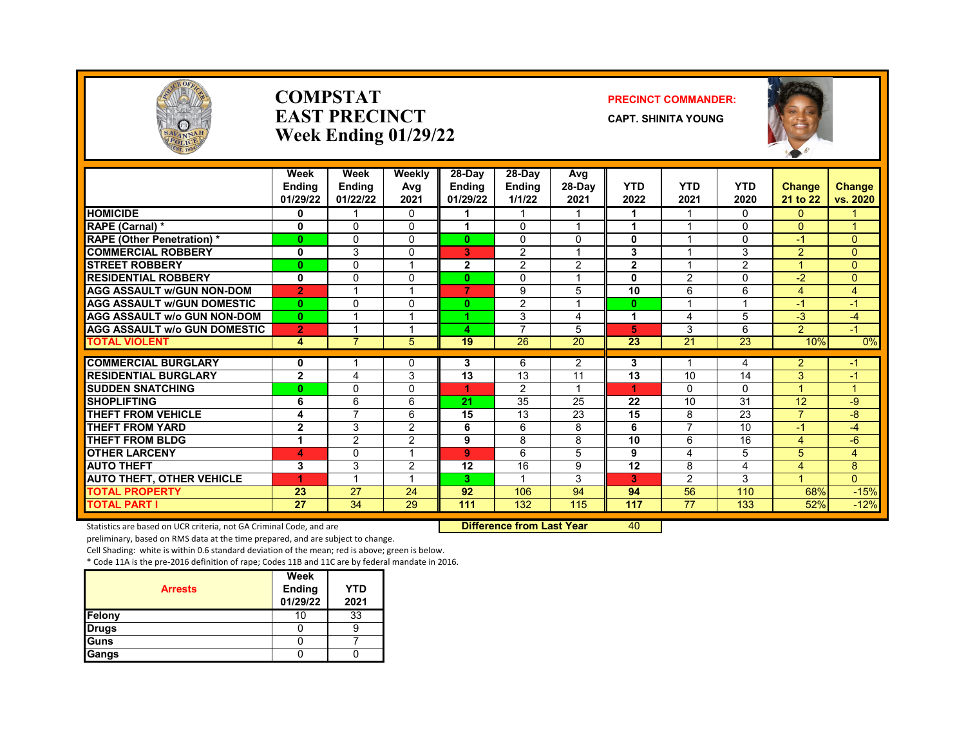

#### **COMPSTAT PRECINCT COMMANDER: EAST PRECINCT CAPT.** SHINITA YOUNG **Week Ending 01/29/22**



|                                     | Week<br><b>Endina</b><br>01/29/22 | Week<br><b>Ending</b><br>01/22/22 | Weekly<br>Avg<br>2021 | 28-Day<br><b>Endina</b><br>01/29/22 | 28-Day<br><b>Endina</b><br>1/1/22 | Avg<br>28-Day<br>2021   | <b>YTD</b><br>2022 | <b>YTD</b><br>2021 | <b>YTD</b><br>2020 | <b>Change</b><br>21 to 22 | <b>Change</b><br>vs. 2020 |
|-------------------------------------|-----------------------------------|-----------------------------------|-----------------------|-------------------------------------|-----------------------------------|-------------------------|--------------------|--------------------|--------------------|---------------------------|---------------------------|
| <b>HOMICIDE</b>                     | 0                                 |                                   | $\mathbf{0}$          |                                     |                                   |                         |                    |                    | $\Omega$           | $\overline{0}$            |                           |
| RAPE (Carnal) *                     | $\bf{0}$                          | $\Omega$                          | $\Omega$              |                                     | 0                                 | $\overline{\mathbf{A}}$ | 4                  |                    | 0                  | $\Omega$                  | $\overline{A}$            |
| <b>RAPE (Other Penetration) *</b>   | $\mathbf{0}$                      | $\Omega$                          | $\Omega$              | 0                                   | 0                                 | 0                       | 0                  |                    | $\Omega$           | $-1$                      | $\Omega$                  |
| <b>COMMERCIAL ROBBERY</b>           | $\mathbf 0$                       | 3                                 | $\Omega$              | 3                                   | $\overline{2}$                    | $\overline{\mathbf{A}}$ | 3                  |                    | 3                  | $\overline{2}$            | $\Omega$                  |
| <b>STREET ROBBERY</b>               | $\bf{0}$                          | $\Omega$                          |                       | $\mathbf{2}$                        | $\overline{2}$                    | $\overline{2}$          | $\overline{2}$     |                    | $\overline{2}$     |                           | $\Omega$                  |
| <b>RESIDENTIAL ROBBERY</b>          | 0                                 | $\Omega$                          | $\Omega$              | 0                                   | 0                                 | 1                       | 0                  | 2                  | 0                  | $-2$                      | $\Omega$                  |
| <b>AGG ASSAULT w/GUN NON-DOM</b>    | $\overline{2}$                    |                                   |                       | 7                                   | 9                                 | 5                       | 10                 | 6                  | 6                  | 4                         | 4                         |
| <b>AGG ASSAULT w/GUN DOMESTIC</b>   | $\mathbf{0}$                      | $\mathbf 0$                       | $\Omega$              | 0                                   | $\overline{2}$                    | $\overline{\mathbf{A}}$ | $\bf{0}$           |                    | 4                  | -1                        | -1                        |
| <b>AGG ASSAULT w/o GUN NON-DOM</b>  | $\mathbf{0}$                      |                                   | 1                     | 4.                                  | 3                                 | 4                       | 1                  | 4                  | 5                  | $-3$                      | $-4$                      |
| <b>AGG ASSAULT w/o GUN DOMESTIC</b> | $\overline{2}$                    |                                   |                       | 4                                   | $\overline{7}$                    | 5                       | 5                  | 3                  | 6                  | $\overline{2}$            | $-1$                      |
| <b>TOTAL VIOLENT</b>                | 4                                 | $\overline{7}$                    | 5                     | 19                                  | 26                                | 20                      | 23                 | 21                 | $\overline{23}$    | 10%                       | 0%                        |
| <b>COMMERCIAL BURGLARY</b>          | 0                                 |                                   | $\Omega$              | 3                                   | 6                                 | $\overline{2}$          | 3                  |                    | 4                  | $\overline{2}$            | -1                        |
| <b>RESIDENTIAL BURGLARY</b>         | $\mathbf{2}$                      | 4                                 | 3                     | $\overline{13}$                     | $\overline{13}$                   | 11                      | $\overline{13}$    | 10                 | 14                 | 3                         | $\blacktriangleleft$      |
| <b>SUDDEN SNATCHING</b>             | $\bf{0}$                          | $\Omega$                          | $\Omega$              |                                     | $\overline{2}$                    | 1                       |                    | $\Omega$           | 0                  |                           |                           |
| <b>SHOPLIFTING</b>                  | 6                                 | 6                                 | 6                     | 21                                  | 35                                | 25                      | 22                 | 10                 | 31                 | 12                        | -9                        |
| THEFT FROM VEHICLE                  | 4                                 | 7                                 | 6                     | 15                                  | 13                                | 23                      | 15                 | 8                  | 23                 | 7                         | -8                        |
| <b>THEFT FROM YARD</b>              | $\overline{2}$                    | 3                                 | 2                     | 6                                   | 6                                 | 8                       | 6                  | $\overline{7}$     | $\overline{10}$    | $-1$                      | $-4$                      |
| <b>THEFT FROM BLDG</b>              | 1                                 | 2                                 | 2                     | 9                                   | 8                                 | 8                       | 10                 | 6                  | 16                 | $\overline{4}$            | $-6$                      |
| <b>OTHER LARCENY</b>                | 4                                 | $\Omega$                          |                       | 9                                   | 6                                 | 5                       | 9                  | 4                  | 5                  | 5                         | $\overline{4}$            |
| <b>AUTO THEFT</b>                   | 3                                 | 3                                 | 2                     | 12                                  | 16                                | 9                       | 12                 | 8                  | 4                  | 4                         | 8                         |
| <b>AUTO THEFT, OTHER VEHICLE</b>    | 4                                 |                                   | и                     | 3                                   | $\overline{A}$                    | 3                       | 3                  | $\overline{2}$     | 3                  |                           | $\mathbf{0}$              |
| <b>TOTAL PROPERTY</b>               | 23                                | 27                                | 24                    | 92                                  | 106                               | 94                      | 94                 | 56                 | 110                | 68%                       | $-15%$                    |
| <b>TOTAL PART I</b>                 | 27                                | $\overline{34}$                   | 29                    | 111                                 | 132                               | 115                     | 117                | $\overline{77}$    | 133                | 52%                       | $-12%$                    |

Statistics are based on UCR criteria, not GA Criminal Code, and are **Difference from Last Year** 40

preliminary, based on RMS data at the time prepared, and are subject to change.

Cell Shading: white is within 0.6 standard deviation of the mean; red is above; green is below.

| <b>Arrests</b> | Week<br><b>Ending</b><br>01/29/22 | <b>YTD</b><br>2021 |
|----------------|-----------------------------------|--------------------|
| Felony         | π                                 | 33                 |
| <b>Drugs</b>   |                                   |                    |
| <b>Guns</b>    |                                   |                    |
| Gangs          |                                   |                    |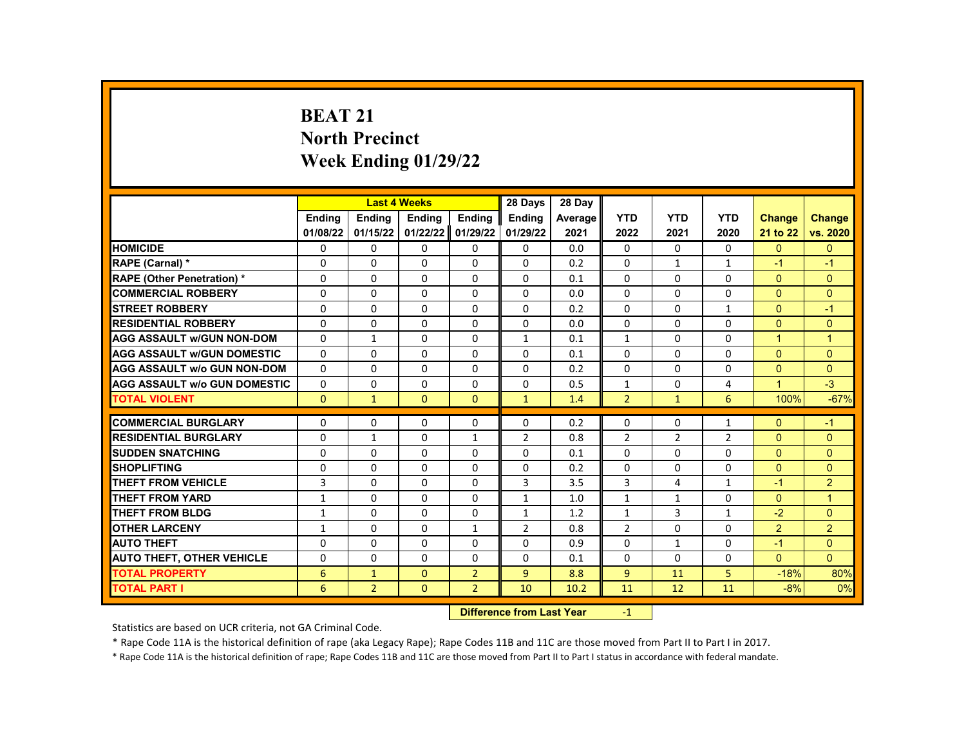# **BEAT 21 North Precinct Week Ending 01/29/22**

|                                     |               | <b>Last 4 Weeks</b> |               |                    | 28 Days                          | 28 Day  |                |                |                |               |                |
|-------------------------------------|---------------|---------------------|---------------|--------------------|----------------------------------|---------|----------------|----------------|----------------|---------------|----------------|
|                                     | <b>Endina</b> | <b>Endina</b>       | <b>Ending</b> | <b>Ending</b>      | Ending                           | Average | <b>YTD</b>     | <b>YTD</b>     | <b>YTD</b>     | <b>Change</b> | <b>Change</b>  |
|                                     | 01/08/22      | 01/15/22            | 01/22/22      | 01/29/22           | 01/29/22                         | 2021    | 2022           | 2021           | 2020           | 21 to 22      | vs. 2020       |
| <b>HOMICIDE</b>                     | 0             | 0                   | 0             | 0                  | 0                                | 0.0     | $\Omega$       | 0              | 0              | $\mathbf{0}$  | $\Omega$       |
| RAPE (Carnal) *                     | $\mathbf{0}$  | $\Omega$            | $\Omega$      | $\Omega$           | $\Omega$                         | 0.2     | $\Omega$       | $\mathbf{1}$   | $\mathbf{1}$   | $-1$          | $-1$           |
| <b>RAPE (Other Penetration) *</b>   | $\mathbf{0}$  | $\Omega$            | $\Omega$      | $\Omega$           | $\Omega$                         | 0.1     | $\Omega$       | $\Omega$       | $\Omega$       | $\Omega$      | $\Omega$       |
| <b>COMMERCIAL ROBBERY</b>           | $\mathbf{0}$  | 0                   | $\Omega$      | 0                  | $\Omega$                         | 0.0     | $\Omega$       | $\Omega$       | $\Omega$       | $\Omega$      | $\Omega$       |
| <b>STREET ROBBERY</b>               | 0             | $\Omega$            | 0             | $\Omega$           | $\Omega$                         | 0.2     | $\Omega$       | $\Omega$       | $\mathbf{1}$   | $\Omega$      | $-1$           |
| <b>RESIDENTIAL ROBBERY</b>          | $\Omega$      | $\Omega$            | $\Omega$      | $\Omega$           | $\Omega$                         | 0.0     | $\Omega$       | $\Omega$       | $\Omega$       | $\Omega$      | $\Omega$       |
| <b>AGG ASSAULT w/GUN NON-DOM</b>    | 0             | 1                   | 0             | 0                  | $\mathbf{1}$                     | 0.1     | $\mathbf{1}$   | 0              | 0              | $\mathbf{1}$  | $\mathbf 1$    |
| <b>AGG ASSAULT W/GUN DOMESTIC</b>   | $\mathbf{0}$  | $\mathbf 0$         | $\Omega$      | $\Omega$           | 0                                | 0.1     | $\Omega$       | 0              | $\Omega$       | $\Omega$      | $\Omega$       |
| <b>AGG ASSAULT w/o GUN NON-DOM</b>  | $\Omega$      | $\Omega$            | $\Omega$      | $\Omega$           | $\Omega$                         | 0.2     | $\Omega$       | $\Omega$       | $\Omega$       | $\Omega$      | $\Omega$       |
| <b>AGG ASSAULT w/o GUN DOMESTIC</b> | $\Omega$      | 0                   | 0             | 0                  | 0                                | 0.5     | $\mathbf{1}$   | 0              | 4              | $\mathbf{1}$  | $-3$           |
| <b>TOTAL VIOLENT</b>                | $\Omega$      | $\mathbf{1}$        | $\Omega$      | $\Omega$           | $\mathbf{1}$                     | 1.4     | $\overline{2}$ | $\mathbf{1}$   | 6              | 100%          | $-67%$         |
|                                     |               |                     |               |                    |                                  |         |                |                |                |               |                |
| <b>COMMERCIAL BURGLARY</b>          | 0             | 0                   | $\Omega$      | 0                  | 0                                | 0.2     | $\Omega$       | 0              | 1              | $\Omega$      | $-1$           |
| <b>RESIDENTIAL BURGLARY</b>         | $\mathbf 0$   | $\mathbf{1}$        | $\Omega$      | $\mathbf{1}$       | $\overline{2}$                   | 0.8     | $\overline{2}$ | $\overline{2}$ | $\overline{2}$ | $\Omega$      | $\overline{0}$ |
| <b>SUDDEN SNATCHING</b>             | 0             | $\Omega$            | $\Omega$      | $\Omega$           | $\Omega$                         | 0.1     | $\Omega$       | $\Omega$       | $\Omega$       | $\Omega$      | $\Omega$       |
| <b>SHOPLIFTING</b>                  | 0             | $\Omega$            | $\Omega$      | $\Omega$           | 0                                | 0.2     | $\Omega$       | $\Omega$       | 0              | $\Omega$      | $\overline{0}$ |
| <b>THEFT FROM VEHICLE</b>           | 3             | 0                   | $\Omega$      | $\Omega$           | 3                                | 3.5     | 3              | 4              | $\mathbf{1}$   | $-1$          | $\overline{2}$ |
| <b>THEFT FROM YARD</b>              | $\mathbf{1}$  | $\Omega$            | $\Omega$      | $\Omega$           | $\mathbf{1}$                     | 1.0     | $\mathbf{1}$   | $\mathbf{1}$   | $\Omega$       | $\Omega$      | $\mathbf{1}$   |
| <b>THEFT FROM BLDG</b>              | $\mathbf{1}$  | $\Omega$            | $\Omega$      | $\Omega$           | $\mathbf{1}$                     | 1.2     | $\mathbf{1}$   | 3              | $\mathbf{1}$   | $-2$          | $\Omega$       |
| <b>OTHER LARCENY</b>                | $\mathbf{1}$  | 0                   | $\Omega$      | $\mathbf{1}$       | $\overline{2}$                   | 0.8     | $\overline{2}$ | $\Omega$       | $\Omega$       | 2             | 2              |
| <b>AUTO THEFT</b>                   | $\mathbf{0}$  | $\Omega$            | $\Omega$      | $\Omega$           | $\Omega$                         | 0.9     | $\Omega$       | $\mathbf{1}$   | $\Omega$       | $-1$          | $\Omega$       |
| <b>AUTO THEFT, OTHER VEHICLE</b>    | $\Omega$      | 0                   | $\Omega$      | 0                  | 0                                | 0.1     | $\Omega$       | 0              | $\Omega$       | $\mathbf{0}$  | $\Omega$       |
| <b>TOTAL PROPERTY</b>               | 6             | $\mathbf{1}$        | $\mathbf 0$   | $\overline{2}$     | 9                                | 8.8     | 9              | 11             | 5              | $-18%$        | 80%            |
| <b>TOTAL PART I</b>                 | 6             | $\overline{2}$      | $\mathbf{0}$  | $\overline{2}$     | 10                               | 10.2    | 11             | 12             | 11             | $-8%$         | 0%             |
|                                     |               |                     |               | <b>CARLO CARDS</b> | the Company of the search of the |         | $\overline{a}$ |                |                |               |                |

 **Difference from Last Year** -1

Statistics are based on UCR criteria, not GA Criminal Code.

\* Rape Code 11A is the historical definition of rape (aka Legacy Rape); Rape Codes 11B and 11C are those moved from Part II to Part I in 2017.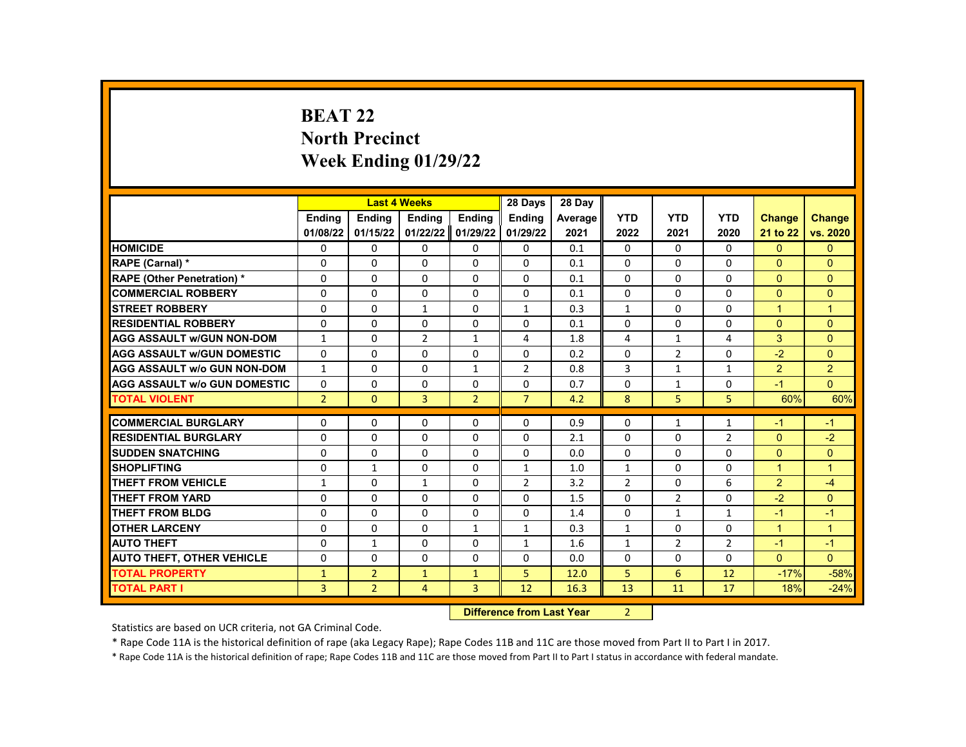# **BEAT 22 North Precinct Week Ending 01/29/22**

|                                                 |                |                | <b>Last 4 Weeks</b> |                | 28 Days                   | 28 Day  |                |                |                |                                  |                          |
|-------------------------------------------------|----------------|----------------|---------------------|----------------|---------------------------|---------|----------------|----------------|----------------|----------------------------------|--------------------------|
|                                                 | <b>Endina</b>  | <b>Endina</b>  | <b>Ending</b>       | <b>Ending</b>  | <b>Endina</b>             | Average | <b>YTD</b>     | <b>YTD</b>     | <b>YTD</b>     | <b>Change</b>                    | <b>Change</b>            |
|                                                 | 01/08/22       | 01/15/22       | 01/22/22            | 01/29/22       | 01/29/22                  | 2021    | 2022           | 2021           | 2020           | 21 to 22                         | vs. 2020                 |
| <b>HOMICIDE</b>                                 | 0              | 0              | 0                   | 0              | 0                         | 0.1     | 0              | $\mathbf{0}$   | 0              | $\mathbf{0}$                     | $\mathbf{0}$             |
| RAPE (Carnal) *                                 | 0              | $\Omega$       | $\Omega$            | $\Omega$       | $\Omega$                  | 0.1     | $\Omega$       | $\Omega$       | $\Omega$       | $\Omega$                         | $\Omega$                 |
| <b>RAPE (Other Penetration) *</b>               | $\Omega$       | $\Omega$       | $\Omega$            | $\Omega$       | $\Omega$                  | 0.1     | $\Omega$       | $\Omega$       | $\Omega$       | $\Omega$                         | $\Omega$                 |
| <b>COMMERCIAL ROBBERY</b>                       | $\Omega$       | 0              | 0                   | 0              | 0                         | 0.1     | $\Omega$       | 0              | 0              | $\Omega$                         | $\Omega$                 |
| <b>STREET ROBBERY</b>                           | $\Omega$       | $\Omega$       | $\mathbf{1}$        | $\Omega$       | $\mathbf{1}$              | 0.3     | $\mathbf{1}$   | $\Omega$       | $\Omega$       | $\mathbf{1}$                     | $\mathbf{1}$             |
| <b>RESIDENTIAL ROBBERY</b>                      | $\Omega$       | $\Omega$       | $\Omega$            | $\Omega$       | $\Omega$                  | 0.1     | $\Omega$       | $\Omega$       | $\Omega$       | $\Omega$                         | $\Omega$                 |
| <b>AGG ASSAULT w/GUN NON-DOM</b>                | 1              | 0              | $\overline{2}$      | 1              | 4                         | 1.8     | 4              | $\mathbf{1}$   | 4              | 3                                | $\Omega$                 |
| <b>AGG ASSAULT w/GUN DOMESTIC</b>               | $\Omega$       | $\Omega$       | $\Omega$            | $\Omega$       | $\Omega$                  | 0.2     | $\Omega$       | $\overline{2}$ | $\Omega$       | $-2$                             | $\Omega$                 |
| <b>AGG ASSAULT w/o GUN NON-DOM</b>              | $\mathbf{1}$   | $\Omega$       | $\Omega$            | $\mathbf{1}$   | $\overline{2}$            | 0.8     | 3              | $\mathbf{1}$   | $\mathbf{1}$   | $\overline{2}$                   | $\overline{2}$           |
| <b>AGG ASSAULT w/o GUN DOMESTIC</b>             | 0              | 0              | 0                   | 0              | 0                         | 0.7     | 0              | 1              | 0              | $-1$                             | $\Omega$                 |
| <b>TOTAL VIOLENT</b>                            | $\overline{2}$ | $\mathbf{0}$   | 3                   | $\overline{2}$ | $\overline{7}$            | 4.2     | 8              | 5              | 5              | 60%                              | 60%                      |
| <b>COMMERCIAL BURGLARY</b>                      | 0              | 0              | 0                   | 0              | $\Omega$                  | 0.9     | 0              | 1              | 1              | $-1$                             | $-1$                     |
| <b>RESIDENTIAL BURGLARY</b>                     | $\Omega$       | $\Omega$       | $\Omega$            | $\Omega$       | $\Omega$                  | 2.1     | $\Omega$       | $\Omega$       | $\overline{2}$ | $\Omega$                         | $-2$                     |
|                                                 |                |                |                     |                |                           |         |                |                |                |                                  |                          |
| <b>SUDDEN SNATCHING</b>                         | $\Omega$       | $\Omega$       | $\Omega$            | $\Omega$       | $\Omega$                  | 0.0     | $\Omega$       | $\Omega$       | $\Omega$       | $\Omega$<br>$\blacktriangleleft$ | $\Omega$<br>$\mathbf{1}$ |
| <b>SHOPLIFTING</b><br><b>THEFT FROM VEHICLE</b> | 0              | $\mathbf{1}$   | 0                   | 0              | $\mathbf{1}$              | 1.0     | $\mathbf{1}$   | 0              | 0              |                                  |                          |
|                                                 | 1              | $\Omega$       | $\mathbf{1}$        | $\Omega$       | 2                         | 3.2     | $\overline{2}$ | $\Omega$       | 6              | $\overline{2}$                   | $-4$                     |
| <b>THEFT FROM YARD</b>                          | $\Omega$       | $\Omega$       | $\Omega$            | $\Omega$       | $\Omega$                  | 1.5     | $\Omega$       | $\overline{2}$ | $\Omega$       | $-2$                             | $\Omega$                 |
| <b>THEFT FROM BLDG</b>                          | 0              | $\Omega$       | $\Omega$            | $\Omega$       | $\Omega$                  | 1.4     | 0              | $\mathbf{1}$   | $\mathbf{1}$   | $-1$                             | $-1$                     |
| <b>OTHER LARCENY</b>                            | 0              | 0              | $\Omega$            | $\mathbf{1}$   | $\mathbf{1}$              | 0.3     | $\mathbf{1}$   | 0              | 0              | $\mathbf{1}$                     | $\mathbf{1}$             |
| <b>AUTO THEFT</b>                               | $\Omega$       | $\mathbf{1}$   | $\Omega$            | 0              | $\mathbf{1}$              | 1.6     | $\mathbf{1}$   | 2              | $\overline{2}$ | $-1$                             | $-1$                     |
| <b>AUTO THEFT, OTHER VEHICLE</b>                | $\Omega$       | $\Omega$       | $\Omega$            | $\Omega$       | $\Omega$                  | 0.0     | 0              | $\Omega$       | $\Omega$       | $\Omega$                         | $\Omega$                 |
| <b>TOTAL PROPERTY</b>                           | $\mathbf{1}$   | $\overline{2}$ | $\mathbf{1}$        | $\mathbf{1}$   | 5                         | 12.0    | 5              | 6              | 12             | $-17%$                           | $-58%$                   |
| <b>TOTAL PART I</b>                             | 3              | $\overline{2}$ | $\overline{4}$      | 3              | 12                        | 16.3    | 13             | 11             | 17             | 18%                              | $-24%$                   |
|                                                 |                |                |                     |                | Difference from Loot Voor |         | $\mathcal{L}$  |                |                |                                  |                          |

**Difference from Last Year** 

Statistics are based on UCR criteria, not GA Criminal Code.

\* Rape Code 11A is the historical definition of rape (aka Legacy Rape); Rape Codes 11B and 11C are those moved from Part II to Part I in 2017.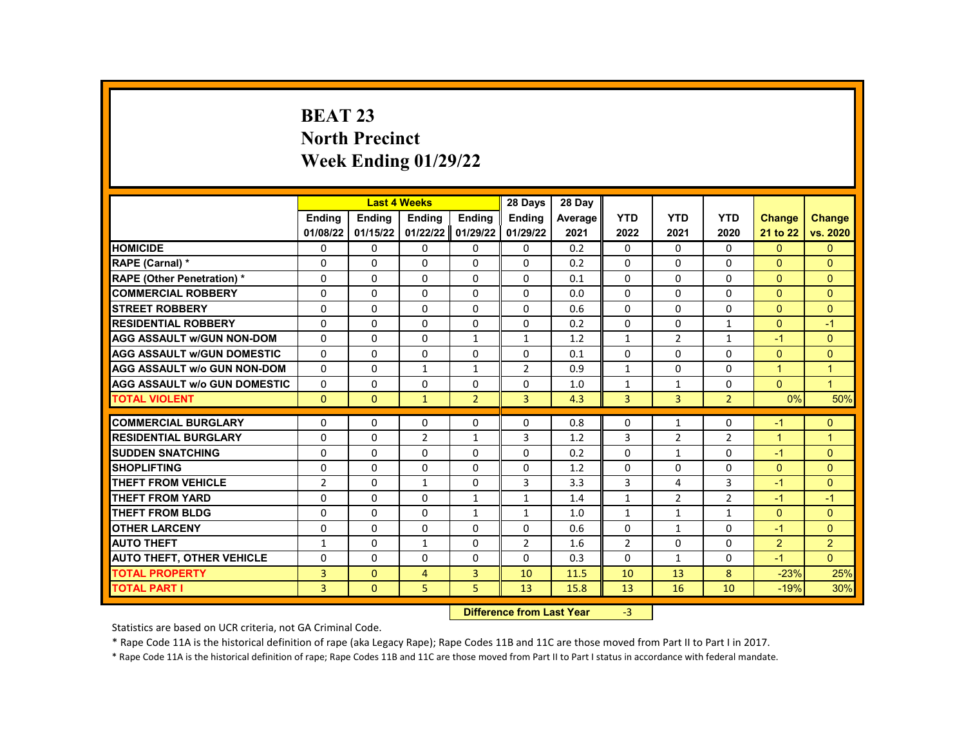# **BEAT 23 North Precinct Week Ending 01/29/22**

|                                     |                |               | <b>Last 4 Weeks</b> |                | 28 Days                   | 28 Day  |                |                     |                |                |               |
|-------------------------------------|----------------|---------------|---------------------|----------------|---------------------------|---------|----------------|---------------------|----------------|----------------|---------------|
|                                     | <b>Endina</b>  | <b>Ending</b> | Ending              | Ending         | <b>Ending</b>             | Average | <b>YTD</b>     | <b>YTD</b>          | <b>YTD</b>     | <b>Change</b>  | <b>Change</b> |
|                                     | 01/08/22       | 01/15/22      | 01/22/22            | 01/29/22       | 01/29/22                  | 2021    | 2022           | 2021                | 2020           | 21 to 22       | vs. 2020      |
| <b>HOMICIDE</b>                     | 0              | 0             | 0                   | 0              | 0                         | 0.2     | 0              | $\Omega$            | 0              | $\mathbf{0}$   | $\mathbf{0}$  |
| RAPE (Carnal) *                     | $\Omega$       | $\Omega$      | $\Omega$            | $\Omega$       | $\Omega$                  | 0.2     | $\Omega$       | $\Omega$            | $\Omega$       | $\Omega$       | $\Omega$      |
| <b>RAPE (Other Penetration) *</b>   | $\Omega$       | $\Omega$      | $\Omega$            | $\Omega$       | $\Omega$                  | 0.1     | $\Omega$       | $\Omega$            | $\Omega$       | $\Omega$       | $\Omega$      |
| <b>COMMERCIAL ROBBERY</b>           | 0              | 0             | 0                   | 0              | 0                         | 0.0     | 0              | 0                   | 0              | $\mathbf{0}$   | $\mathbf{0}$  |
| <b>STREET ROBBERY</b>               | $\Omega$       | $\Omega$      | $\Omega$            | $\Omega$       | $\Omega$                  | 0.6     | $\Omega$       | $\Omega$            | $\Omega$       | $\Omega$       | $\Omega$      |
| <b>RESIDENTIAL ROBBERY</b>          | $\Omega$       | $\Omega$      | $\Omega$            | $\Omega$       | $\Omega$                  | 0.2     | $\Omega$       | $\Omega$            | $\mathbf{1}$   | $\Omega$       | $-1$          |
| <b>AGG ASSAULT w/GUN NON-DOM</b>    | 0              | 0             | 0                   | 1              | 1                         | 1.2     | $\mathbf{1}$   | $\overline{2}$      | $\mathbf{1}$   | $-1$           | $\mathbf{0}$  |
| <b>AGG ASSAULT w/GUN DOMESTIC</b>   | $\Omega$       | $\Omega$      | $\Omega$            | $\Omega$       | $\Omega$                  | 0.1     | $\Omega$       | $\Omega$            | $\Omega$       | $\Omega$       | $\Omega$      |
| <b>AGG ASSAULT w/o GUN NON-DOM</b>  | $\Omega$       | $\Omega$      | $\mathbf{1}$        | $\mathbf{1}$   | $\overline{2}$            | 0.9     | $\mathbf{1}$   | 0                   | $\Omega$       | $\mathbf{1}$   | $\mathbf{1}$  |
| <b>AGG ASSAULT w/o GUN DOMESTIC</b> | 0              | 0             | 0                   | 0              | 0                         | 1.0     | $\mathbf{1}$   | $\mathbf{1}$        | 0              | $\overline{0}$ | $\mathbf{1}$  |
| <b>TOTAL VIOLENT</b>                | $\mathbf{0}$   | $\mathbf{0}$  | $\mathbf{1}$        | $\overline{2}$ | 3                         | 4.3     | 3              | 3                   | $\overline{2}$ | $0\%$          | 50%           |
| <b>COMMERCIAL BURGLARY</b>          |                |               | $\Omega$            |                | $\Omega$                  |         |                |                     |                |                |               |
|                                     | 0              | 0             | $\overline{2}$      | 0              |                           | 0.8     | 0<br>3         | 1<br>$\overline{2}$ | 0              | $-1$           | $\mathbf{0}$  |
| <b>RESIDENTIAL BURGLARY</b>         | $\Omega$       | $\Omega$      |                     | $\mathbf{1}$   | 3                         | 1.2     |                |                     | $\overline{2}$ | $\mathbf{1}$   | $\mathbf{1}$  |
| <b>SUDDEN SNATCHING</b>             | $\Omega$       | $\Omega$      | $\Omega$            | $\Omega$       | $\Omega$                  | 0.2     | $\Omega$       | $\mathbf{1}$        | $\Omega$       | $-1$           | $\Omega$      |
| <b>SHOPLIFTING</b>                  | $\Omega$       | $\Omega$      | $\Omega$            | $\Omega$       | $\Omega$                  | 1.2     | $\Omega$       | $\Omega$            | $\Omega$       | $\Omega$       | $\Omega$      |
| <b>THEFT FROM VEHICLE</b>           | $\overline{2}$ | $\Omega$      | $\mathbf{1}$        | $\Omega$       | 3                         | 3.3     | 3              | 4                   | 3              | $-1$           | $\Omega$      |
| <b>THEFT FROM YARD</b>              | $\Omega$       | 0             | $\Omega$            | $\mathbf{1}$   | $\mathbf{1}$              | 1.4     | $\mathbf{1}$   | $\overline{2}$      | $\overline{2}$ | $-1$           | $-1$          |
| THEFT FROM BLDG                     | 0              | $\Omega$      | $\Omega$            | $\mathbf{1}$   | $\mathbf{1}$              | 1.0     | $\mathbf{1}$   | $\mathbf{1}$        | $\mathbf{1}$   | $\Omega$       | $\Omega$      |
| <b>OTHER LARCENY</b>                | $\Omega$       | $\Omega$      | $\Omega$            | $\Omega$       | $\Omega$                  | 0.6     | $\Omega$       | $\mathbf{1}$        | $\Omega$       | $-1$           | $\Omega$      |
| <b>AUTO THEFT</b>                   | $\mathbf{1}$   | 0             | $\mathbf{1}$        | $\Omega$       | 2                         | 1.6     | $\overline{2}$ | $\Omega$            | $\Omega$       | 2              | 2             |
| <b>AUTO THEFT, OTHER VEHICLE</b>    | $\Omega$       | $\Omega$      | $\Omega$            | $\Omega$       | $\Omega$                  | 0.3     | $\Omega$       | $\mathbf{1}$        | $\Omega$       | $-1$           | $\Omega$      |
| <b>TOTAL PROPERTY</b>               | 3              | $\mathbf{0}$  | $\overline{4}$      | 3              | 10                        | 11.5    | 10             | 13                  | 8              | $-23%$         | 25%           |
| <b>TOTAL PART I</b>                 | 3              | $\mathbf{0}$  | 5                   | 5              | 13                        | 15.8    | 13             | 16                  | 10             | $-19%$         | 30%           |
|                                     |                |               |                     |                | Difference from Lost Voor |         | $\mathbf{D}$   |                     |                |                |               |

**Difference from Last Year** 

Statistics are based on UCR criteria, not GA Criminal Code.

\* Rape Code 11A is the historical definition of rape (aka Legacy Rape); Rape Codes 11B and 11C are those moved from Part II to Part I in 2017.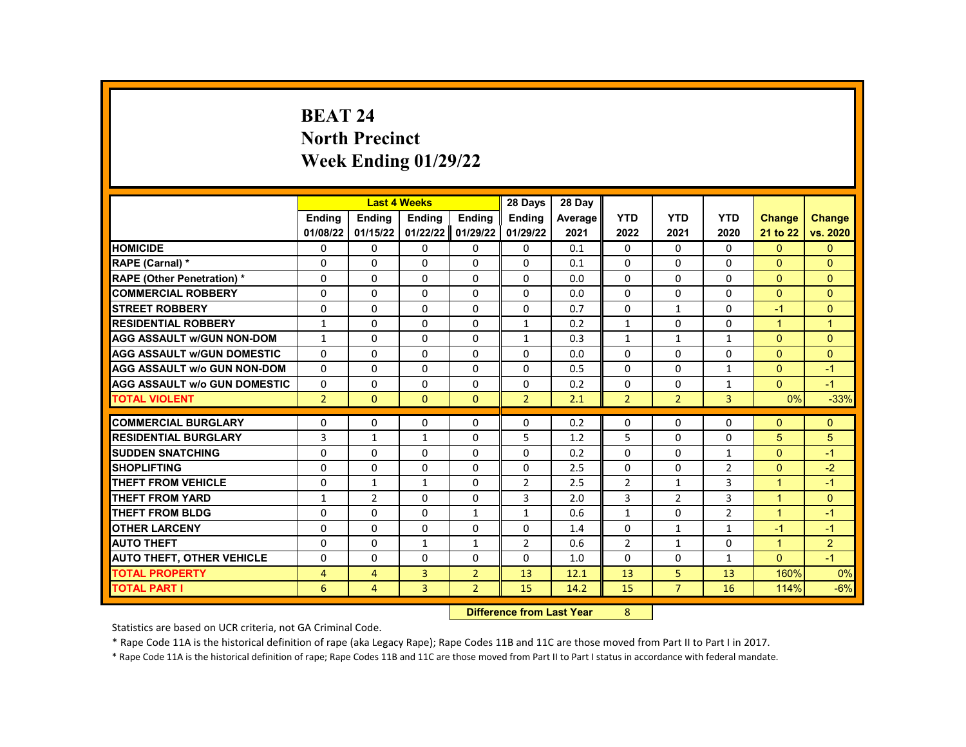# **BEAT 24 North Precinct Week Ending 01/29/22**

|                                     |                |                | <b>Last 4 Weeks</b> |                | 28 Days        | 28 Day                    |                |                |                |                      |                |
|-------------------------------------|----------------|----------------|---------------------|----------------|----------------|---------------------------|----------------|----------------|----------------|----------------------|----------------|
|                                     | <b>Endina</b>  | <b>Ending</b>  | <b>Ending</b>       | Ending         | <b>Ending</b>  | Average                   | <b>YTD</b>     | <b>YTD</b>     | <b>YTD</b>     | <b>Change</b>        | <b>Change</b>  |
|                                     | 01/08/22       | 01/15/22       | 01/22/22            | 01/29/22       | 01/29/22       | 2021                      | 2022           | 2021           | 2020           | 21 to 22             | vs. 2020       |
| <b>HOMICIDE</b>                     | 0              | 0              | 0                   | 0              | 0              | 0.1                       | 0              | $\Omega$       | 0              | $\mathbf{0}$         | $\mathbf{0}$   |
| RAPE (Carnal) *                     | 0              | $\Omega$       | $\Omega$            | $\Omega$       | $\Omega$       | 0.1                       | $\Omega$       | $\Omega$       | $\Omega$       | $\Omega$             | $\Omega$       |
| <b>RAPE (Other Penetration)*</b>    | $\Omega$       | $\Omega$       | $\Omega$            | $\Omega$       | $\Omega$       | 0.0                       | $\Omega$       | $\Omega$       | $\Omega$       | $\Omega$             | $\Omega$       |
| <b>COMMERCIAL ROBBERY</b>           | $\Omega$       | $\Omega$       | $\Omega$            | $\Omega$       | $\Omega$       | 0.0                       | $\Omega$       | $\Omega$       | $\Omega$       | $\Omega$             | $\Omega$       |
| <b>STREET ROBBERY</b>               | $\Omega$       | $\Omega$       | $\Omega$            | $\Omega$       | $\Omega$       | 0.7                       | $\Omega$       | $\mathbf{1}$   | $\Omega$       | $-1$                 | $\Omega$       |
| <b>RESIDENTIAL ROBBERY</b>          | $\mathbf{1}$   | $\Omega$       | $\Omega$            | $\Omega$       | $\mathbf{1}$   | 0.2                       | $\mathbf{1}$   | $\Omega$       | $\Omega$       | $\mathbf{1}$         | $\mathbf{1}$   |
| <b>AGG ASSAULT w/GUN NON-DOM</b>    | $\mathbf{1}$   | 0              | 0                   | 0              | 1              | 0.3                       | $\mathbf{1}$   | $\mathbf{1}$   | 1              | $\Omega$             | $\mathbf{0}$   |
| <b>AGG ASSAULT w/GUN DOMESTIC</b>   | 0              | 0              | $\Omega$            | 0              | 0              | 0.0                       | $\Omega$       | $\Omega$       | $\Omega$       | $\Omega$             | $\Omega$       |
| <b>AGG ASSAULT w/o GUN NON-DOM</b>  | $\Omega$       | $\Omega$       | $\Omega$            | $\Omega$       | $\Omega$       | 0.5                       | $\Omega$       | $\Omega$       | $\mathbf{1}$   | $\Omega$             | $-1$           |
| <b>AGG ASSAULT w/o GUN DOMESTIC</b> | 0              | 0              | 0                   | 0              | 0              | 0.2                       | 0              | 0              | $\mathbf{1}$   | $\Omega$             | $-1$           |
| <b>TOTAL VIOLENT</b>                | $\overline{2}$ | $\Omega$       | $\Omega$            | $\Omega$       | $\overline{2}$ | 2.1                       | $\overline{2}$ | $\overline{2}$ | $\overline{3}$ | 0%                   | $-33%$         |
|                                     |                |                |                     |                |                |                           |                |                |                |                      |                |
| <b>COMMERCIAL BURGLARY</b>          | 0              | 0              | 0                   | 0              | 0              | 0.2                       | 0              | 0              | 0              | $\Omega$             | $\mathbf{0}$   |
| <b>RESIDENTIAL BURGLARY</b>         | 3              | $\mathbf{1}$   | $\mathbf{1}$        | $\Omega$       | 5              | 1.2                       | 5              | $\Omega$       | 0              | 5                    | 5              |
| <b>SUDDEN SNATCHING</b>             | $\Omega$       | $\Omega$       | $\Omega$            | $\Omega$       | $\Omega$       | 0.2                       | $\Omega$       | $\Omega$       | $\mathbf{1}$   | $\Omega$             | $-1$           |
| <b>SHOPLIFTING</b>                  | $\Omega$       | $\Omega$       | $\Omega$            | $\Omega$       | $\Omega$       | 2.5                       | $\Omega$       | $\Omega$       | $\overline{2}$ | $\Omega$             | $-2$           |
| <b>THEFT FROM VEHICLE</b>           | 0              | $\mathbf{1}$   | $\mathbf{1}$        | $\Omega$       | 2              | 2.5                       | $\overline{2}$ | $\mathbf{1}$   | 3              | $\mathbf{1}$         | $-1$           |
| <b>THEFT FROM YARD</b>              | $\mathbf{1}$   | $\overline{2}$ | $\Omega$            | $\Omega$       | 3              | 2.0                       | 3              | $\overline{2}$ | 3              | $\blacktriangleleft$ | $\Omega$       |
| <b>THEFT FROM BLDG</b>              | $\Omega$       | $\Omega$       | $\Omega$            | $\mathbf{1}$   | $\mathbf{1}$   | 0.6                       | $\mathbf{1}$   | 0              | $\overline{2}$ | $\mathbf{1}$         | $-1$           |
| <b>OTHER LARCENY</b>                | $\Omega$       | $\Omega$       | $\Omega$            | $\Omega$       | $\Omega$       | 1.4                       | $\Omega$       | $\mathbf{1}$   | $\mathbf{1}$   | $-1$                 | $-1$           |
| <b>AUTO THEFT</b>                   | 0              | 0              | $\mathbf{1}$        | $\mathbf{1}$   | $\overline{2}$ | 0.6                       | $\overline{2}$ | $\mathbf{1}$   | $\Omega$       | $\mathbf{1}$         | $\overline{2}$ |
| <b>AUTO THEFT, OTHER VEHICLE</b>    | 0              | 0              | 0                   | 0              | 0              | 1.0                       | 0              | 0              | $\mathbf{1}$   | $\Omega$             | $-1$           |
| <b>TOTAL PROPERTY</b>               | $\overline{4}$ | $\overline{4}$ | 3                   | $\overline{2}$ | 13             | 12.1                      | 13             | 5              | 13             | 160%                 | 0%             |
| <b>TOTAL PART I</b>                 | 6              | $\overline{4}$ | 3                   | $\overline{2}$ | 15             | 14.2                      | 15             | $\overline{7}$ | 16             | 114%                 | $-6%$          |
|                                     |                |                |                     |                |                | Difference from Look Vaca | $\Omega$       |                |                |                      |                |

**Difference from Last Year** 8

Statistics are based on UCR criteria, not GA Criminal Code.

\* Rape Code 11A is the historical definition of rape (aka Legacy Rape); Rape Codes 11B and 11C are those moved from Part II to Part I in 2017.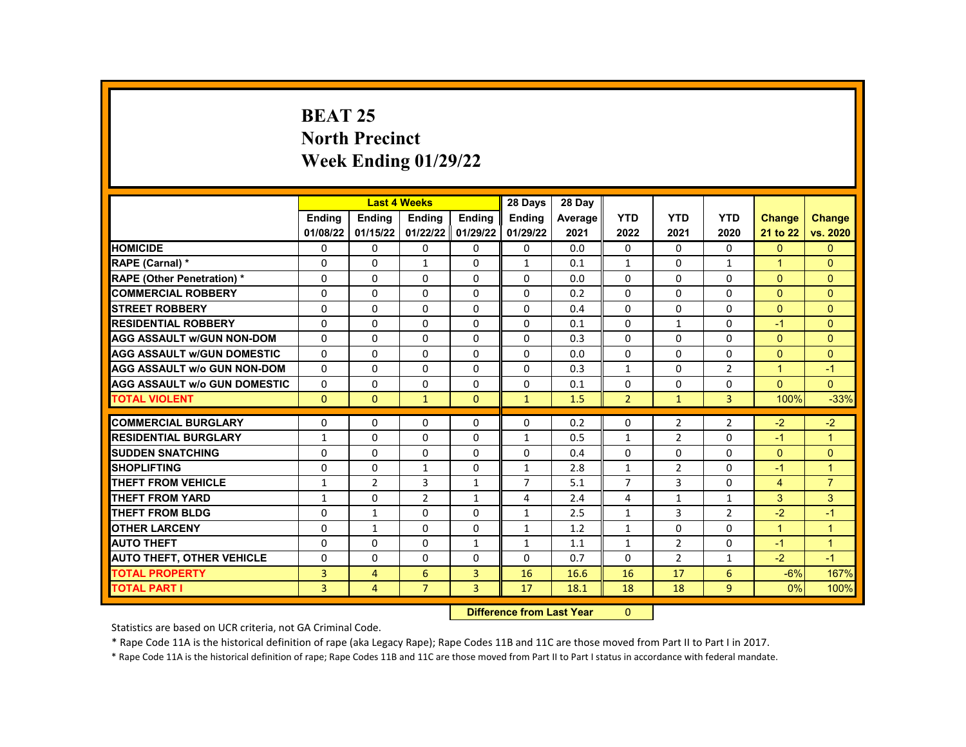# **BEAT 25 North Precinct Week Ending 01/29/22**

|                                     |                |                | <b>Last 4 Weeks</b> |                | 28 Days                   | 28 Day  |                |                |                |                      |                      |
|-------------------------------------|----------------|----------------|---------------------|----------------|---------------------------|---------|----------------|----------------|----------------|----------------------|----------------------|
|                                     | Ending         | <b>Ending</b>  | <b>Ending</b>       | Ending         | <b>Ending</b>             | Average | <b>YTD</b>     | <b>YTD</b>     | <b>YTD</b>     | Change               | <b>Change</b>        |
|                                     | 01/08/22       | 01/15/22       | 01/22/22            | 01/29/22       | 01/29/22                  | 2021    | 2022           | 2021           | 2020           | 21 to 22             | vs. 2020             |
| <b>HOMICIDE</b>                     | 0              | $\Omega$       | $\Omega$            | $\Omega$       | $\mathbf{0}$              | 0.0     | $\mathbf{0}$   | $\Omega$       | $\Omega$       | $\Omega$             | $\overline{0}$       |
| RAPE (Carnal) *                     | $\Omega$       | $\Omega$       | $\mathbf{1}$        | $\Omega$       | $\mathbf{1}$              | 0.1     | $\mathbf{1}$   | $\Omega$       | $\mathbf{1}$   | $\blacktriangleleft$ | $\Omega$             |
| <b>RAPE (Other Penetration) *</b>   | $\Omega$       | $\Omega$       | $\Omega$            | $\Omega$       | $\Omega$                  | 0.0     | $\Omega$       | $\Omega$       | $\Omega$       | $\Omega$             | $\Omega$             |
| <b>COMMERCIAL ROBBERY</b>           | 0              | $\Omega$       | $\Omega$            | $\Omega$       | $\Omega$                  | 0.2     | $\Omega$       | $\Omega$       | $\Omega$       | $\Omega$             | $\mathbf{0}$         |
| <b>STREET ROBBERY</b>               | $\Omega$       | $\Omega$       | $\Omega$            | $\Omega$       | $\Omega$                  | 0.4     | $\Omega$       | $\Omega$       | $\Omega$       | $\Omega$             | $\Omega$             |
| <b>RESIDENTIAL ROBBERY</b>          | $\Omega$       | $\Omega$       | $\Omega$            | $\Omega$       | $\Omega$                  | 0.1     | $\Omega$       | $\mathbf{1}$   | $\Omega$       | $-1$                 | $\Omega$             |
| <b>AGG ASSAULT W/GUN NON-DOM</b>    | $\Omega$       | $\Omega$       | $\Omega$            | $\Omega$       | $\Omega$                  | 0.3     | $\Omega$       | $\Omega$       | $\Omega$       | $\mathbf{0}$         | $\Omega$             |
| <b>AGG ASSAULT W/GUN DOMESTIC</b>   | 0              | $\Omega$       | $\Omega$            | $\Omega$       | $\mathbf{0}$              | 0.0     | $\Omega$       | $\Omega$       | $\Omega$       | $\mathbf{0}$         | $\mathbf{0}$         |
| <b>AGG ASSAULT W/o GUN NON-DOM</b>  | $\Omega$       | $\Omega$       | $\Omega$            | $\Omega$       | $\Omega$                  | 0.3     | $\mathbf{1}$   | $\Omega$       | $\overline{2}$ | $\overline{1}$       | $-1$                 |
| <b>AGG ASSAULT W/o GUN DOMESTIC</b> | $\Omega$       | $\Omega$       | $\Omega$            | $\Omega$       | $\Omega$                  | 0.1     | $\Omega$       | $\Omega$       | $\Omega$       | $\mathbf{0}$         | $\Omega$             |
| <b>TOTAL VIOLENT</b>                | $\Omega$       | $\Omega$       | $\mathbf{1}$        | $\Omega$       | $\mathbf{1}$              | 1.5     | $\overline{2}$ | $\mathbf{1}$   | $\overline{3}$ | 100%                 | $-33%$               |
|                                     |                |                |                     |                |                           |         |                |                |                |                      |                      |
| <b>COMMERCIAL BURGLARY</b>          | 0              | 0              | $\Omega$            | $\Omega$       | $\Omega$                  | 0.2     | $\mathbf{0}$   | $\overline{2}$ | $\overline{2}$ | $-2$                 | $-2$                 |
| <b>RESIDENTIAL BURGLARY</b>         | $\mathbf{1}$   | $\Omega$       | $\Omega$            | $\Omega$       | $\mathbf{1}$              | 0.5     | $\mathbf{1}$   | $\overline{2}$ | 0              | $-1$                 | $\overline{1}$       |
| <b>SUDDEN SNATCHING</b>             | $\Omega$       | $\Omega$       | $\Omega$            | $\Omega$       | $\Omega$                  | 0.4     | $\Omega$       | $\Omega$       | $\Omega$       | $\Omega$             | $\Omega$             |
| <b>SHOPLIFTING</b>                  | 0              | $\Omega$       | $\mathbf{1}$        | $\Omega$       | $\mathbf{1}$              | 2.8     | $\mathbf{1}$   | $\overline{2}$ | $\Omega$       | $-1$                 | $\blacktriangleleft$ |
| <b>THEFT FROM VEHICLE</b>           | $\mathbf{1}$   | $\overline{2}$ | 3                   | $\mathbf{1}$   | $\overline{7}$            | 5.1     | $\overline{7}$ | $\overline{3}$ | $\Omega$       | $\overline{4}$       | $\overline{7}$       |
| THEFT FROM YARD                     | $\mathbf{1}$   | $\Omega$       | $\overline{2}$      | $\mathbf{1}$   | 4                         | 2.4     | 4              | $\mathbf{1}$   | $\mathbf{1}$   | 3                    | 3                    |
| THEFT FROM BLDG                     | 0              | $\mathbf{1}$   | $\Omega$            | $\Omega$       | 1                         | 2.5     | $\mathbf{1}$   | 3              | $\overline{2}$ | $-2$                 | $-1$                 |
| <b>OTHER LARCENY</b>                | $\Omega$       | $\mathbf{1}$   | $\Omega$            | $\Omega$       | $\mathbf{1}$              | 1.2     | $\mathbf{1}$   | $\Omega$       | 0              | $\mathbf{1}$         | $\mathbf{1}$         |
| <b>AUTO THEFT</b>                   | $\Omega$       | $\Omega$       | $\Omega$            | $\mathbf{1}$   | $\mathbf{1}$              | 1.1     | $\mathbf{1}$   | $\overline{2}$ | $\Omega$       | $-1$                 | $\overline{1}$       |
| <b>AUTO THEFT, OTHER VEHICLE</b>    | $\Omega$       | $\Omega$       | $\Omega$            | $\Omega$       | $\Omega$                  | 0.7     | $\Omega$       | $\overline{2}$ | $\mathbf{1}$   | $-2$                 | $-1$                 |
| <b>TOTAL PROPERTY</b>               | 3              | $\overline{4}$ | 6                   | $\overline{3}$ | 16                        | 16.6    | 16             | 17             | 6              | $-6%$                | 167%                 |
| <b>TOTAL PART I</b>                 | $\overline{3}$ | $\overline{4}$ | $\overline{7}$      | $\overline{3}$ | 17                        | 18.1    | 18             | 18             | 9              | 0%                   | 100%                 |
|                                     |                |                |                     |                | Difference from Loot Voor |         | $\sim$         |                |                |                      |                      |

**Difference from Last Year** 

Statistics are based on UCR criteria, not GA Criminal Code.

\* Rape Code 11A is the historical definition of rape (aka Legacy Rape); Rape Codes 11B and 11C are those moved from Part II to Part I in 2017.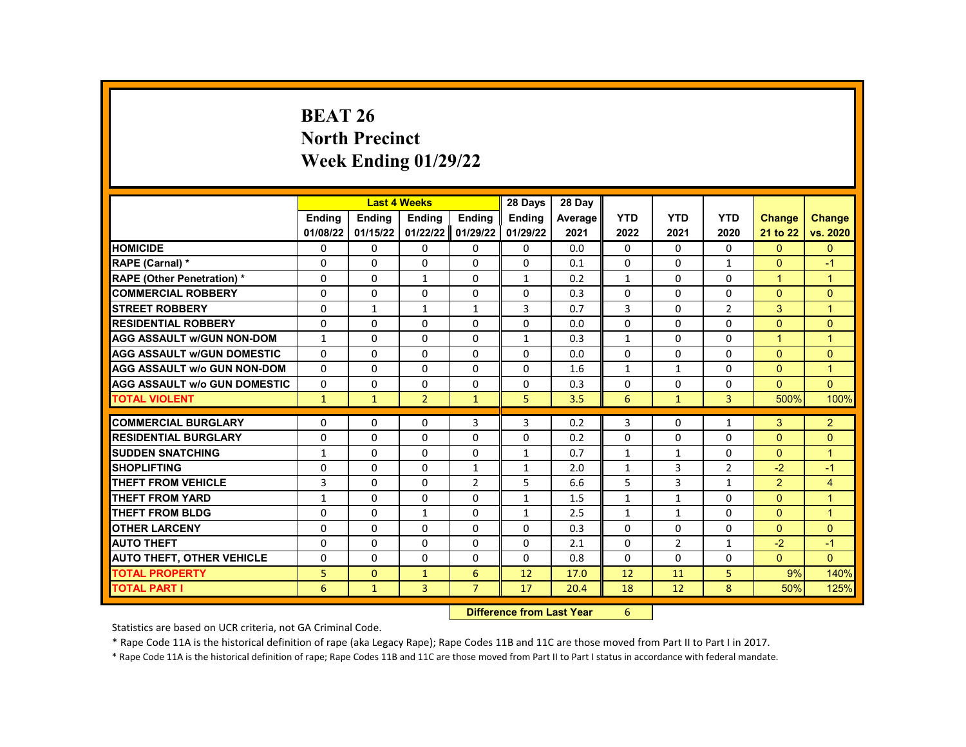# **BEAT 26 North Precinct Week Ending 01/29/22**

|                                     |               |               | <b>Last 4 Weeks</b> |                | 28 Days                   | 28 Day  |              |                |                |                |                |
|-------------------------------------|---------------|---------------|---------------------|----------------|---------------------------|---------|--------------|----------------|----------------|----------------|----------------|
|                                     | <b>Endina</b> | <b>Ending</b> | Ending              | Ending         | <b>Ending</b>             | Average | <b>YTD</b>   | <b>YTD</b>     | <b>YTD</b>     | <b>Change</b>  | <b>Change</b>  |
|                                     | 01/08/22      | 01/15/22      | 01/22/22            | 01/29/22       | 01/29/22                  | 2021    | 2022         | 2021           | 2020           | 21 to 22       | vs. 2020       |
| <b>HOMICIDE</b>                     | 0             | 0             | 0                   | 0              | 0                         | 0.0     | 0            | $\Omega$       | 0              | $\mathbf{0}$   | $\mathbf{0}$   |
| RAPE (Carnal) *                     | $\Omega$      | $\Omega$      | $\Omega$            | $\Omega$       | $\Omega$                  | 0.1     | $\Omega$     | $\Omega$       | $\mathbf{1}$   | $\Omega$       | $-1$           |
| RAPE (Other Penetration) *          | $\Omega$      | $\Omega$      | $\mathbf{1}$        | $\Omega$       | $\mathbf{1}$              | 0.2     | $\mathbf{1}$ | $\Omega$       | $\Omega$       | $\overline{1}$ | $\overline{1}$ |
| <b>COMMERCIAL ROBBERY</b>           | $\Omega$      | $\Omega$      | $\Omega$            | $\Omega$       | $\Omega$                  | 0.3     | $\Omega$     | $\Omega$       | $\Omega$       | $\Omega$       | $\Omega$       |
| <b>STREET ROBBERY</b>               | $\Omega$      | $\mathbf{1}$  | $\mathbf{1}$        | $\mathbf{1}$   | 3                         | 0.7     | 3            | $\Omega$       | $\overline{2}$ | 3              | $\mathbf{1}$   |
| <b>RESIDENTIAL ROBBERY</b>          | $\Omega$      | $\Omega$      | $\Omega$            | $\Omega$       | $\Omega$                  | 0.0     | $\Omega$     | $\Omega$       | $\Omega$       | $\Omega$       | $\Omega$       |
| <b>AGG ASSAULT w/GUN NON-DOM</b>    | $\mathbf{1}$  | 0             | 0                   | 0              | 1                         | 0.3     | $\mathbf{1}$ | $\mathbf{0}$   | 0              | $\mathbf{1}$   | $\overline{1}$ |
| <b>AGG ASSAULT w/GUN DOMESTIC</b>   | 0             | 0             | 0                   | 0              | 0                         | 0.0     | $\Omega$     | 0              | 0              | $\Omega$       | $\mathbf{0}$   |
| <b>AGG ASSAULT w/o GUN NON-DOM</b>  | $\Omega$      | $\Omega$      | $\Omega$            | $\Omega$       | $\Omega$                  | 1.6     | $\mathbf{1}$ | $\mathbf{1}$   | $\Omega$       | $\Omega$       | $\overline{1}$ |
| <b>AGG ASSAULT w/o GUN DOMESTIC</b> | $\Omega$      | $\Omega$      | $\Omega$            | 0              | 0                         | 0.3     | $\Omega$     | $\Omega$       | 0              | $\Omega$       | $\Omega$       |
| <b>TOTAL VIOLENT</b>                | $\mathbf{1}$  | $\mathbf{1}$  | $\overline{2}$      | $\mathbf{1}$   | 5                         | 3.5     | 6            | $\mathbf{1}$   | 3              | 500%           | 100%           |
|                                     |               |               |                     |                |                           |         |              |                |                |                |                |
| <b>COMMERCIAL BURGLARY</b>          | 0             | 0             | 0                   | 3              | 3                         | 0.2     | 3            | 0              | 1              | 3              | $\overline{2}$ |
| <b>RESIDENTIAL BURGLARY</b>         | $\Omega$      | $\Omega$      | $\Omega$            | $\Omega$       | $\Omega$                  | 0.2     | 0            | $\Omega$       | $\Omega$       | $\Omega$       | $\mathbf{0}$   |
| <b>SUDDEN SNATCHING</b>             | 1             | 0             | $\Omega$            | 0              | $\mathbf{1}$              | 0.7     | $\mathbf{1}$ | $\mathbf{1}$   | $\Omega$       | $\Omega$       | $\overline{1}$ |
| <b>SHOPLIFTING</b>                  | 0             | $\Omega$      | $\Omega$            | $\mathbf{1}$   | $\mathbf{1}$              | 2.0     | $\mathbf{1}$ | 3              | $\overline{2}$ | $-2$           | $-1$           |
| <b>THEFT FROM VEHICLE</b>           | 3             | $\Omega$      | $\Omega$            | $\overline{2}$ | 5                         | 6.6     | 5            | 3              | $\mathbf{1}$   | $\overline{2}$ | $\overline{4}$ |
| <b>THEFT FROM YARD</b>              | $\mathbf{1}$  | $\Omega$      | $\Omega$            | $\Omega$       | $\mathbf{1}$              | 1.5     | $\mathbf{1}$ | $\mathbf{1}$   | $\Omega$       | $\Omega$       | $\overline{1}$ |
| <b>THEFT FROM BLDG</b>              | $\Omega$      | $\Omega$      | $\mathbf{1}$        | $\Omega$       | $\mathbf{1}$              | 2.5     | $\mathbf{1}$ | 1              | $\Omega$       | $\Omega$       | $\overline{1}$ |
| <b>OTHER LARCENY</b>                | $\Omega$      | $\Omega$      | $\Omega$            | $\Omega$       | $\Omega$                  | 0.3     | $\Omega$     | $\Omega$       | $\Omega$       | $\Omega$       | $\Omega$       |
| <b>AUTO THEFT</b>                   | 0             | 0             | $\Omega$            | 0              | $\Omega$                  | 2.1     | $\Omega$     | $\overline{2}$ | $\mathbf{1}$   | $-2$           | $-1$           |
| <b>AUTO THEFT, OTHER VEHICLE</b>    | 0             | $\Omega$      | $\Omega$            | $\Omega$       | $\Omega$                  | 0.8     | 0            | $\Omega$       | 0              | $\mathbf{0}$   | $\Omega$       |
| <b>TOTAL PROPERTY</b>               | 5             | $\mathbf{0}$  | $\mathbf{1}$        | 6              | 12                        | 17.0    | 12           | 11             | 5              | 9%             | 140%           |
| <b>TOTAL PART I</b>                 | 6             | $\mathbf{1}$  | 3                   | $\overline{7}$ | 17                        | 20.4    | 18           | 12             | 8              | 50%            | 125%           |
|                                     |               |               |                     |                | Difference from Loot Voor |         | $\epsilon$   |                |                |                |                |

**Difference from Last Year** 6

Statistics are based on UCR criteria, not GA Criminal Code.

\* Rape Code 11A is the historical definition of rape (aka Legacy Rape); Rape Codes 11B and 11C are those moved from Part II to Part I in 2017.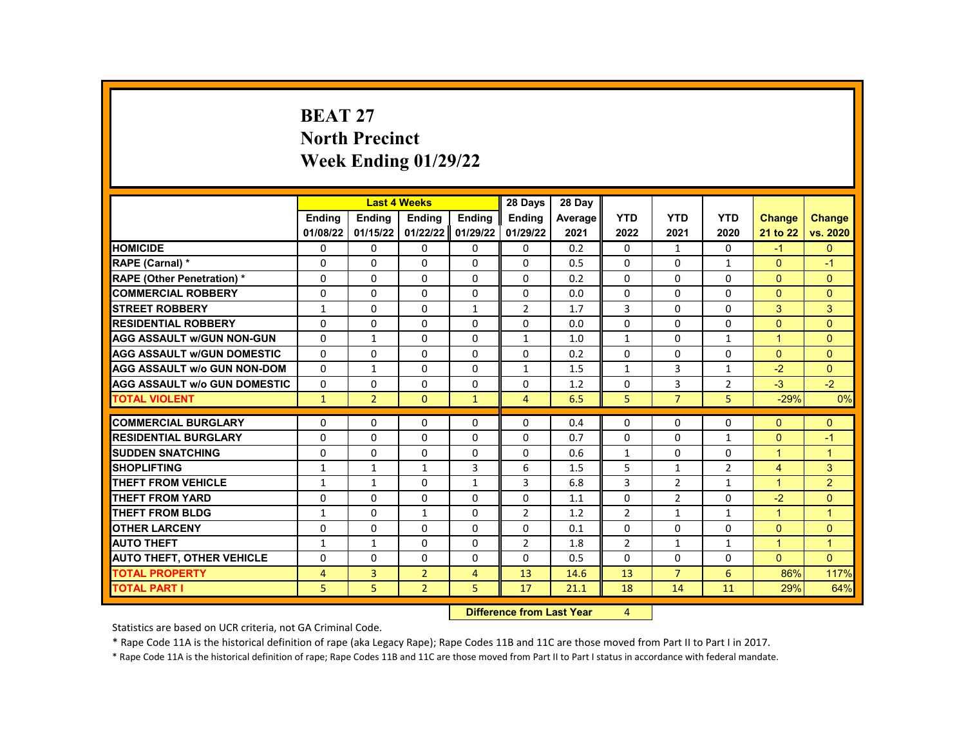# **BEAT 27 North Precinct Week Ending 01/29/22**

|                                     |                |                | <b>Last 4 Weeks</b> |                                         | 28 Days        | 28 Day  |                |                |                |                |                |
|-------------------------------------|----------------|----------------|---------------------|-----------------------------------------|----------------|---------|----------------|----------------|----------------|----------------|----------------|
|                                     | <b>Endina</b>  | <b>Ending</b>  | Ending              | Ending                                  | <b>Ending</b>  | Average | <b>YTD</b>     | <b>YTD</b>     | <b>YTD</b>     | <b>Change</b>  | <b>Change</b>  |
|                                     | 01/08/22       | 01/15/22       | 01/22/22            | 01/29/22                                | 01/29/22       | 2021    | 2022           | 2021           | 2020           | 21 to 22       | vs. 2020       |
| <b>HOMICIDE</b>                     | 0              | 0              | 0                   | 0                                       | 0              | 0.2     | 0              | $\mathbf{1}$   | 0              | $-1$           | $\mathbf{0}$   |
| RAPE (Carnal) *                     | 0              | $\Omega$       | $\Omega$            | $\Omega$                                | $\Omega$       | 0.5     | $\Omega$       | $\Omega$       | $\mathbf{1}$   | $\Omega$       | $-1$           |
| <b>RAPE (Other Penetration) *</b>   | $\Omega$       | $\Omega$       | $\Omega$            | $\Omega$                                | $\Omega$       | 0.2     | $\Omega$       | $\Omega$       | $\Omega$       | $\Omega$       | $\Omega$       |
| <b>COMMERCIAL ROBBERY</b>           | $\Omega$       | $\Omega$       | $\Omega$            | $\Omega$                                | $\Omega$       | 0.0     | $\Omega$       | $\Omega$       | $\Omega$       | $\Omega$       | $\Omega$       |
| <b>STREET ROBBERY</b>               | $\mathbf{1}$   | 0              | $\Omega$            | $\mathbf{1}$                            | $\overline{2}$ | 1.7     | 3              | $\Omega$       | $\Omega$       | 3              | 3              |
| <b>RESIDENTIAL ROBBERY</b>          | $\Omega$       | $\Omega$       | $\Omega$            | $\Omega$                                | $\Omega$       | 0.0     | $\Omega$       | $\Omega$       | $\Omega$       | $\Omega$       | $\Omega$       |
| <b>AGG ASSAULT w/GUN NON-GUN</b>    | $\Omega$       | $\mathbf{1}$   | $\Omega$            | $\Omega$                                | $\mathbf{1}$   | 1.0     | $\mathbf{1}$   | $\Omega$       | $\mathbf{1}$   | $\mathbf{1}$   | $\Omega$       |
| <b>AGG ASSAULT W/GUN DOMESTIC</b>   | $\Omega$       | 0              | $\Omega$            | 0                                       | 0              | 0.2     | 0              | $\Omega$       | $\Omega$       | $\mathbf{0}$   | $\Omega$       |
| <b>AGG ASSAULT w/o GUN NON-DOM</b>  | $\Omega$       | $\mathbf{1}$   | $\Omega$            | $\Omega$                                | 1              | 1.5     | $\mathbf{1}$   | $\overline{3}$ | $\mathbf{1}$   | $-2$           | $\Omega$       |
| <b>AGG ASSAULT w/o GUN DOMESTIC</b> | $\Omega$       | 0              | $\Omega$            | 0                                       | $\Omega$       | 1.2     | $\Omega$       | 3              | $\overline{2}$ | $-3$           | $-2$           |
| <b>TOTAL VIOLENT</b>                | $\mathbf{1}$   | $\overline{2}$ | $\mathbf{0}$        | $\mathbf{1}$                            | 4              | 6.5     | 5              | $\overline{7}$ | 5              | $-29%$         | 0%             |
|                                     |                |                |                     |                                         |                |         |                |                |                |                |                |
| <b>COMMERCIAL BURGLARY</b>          | 0              | 0              | 0                   | 0                                       | 0              | 0.4     | 0              | 0              | 0              | $\Omega$       | $\mathbf{0}$   |
| <b>RESIDENTIAL BURGLARY</b>         | $\mathbf 0$    | 0              | $\Omega$            | $\mathbf 0$                             | $\Omega$       | 0.7     | $\Omega$       | $\mathbf 0$    | $\mathbf{1}$   | $\mathbf{0}$   | $-1$           |
| <b>SUDDEN SNATCHING</b>             | $\Omega$       | $\Omega$       | $\Omega$            | $\Omega$                                | $\Omega$       | 0.6     | $\mathbf{1}$   | $\Omega$       | $\Omega$       | $\mathbf{1}$   | $\overline{1}$ |
| <b>SHOPLIFTING</b>                  | $\mathbf{1}$   | $\mathbf{1}$   | $\mathbf{1}$        | 3                                       | 6              | 1.5     | 5              | $\mathbf{1}$   | $\overline{2}$ | $\overline{4}$ | 3              |
| <b>THEFT FROM VEHICLE</b>           | $\mathbf{1}$   | $\mathbf{1}$   | $\Omega$            | $\mathbf{1}$                            | 3              | 6.8     | 3              | $\overline{2}$ | $\mathbf{1}$   | $\mathbf{1}$   | $\overline{2}$ |
| <b>THEFT FROM YARD</b>              | $\Omega$       | $\Omega$       | 0                   | $\Omega$                                | $\Omega$       | 1.1     | $\Omega$       | $\overline{2}$ | $\Omega$       | $-2$           | $\Omega$       |
| <b>THEFT FROM BLDG</b>              | $\mathbf{1}$   | $\Omega$       | $\mathbf{1}$        | 0                                       | $\overline{2}$ | 1.2     | $\overline{2}$ | $\mathbf{1}$   | $\mathbf{1}$   | $\mathbf{1}$   | $\mathbf{1}$   |
| <b>OTHER LARCENY</b>                | $\Omega$       | 0              | $\Omega$            | $\Omega$                                | $\Omega$       | 0.1     | $\Omega$       | $\Omega$       | $\Omega$       | $\mathbf{0}$   | $\Omega$       |
| <b>AUTO THEFT</b>                   | $\mathbf{1}$   | $\mathbf{1}$   | 0                   | $\Omega$                                | $\overline{2}$ | 1.8     | $\overline{2}$ | $\mathbf{1}$   | $\mathbf{1}$   | $\mathbf{1}$   | $\overline{1}$ |
| <b>AUTO THEFT, OTHER VEHICLE</b>    | $\Omega$       | $\Omega$       | $\Omega$            | $\Omega$                                | $\Omega$       | 0.5     | $\Omega$       | $\Omega$       | $\Omega$       | $\Omega$       | $\Omega$       |
| <b>TOTAL PROPERTY</b>               | $\overline{4}$ | 3              | $\overline{2}$      | $\overline{4}$                          | 13             | 14.6    | 13             | $\overline{7}$ | 6              | 86%            | 117%           |
| <b>TOTAL PART I</b>                 | 5              | 5              | $\overline{2}$      | 5                                       | 17             | 21.1    | 18             | 14             | 11             | 29%            | 64%            |
|                                     |                |                |                     | Difference from Loot Voor<br>$\sqrt{ }$ |                |         |                |                |                |                |                |

**Difference from Last Year** 

Statistics are based on UCR criteria, not GA Criminal Code.

\* Rape Code 11A is the historical definition of rape (aka Legacy Rape); Rape Codes 11B and 11C are those moved from Part II to Part I in 2017.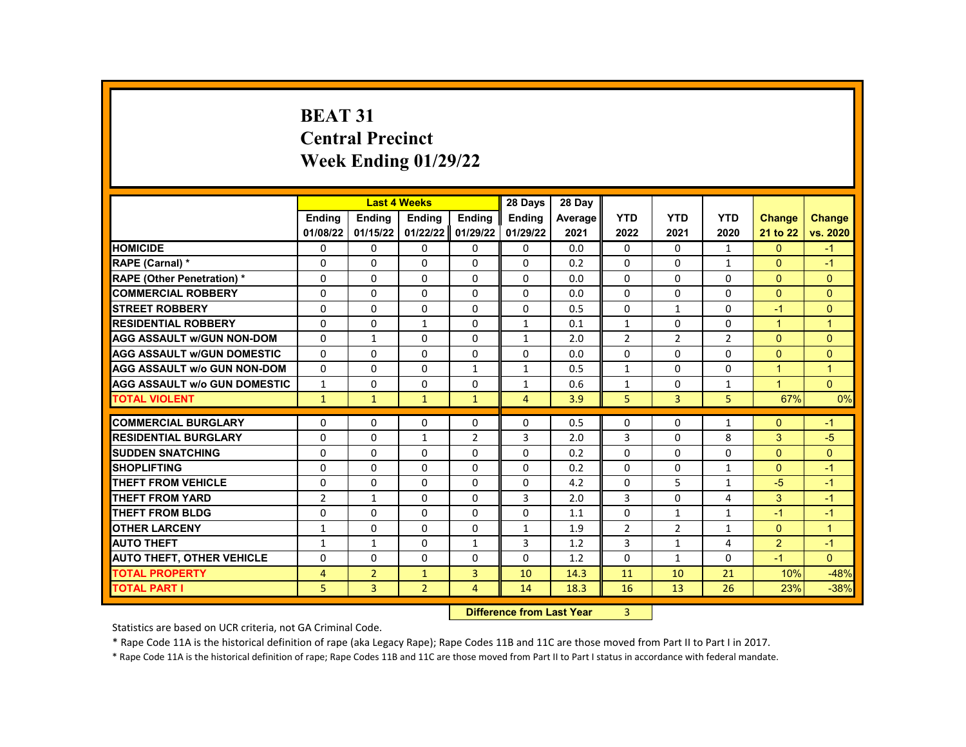# **BEAT 31 Central Precinct Week Ending 01/29/22**

|                                     |                |                | <b>Last 4 Weeks</b>      |                | 28 Days                    | 28 Day  |                |                          |                         |                  |                |
|-------------------------------------|----------------|----------------|--------------------------|----------------|----------------------------|---------|----------------|--------------------------|-------------------------|------------------|----------------|
|                                     | <b>Endina</b>  | <b>Endina</b>  | <b>Endina</b>            | <b>Endina</b>  | <b>Endina</b>              | Average | <b>YTD</b>     | <b>YTD</b>               | <b>YTD</b>              | <b>Change</b>    | Change         |
|                                     | 01/08/22       | 01/15/22       | 01/22/22                 | 01/29/22       | 01/29/22                   | 2021    | 2022           | 2021                     | 2020                    | 21 to 22         | vs. 2020       |
| <b>HOMICIDE</b>                     | 0              | 0              | 0                        | 0              | 0                          | 0.0     | 0              | 0                        | 1                       | $\mathbf{0}$     | $-1$           |
| RAPE (Carnal) *                     | 0              | 0              | $\Omega$                 | 0              | $\Omega$                   | 0.2     | $\Omega$       | $\Omega$                 | $\mathbf{1}$            | $\Omega$         | $-1$           |
| <b>RAPE (Other Penetration) *</b>   | $\Omega$       | $\Omega$       | $\Omega$                 | $\Omega$       | $\Omega$                   | 0.0     | $\Omega$       | $\Omega$                 | $\Omega$                | $\Omega$         | $\Omega$       |
| <b>COMMERCIAL ROBBERY</b>           | $\Omega$       | 0              | $\Omega$                 | $\mathbf 0$    | 0                          | 0.0     | $\Omega$       | 0                        | 0                       | $\mathbf{0}$     | $\Omega$       |
| <b>STREET ROBBERY</b>               | $\Omega$       | 0              | $\Omega$                 | 0              | $\Omega$                   | 0.5     | $\Omega$       | $\mathbf{1}$             | $\Omega$                | $-1$             | $\Omega$       |
| <b>RESIDENTIAL ROBBERY</b>          | $\Omega$       | $\Omega$       | $\mathbf{1}$             | $\Omega$       | $\mathbf{1}$               | 0.1     | $\mathbf{1}$   | $\Omega$                 | $\Omega$                | $\mathbf{1}$     | $\overline{1}$ |
| <b>AGG ASSAULT w/GUN NON-DOM</b>    | 0              | $\mathbf{1}$   | 0                        | $\Omega$       | $\mathbf{1}$               | 2.0     | $\overline{2}$ | $\overline{2}$           | 2                       | $\mathbf{0}$     | $\Omega$       |
| <b>AGG ASSAULT w/GUN DOMESTIC</b>   | 0              | 0              | 0                        | 0              | 0                          | 0.0     | $\Omega$       | $\Omega$                 | $\Omega$                | $\Omega$         | $\Omega$       |
| <b>AGG ASSAULT w/o GUN NON-DOM</b>  | $\Omega$       | $\Omega$       | $\Omega$                 | $\mathbf{1}$   | $\mathbf{1}$               | 0.5     | $\mathbf{1}$   | $\Omega$                 | $\Omega$                | $\mathbf{1}$     | $\overline{1}$ |
| <b>AGG ASSAULT w/o GUN DOMESTIC</b> | $\mathbf{1}$   | 0              | 0                        | 0              | 1                          | 0.6     | 1              | 0                        | $\mathbf{1}$            | 1                | $\Omega$       |
| <b>TOTAL VIOLENT</b>                | $\mathbf{1}$   | $\mathbf{1}$   | $\mathbf{1}$             | $\mathbf{1}$   | 4                          | 3.9     | 5              | 3                        | 5                       | 67%              | 0%             |
| <b>COMMERCIAL BURGLARY</b>          |                |                | 0                        |                |                            | 0.5     |                |                          |                         | $\Omega$         | $-1$           |
| <b>RESIDENTIAL BURGLARY</b>         | 0<br>$\Omega$  | 0              |                          | 0              | 0<br>3                     |         | 0<br>3         | 0                        | 1<br>8                  | 3                | $-5$           |
| <b>SUDDEN SNATCHING</b>             | $\Omega$       | 0              | $\mathbf{1}$<br>$\Omega$ | $\overline{2}$ | $\Omega$                   | 2.0     | $\Omega$       | $\mathbf{0}$<br>$\Omega$ | $\Omega$                | $\Omega$         | $\Omega$       |
|                                     |                | $\Omega$       |                          | $\Omega$       |                            | 0.2     |                |                          |                         |                  |                |
| <b>SHOPLIFTING</b>                  | $\Omega$       | $\Omega$       | $\Omega$                 | $\Omega$       | 0                          | 0.2     | 0              | $\Omega$<br>5            | $\mathbf{1}$            | $\Omega$<br>$-5$ | $-1$           |
| <b>THEFT FROM VEHICLE</b>           | $\Omega$       | $\Omega$       | $\Omega$                 | $\Omega$       | $\Omega$                   | 4.2     | $\Omega$       |                          | $\mathbf{1}$            |                  | $-1$           |
| <b>THEFT FROM YARD</b>              | $\overline{2}$ | $\mathbf{1}$   | $\Omega$                 | $\Omega$       | 3                          | 2.0     | 3              | 0                        | 4                       | 3                | $-1$           |
| <b>THEFT FROM BLDG</b>              | $\Omega$       | 0              | $\Omega$                 | 0              | 0                          | 1.1     | 0              | $\mathbf{1}$             | $\mathbf{1}$            | $-1$             | $-1$           |
| <b>OTHER LARCENY</b>                | $\mathbf{1}$   | 0              | 0                        | 0              | 1                          | 1.9     | $\overline{2}$ | $\overline{2}$           | $\mathbf{1}$            | $\mathbf{0}$     | $\overline{1}$ |
| <b>AUTO THEFT</b>                   | $\mathbf{1}$   | $\mathbf{1}$   | $\Omega$                 | $\mathbf{1}$   | 3                          | 1.2     | 3              | $\mathbf{1}$             | $\overline{\mathbf{A}}$ | 2                | $-1$           |
| <b>AUTO THEFT, OTHER VEHICLE</b>    | $\Omega$       | $\Omega$       | $\Omega$                 | $\Omega$       | 0                          | 1.2     | $\Omega$       | $\mathbf{1}$             | $\Omega$                | $-1$             | $\Omega$       |
| <b>TOTAL PROPERTY</b>               | $\overline{4}$ | $\overline{2}$ | $\mathbf{1}$             | 3              | 10                         | 14.3    | 11             | 10                       | 21                      | 10%              | $-48%$         |
| <b>TOTAL PART I</b>                 | 5              | 3              | $\overline{2}$           | $\overline{4}$ | 14                         | 18.3    | 16             | 13                       | 26                      | 23%              | $-38%$         |
|                                     |                |                |                          |                | Difference from Least Vaca |         | $\sim$         |                          |                         |                  |                |

**Difference from Last Year** 3

Statistics are based on UCR criteria, not GA Criminal Code.

\* Rape Code 11A is the historical definition of rape (aka Legacy Rape); Rape Codes 11B and 11C are those moved from Part II to Part I in 2017.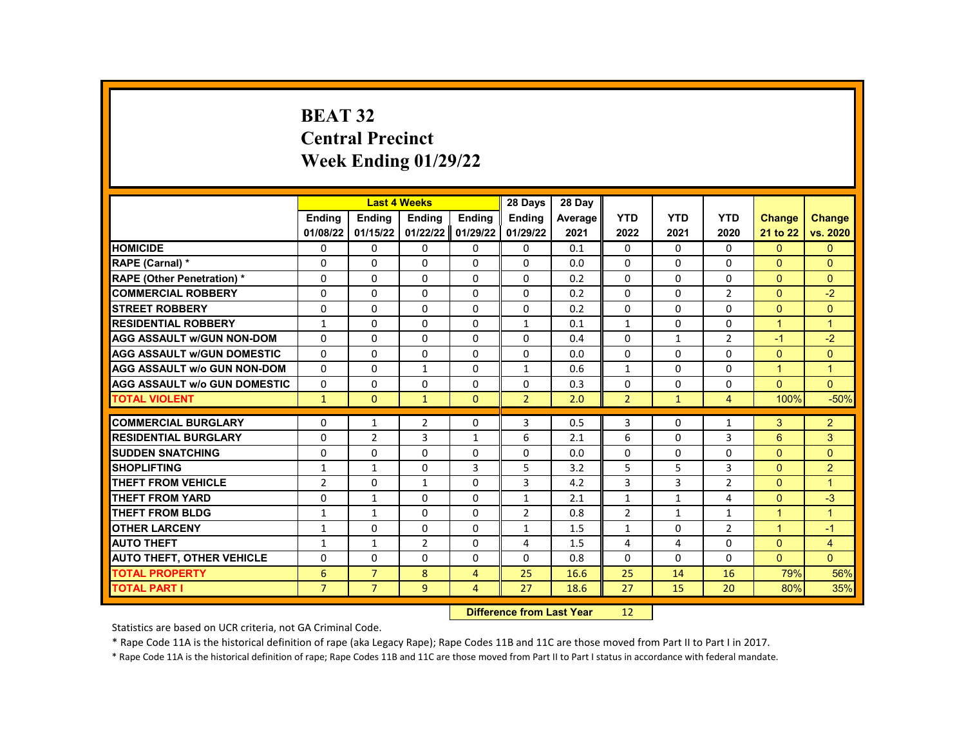# **BEAT 32 Central Precinct Week Ending 01/29/22**

|                                     |                |                | <b>Last 4 Weeks</b> |                | 28 Days                   | 28 Day  |                |              |                |                      |                |
|-------------------------------------|----------------|----------------|---------------------|----------------|---------------------------|---------|----------------|--------------|----------------|----------------------|----------------|
|                                     | <b>Endina</b>  | <b>Endina</b>  | <b>Ending</b>       | <b>Ending</b>  | <b>Endina</b>             | Average | <b>YTD</b>     | <b>YTD</b>   | <b>YTD</b>     | <b>Change</b>        | <b>Change</b>  |
|                                     | 01/08/22       | 01/15/22       | 01/22/22            | 01/29/22       | 01/29/22                  | 2021    | 2022           | 2021         | 2020           | 21 to 22             | vs. 2020       |
| <b>HOMICIDE</b>                     | 0              | 0              | 0                   | 0              | 0                         | 0.1     | 0              | $\mathbf{0}$ | 0              | $\mathbf{0}$         | $\mathbf{0}$   |
| RAPE (Carnal) *                     | 0              | $\Omega$       | $\Omega$            | $\Omega$       | $\Omega$                  | 0.0     | $\Omega$       | $\Omega$     | $\Omega$       | $\Omega$             | $\Omega$       |
| <b>RAPE (Other Penetration) *</b>   | $\Omega$       | $\Omega$       | $\Omega$            | $\Omega$       | $\Omega$                  | 0.2     | $\Omega$       | $\Omega$     | $\Omega$       | $\Omega$             | $\Omega$       |
| <b>COMMERCIAL ROBBERY</b>           | $\Omega$       | 0              | 0                   | 0              | 0                         | 0.2     | $\Omega$       | 0            | $\overline{2}$ | $\Omega$             | $-2$           |
| <b>STREET ROBBERY</b>               | $\Omega$       | $\Omega$       | $\Omega$            | $\Omega$       | $\Omega$                  | 0.2     | $\Omega$       | $\Omega$     | $\Omega$       | $\Omega$             | $\mathbf{0}$   |
| <b>RESIDENTIAL ROBBERY</b>          | $\mathbf{1}$   | $\Omega$       | $\Omega$            | $\Omega$       | $\mathbf{1}$              | 0.1     | $\mathbf{1}$   | $\Omega$     | $\Omega$       | $\mathbf{1}$         | $\mathbf{1}$   |
| <b>AGG ASSAULT w/GUN NON-DOM</b>    | $\Omega$       | 0              | $\Omega$            | 0              | 0                         | 0.4     | $\Omega$       | $\mathbf{1}$ | $\overline{2}$ | $-1$                 | $-2$           |
| <b>AGG ASSAULT w/GUN DOMESTIC</b>   | $\Omega$       | $\Omega$       | $\Omega$            | $\Omega$       | $\Omega$                  | 0.0     | $\Omega$       | $\Omega$     | $\Omega$       | $\Omega$             | $\Omega$       |
| <b>AGG ASSAULT w/o GUN NON-DOM</b>  | $\Omega$       | $\Omega$       | $\mathbf{1}$        | $\Omega$       | $\mathbf{1}$              | 0.6     | $\mathbf{1}$   | $\Omega$     | $\Omega$       | $\mathbf{1}$         | $\mathbf{1}$   |
| <b>AGG ASSAULT w/o GUN DOMESTIC</b> | 0              | 0              | 0                   | 0              | 0                         | 0.3     | 0              | 0            | 0              | $\Omega$             | $\Omega$       |
| <b>TOTAL VIOLENT</b>                | $\mathbf{1}$   | $\mathbf{0}$   | $\mathbf{1}$        | $\Omega$       | $\overline{2}$            | 2.0     | $\overline{2}$ | $\mathbf{1}$ | $\overline{4}$ | 100%                 | $-50%$         |
| <b>COMMERCIAL BURGLARY</b>          |                |                |                     |                |                           |         |                |              |                |                      |                |
|                                     | 0              | 1              | 2                   | 0              | 3                         | 0.5     | 3              | 0            | 1              | 3                    | $\overline{2}$ |
| <b>RESIDENTIAL BURGLARY</b>         | $\Omega$       | $\overline{2}$ | 3                   | $\mathbf{1}$   | 6                         | 2.1     | 6              | $\Omega$     | 3              | 6                    | 3              |
| <b>SUDDEN SNATCHING</b>             | $\Omega$       | $\Omega$       | $\Omega$            | $\Omega$       | $\Omega$                  | 0.0     | $\Omega$       | $\Omega$     | $\Omega$       | $\Omega$             | $\Omega$       |
| <b>SHOPLIFTING</b>                  | $\mathbf{1}$   | $\mathbf{1}$   | 0                   | 3              | 5                         | 3.2     | 5              | 5            | 3              | $\Omega$             | $\overline{2}$ |
| <b>THEFT FROM VEHICLE</b>           | $\overline{2}$ | 0              | $\mathbf{1}$        | $\Omega$       | 3                         | 4.2     | 3              | 3            | $\overline{2}$ | $\Omega$             | $\mathbf{1}$   |
| <b>THEFT FROM YARD</b>              | $\Omega$       | $\mathbf{1}$   | $\Omega$            | $\Omega$       | $\mathbf{1}$              | 2.1     | $\mathbf{1}$   | $\mathbf{1}$ | 4              | $\Omega$             | $-3$           |
| <b>THEFT FROM BLDG</b>              | $\mathbf{1}$   | $\mathbf{1}$   | 0                   | $\Omega$       | $\overline{2}$            | 0.8     | $\overline{2}$ | $\mathbf{1}$ | $\mathbf{1}$   | $\blacktriangleleft$ | $\overline{1}$ |
| <b>OTHER LARCENY</b>                | $\mathbf{1}$   | 0              | $\Omega$            | $\Omega$       | $\mathbf{1}$              | 1.5     | $\mathbf{1}$   | $\Omega$     | $\overline{2}$ | $\mathbf{1}$         | $-1$           |
| <b>AUTO THEFT</b>                   | 1              | $\mathbf{1}$   | $\overline{2}$      | 0              | 4                         | 1.5     | 4              | 4            | $\Omega$       | $\Omega$             | $\overline{4}$ |
| <b>AUTO THEFT, OTHER VEHICLE</b>    | $\Omega$       | $\Omega$       | $\Omega$            | $\Omega$       | $\Omega$                  | 0.8     | $\Omega$       | $\Omega$     | $\Omega$       | $\Omega$             | $\Omega$       |
| <b>TOTAL PROPERTY</b>               | 6              | $\overline{7}$ | 8                   | $\overline{4}$ | 25                        | 16.6    | 25             | 14           | 16             | 79%                  | 56%            |
| <b>TOTAL PART I</b>                 | $\overline{7}$ | $\overline{7}$ | 9                   | $\overline{4}$ | 27                        | 18.6    | 27             | 15           | 20             | 80%                  | 35%            |
|                                     |                |                |                     |                | Difference from Loot Voor |         | 12             |              |                |                      |                |

**Difference from Last Year** 12

Statistics are based on UCR criteria, not GA Criminal Code.

\* Rape Code 11A is the historical definition of rape (aka Legacy Rape); Rape Codes 11B and 11C are those moved from Part II to Part I in 2017.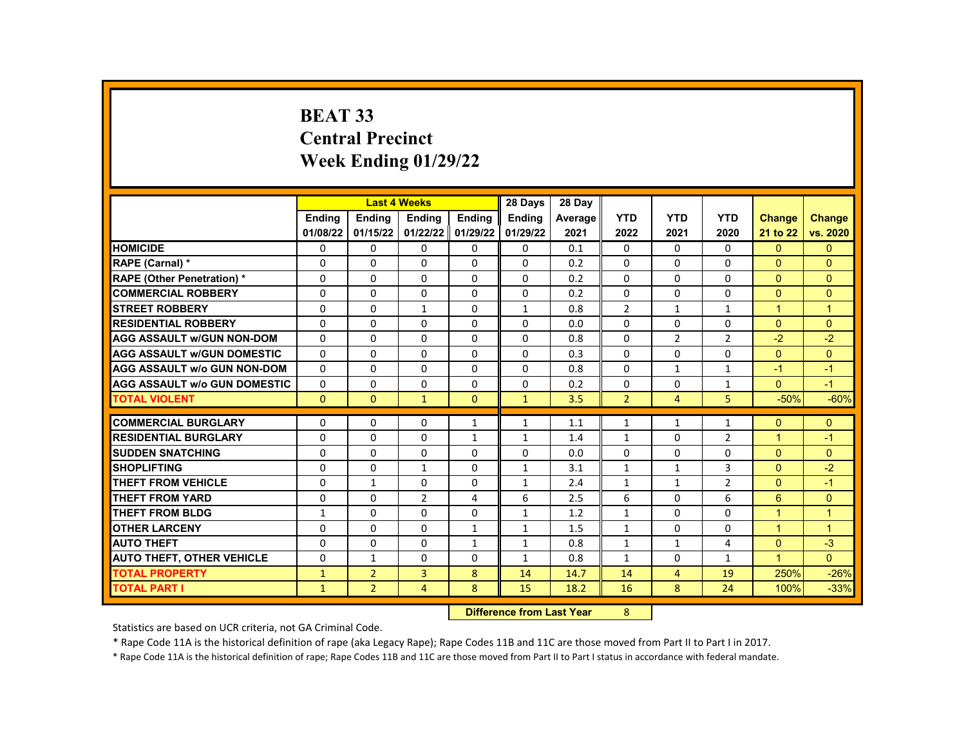# **BEAT 33 Central Precinct Week Ending 01/29/22**

|                                     |               | <b>Last 4 Weeks</b> |                   |               | 28 Days       | 28 Day  |                |                |                |                      |                |
|-------------------------------------|---------------|---------------------|-------------------|---------------|---------------|---------|----------------|----------------|----------------|----------------------|----------------|
|                                     | <b>Endina</b> | <b>Endina</b>       | <b>Endina</b>     | <b>Endina</b> | <b>Endina</b> | Average | <b>YTD</b>     | <b>YTD</b>     | <b>YTD</b>     | <b>Change</b>        | <b>Change</b>  |
|                                     | 01/08/22      | 01/15/22            | 01/22/22 01/29/22 |               | 01/29/22      | 2021    | 2022           | 2021           | 2020           | 21 to 22             | vs. 2020       |
| <b>HOMICIDE</b>                     | 0             | 0                   | 0                 | 0             | 0             | 0.1     | 0              | 0              | 0              | $\mathbf{0}$         | $\mathbf{0}$   |
| RAPE (Carnal) *                     | $\Omega$      | $\Omega$            | $\Omega$          | 0             | $\Omega$      | 0.2     | $\Omega$       | $\Omega$       | $\Omega$       | $\Omega$             | $\Omega$       |
| <b>RAPE (Other Penetration) *</b>   | $\Omega$      | $\Omega$            | $\Omega$          | $\Omega$      | $\Omega$      | 0.2     | $\Omega$       | $\Omega$       | $\Omega$       | $\Omega$             | $\Omega$       |
| <b>COMMERCIAL ROBBERY</b>           | $\Omega$      | $\Omega$            | $\Omega$          | $\Omega$      | $\Omega$      | 0.2     | $\Omega$       | $\Omega$       | $\Omega$       | $\Omega$             | $\Omega$       |
| <b>STREET ROBBERY</b>               | 0             | 0                   | $\mathbf{1}$      | $\Omega$      | $\mathbf{1}$  | 0.8     | $\overline{2}$ | $\mathbf{1}$   | $\mathbf{1}$   | $\blacktriangleleft$ | $\overline{1}$ |
| <b>RESIDENTIAL ROBBERY</b>          | $\mathbf 0$   | $\Omega$            | $\Omega$          | $\Omega$      | $\Omega$      | 0.0     | $\Omega$       | $\Omega$       | $\Omega$       | $\Omega$             | $\Omega$       |
| <b>AGG ASSAULT W/GUN NON-DOM</b>    | $\Omega$      | 0                   | 0                 | 0             | $\Omega$      | 0.8     | $\Omega$       | $\overline{2}$ | $\overline{2}$ | $-2$                 | $-2$           |
| AGG ASSAULT W/GUN DOMESTIC          | $\Omega$      | $\Omega$            | 0                 | $\Omega$      | $\Omega$      | 0.3     | $\Omega$       | $\Omega$       | $\Omega$       | $\Omega$             | $\Omega$       |
| <b>AGG ASSAULT W/o GUN NON-DOM</b>  | $\Omega$      | $\Omega$            | $\Omega$          | $\Omega$      | $\Omega$      | 0.8     | $\Omega$       | $\mathbf{1}$   | $\mathbf{1}$   | $-1$                 | $-1$           |
| <b>AGG ASSAULT W/o GUN DOMESTIC</b> | $\Omega$      | $\Omega$            | 0                 | 0             | $\Omega$      | 0.2     | $\Omega$       | $\Omega$       | $\mathbf{1}$   | $\Omega$             | $-1$           |
| <b>TOTAL VIOLENT</b>                | $\mathbf{0}$  | $\mathbf{0}$        | $\mathbf{1}$      | $\mathbf{0}$  | $\mathbf{1}$  | 3.5     | $\overline{2}$ | 4              | 5              | $-50%$               | $-60%$         |
|                                     |               |                     |                   |               |               |         |                |                |                |                      |                |
| <b>COMMERCIAL BURGLARY</b>          | 0             | 0                   | 0                 | $\mathbf{1}$  | $\mathbf{1}$  | 1.1     | $\mathbf{1}$   | $\mathbf{1}$   | 1              | $\Omega$             | $\Omega$       |
| <b>RESIDENTIAL BURGLARY</b>         | $\Omega$      | 0                   | $\Omega$          | $\mathbf{1}$  | $\mathbf{1}$  | 1.4     | $\mathbf{1}$   | $\Omega$       | $\overline{2}$ | $\mathbf{1}$         | $-1$           |
| <b>SUDDEN SNATCHING</b>             | 0             | $\Omega$            | $\Omega$          | $\mathbf{0}$  | 0             | 0.0     | $\Omega$       | 0              | $\Omega$       | $\Omega$             | $\Omega$       |
| <b>SHOPLIFTING</b>                  | 0             | 0                   | $\mathbf{1}$      | $\mathbf{0}$  | $\mathbf{1}$  | 3.1     | $\mathbf{1}$   | $\mathbf{1}$   | 3              | $\mathbf{0}$         | $-2$           |
| <b>THEFT FROM VEHICLE</b>           | $\Omega$      | $\mathbf{1}$        | 0                 | $\mathbf{0}$  | $\mathbf{1}$  | 2.4     | $\mathbf{1}$   | $\mathbf{1}$   | $\overline{2}$ | $\Omega$             | $-1$           |
| <b>THEFT FROM YARD</b>              | $\Omega$      | $\Omega$            | $\overline{2}$    | 4             | 6             | 2.5     | 6              | $\Omega$       | 6              | 6                    | $\Omega$       |
| <b>THEFT FROM BLDG</b>              | $\mathbf{1}$  | $\Omega$            | $\Omega$          | 0             | $\mathbf{1}$  | 1.2     | $\mathbf{1}$   | $\Omega$       | $\Omega$       | $\mathbf{1}$         | $\overline{1}$ |
| <b>OTHER LARCENY</b>                | $\Omega$      | $\Omega$            | $\Omega$          | $\mathbf{1}$  | $\mathbf{1}$  | 1.5     | $\mathbf{1}$   | $\Omega$       | $\Omega$       | $\mathbf{1}$         | $\overline{1}$ |
| <b>AUTO THEFT</b>                   | $\Omega$      | $\Omega$            | $\Omega$          | $\mathbf{1}$  | $\mathbf{1}$  | 0.8     | $\mathbf{1}$   | $\mathbf{1}$   | 4              | $\Omega$             | $-3$           |
| <b>AUTO THEFT, OTHER VEHICLE</b>    | 0             | $\mathbf{1}$        | 0                 | 0             | $\mathbf{1}$  | 0.8     | $\mathbf{1}$   | 0              | $\mathbf{1}$   | $\mathbf{1}$         | $\Omega$       |
| <b>TOTAL PROPERTY</b>               | $\mathbf{1}$  | $\overline{2}$      | 3                 | 8             | 14            | 14.7    | 14             | 4              | 19             | 250%                 | $-26%$         |
| <b>TOTAL PART I</b>                 | $\mathbf{1}$  | $\overline{2}$      | 4                 | 8             | 15            | 18.2    | 16             | 8              | 24             | 100%                 | $-33%$         |
|                                     |               |                     |                   | <b>PARKER</b> |               |         |                |                |                |                      |                |

**Difference from Last Year** 8

Statistics are based on UCR criteria, not GA Criminal Code.

\* Rape Code 11A is the historical definition of rape (aka Legacy Rape); Rape Codes 11B and 11C are those moved from Part II to Part I in 2017.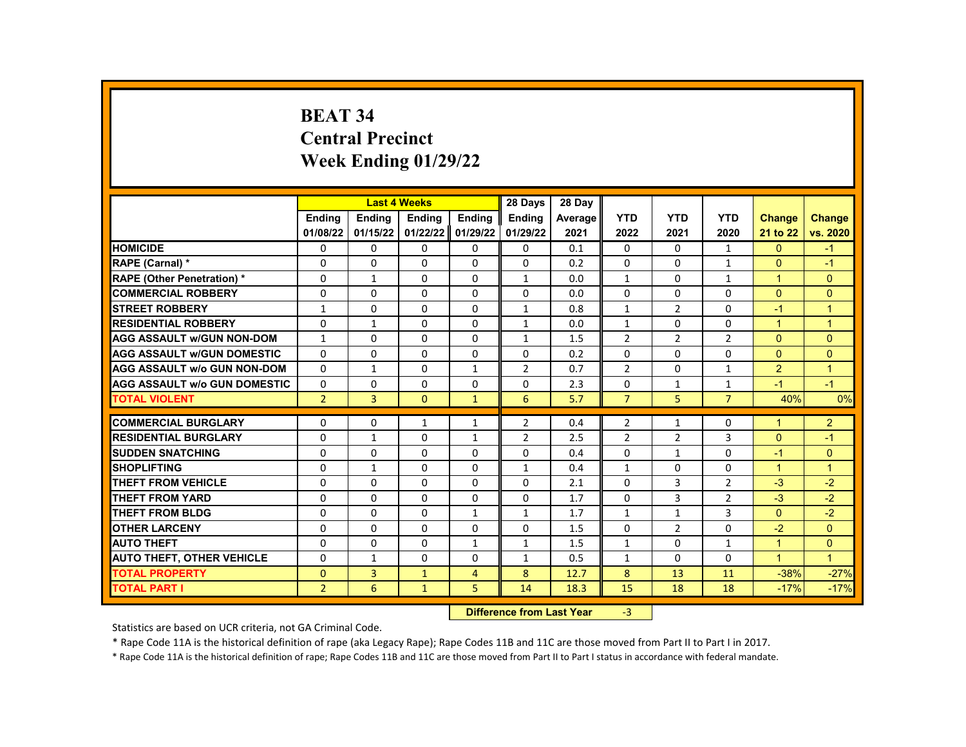# **BEAT 34 Central Precinct Week Ending 01/29/22**

|                                                           |                |               | <b>Last 4 Weeks</b> |                              | 28 Days                   | 28 Day     |                |                |                |                |                        |
|-----------------------------------------------------------|----------------|---------------|---------------------|------------------------------|---------------------------|------------|----------------|----------------|----------------|----------------|------------------------|
|                                                           | <b>Endina</b>  | <b>Endina</b> | <b>Ending</b>       | <b>Ending</b>                | <b>Endina</b>             | Average    | <b>YTD</b>     | <b>YTD</b>     | <b>YTD</b>     | <b>Change</b>  | <b>Change</b>          |
|                                                           | 01/08/22       | 01/15/22      | 01/22/22            | 01/29/22                     | 01/29/22                  | 2021       | 2022           | 2021           | 2020           | 21 to 22       | vs. 2020               |
| <b>HOMICIDE</b>                                           | 0              | 0             | 0                   | 0                            | 0                         | 0.1        | $\mathbf{0}$   | $\mathbf{0}$   | 1              | $\mathbf{0}$   | $-1$                   |
| RAPE (Carnal) *                                           | 0              | 0             | $\Omega$            | 0                            | $\Omega$                  | 0.2        | $\Omega$       | $\mathbf{0}$   | $\mathbf{1}$   | $\Omega$       | $-1$                   |
| <b>RAPE (Other Penetration) *</b>                         | $\Omega$       | $\mathbf{1}$  | $\Omega$            | $\Omega$                     | 1                         | 0.0        | $\mathbf{1}$   | $\Omega$       | $\mathbf{1}$   | $\mathbf{1}$   | $\Omega$               |
| <b>COMMERCIAL ROBBERY</b>                                 | $\Omega$       | $\Omega$      | $\Omega$            | $\Omega$                     | $\Omega$                  | 0.0        | $\Omega$       | 0              | $\Omega$       | $\Omega$       | $\Omega$               |
| <b>STREET ROBBERY</b>                                     | $\mathbf{1}$   | 0             | 0                   | 0                            | 1                         | 0.8        | $\mathbf{1}$   | $\overline{2}$ | $\Omega$       | $-1$           | $\overline{1}$         |
| <b>RESIDENTIAL ROBBERY</b>                                | $\Omega$       | $\mathbf{1}$  | $\Omega$            | $\Omega$                     | $\mathbf{1}$              | 0.0        | $\mathbf{1}$   | 0              | $\Omega$       | $\mathbf{1}$   | $\overline{1}$         |
| <b>AGG ASSAULT w/GUN NON-DOM</b>                          | $\mathbf{1}$   | 0             | $\Omega$            | $\mathbf 0$                  | $\mathbf{1}$              | 1.5        | $\overline{2}$ | $\overline{2}$ | $\overline{2}$ | $\Omega$       | $\Omega$               |
| <b>AGG ASSAULT w/GUN DOMESTIC</b>                         | $\Omega$       | $\Omega$      | $\Omega$            | $\Omega$                     | 0                         | 0.2        | $\Omega$       | $\Omega$       | $\Omega$       | $\Omega$       | $\Omega$               |
| <b>AGG ASSAULT w/o GUN NON-DOM</b>                        | $\Omega$       | $\mathbf{1}$  | $\Omega$            | $\mathbf{1}$                 | $\overline{2}$            | 0.7        | $\overline{2}$ | $\Omega$       | $\mathbf{1}$   | $\overline{2}$ | $\overline{1}$         |
| <b>AGG ASSAULT w/o GUN DOMESTIC</b>                       | $\Omega$       | 0             | 0                   | 0                            | 0                         | 2.3        | 0              | 1              | 1              | $-1$           | $-1$                   |
| <b>TOTAL VIOLENT</b>                                      | $\overline{2}$ | 3             | $\mathbf{0}$        | $\mathbf{1}$                 | 6                         | 5.7        | $\overline{7}$ | 5              | $\overline{7}$ | 40%            | 0%                     |
| <b>COMMERCIAL BURGLARY</b>                                | 0              | 0             | $\mathbf{1}$        | 1                            | $\overline{2}$            | 0.4        | $\overline{2}$ | 1              | 0              | 1              |                        |
| <b>RESIDENTIAL BURGLARY</b>                               | $\Omega$       | $\mathbf{1}$  | $\Omega$            |                              | $\overline{2}$            | 2.5        | $\overline{2}$ | $\overline{2}$ | 3              | $\Omega$       | $\overline{2}$<br>$-1$ |
| <b>SUDDEN SNATCHING</b>                                   | $\Omega$       | $\Omega$      | $\Omega$            | $\mathbf{1}$<br>$\mathbf{0}$ | 0                         | 0.4        | $\Omega$       | $\mathbf{1}$   | $\Omega$       | $-1$           | $\Omega$               |
| <b>SHOPLIFTING</b>                                        |                | $\mathbf{1}$  | 0                   |                              | 1                         |            | $\mathbf{1}$   | $\Omega$       | 0              | 1              | $\mathbf{1}$           |
| <b>THEFT FROM VEHICLE</b>                                 | 0<br>$\Omega$  | $\mathbf 0$   | $\Omega$            | 0<br>0                       | $\Omega$                  | 0.4<br>2.1 | $\Omega$       | 3              | $\overline{2}$ | $-3$           | $-2$                   |
| <b>THEFT FROM YARD</b>                                    | $\Omega$       | $\Omega$      | $\Omega$            | $\Omega$                     | $\Omega$                  | 1.7        | $\Omega$       | 3              | $\overline{2}$ | $-3$           | $-2$                   |
| <b>THEFT FROM BLDG</b>                                    | $\Omega$       | $\Omega$      | $\Omega$            | $\mathbf{1}$                 | $\mathbf{1}$              | 1.7        | $\mathbf{1}$   | $\mathbf{1}$   | 3              | $\Omega$       | $-2$                   |
| <b>OTHER LARCENY</b>                                      | 0              | 0             | $\Omega$            | 0                            | 0                         | 1.5        | 0              | $\overline{2}$ | 0              | $-2$           | $\mathbf{0}$           |
| <b>AUTO THEFT</b>                                         | 0              | $\mathbf{0}$  | 0                   | $\mathbf{1}$                 |                           | 1.5        | $\mathbf{1}$   | $\Omega$       | $\mathbf{1}$   | $\mathbf{1}$   | $\Omega$               |
|                                                           | $\Omega$       | $\mathbf{1}$  | $\Omega$            | $\Omega$                     | $\mathbf{1}$              | 0.5        | $\mathbf{1}$   | 0              | 0              | $\mathbf{1}$   | $\overline{1}$         |
| <b>AUTO THEFT, OTHER VEHICLE</b><br><b>TOTAL PROPERTY</b> | $\mathbf{0}$   | 3             |                     |                              | $\mathbf{1}$<br>8         | 12.7       | 8              | 13             | 11             | $-38%$         |                        |
| <b>TOTAL PART I</b>                                       | $\overline{2}$ | 6             | $\mathbf{1}$        | 4<br>5                       | 14                        |            |                | 18             | 18             |                | $-27%$<br>$-17%$       |
|                                                           |                |               | $\mathbf{1}$        |                              |                           | 18.3       | 15             |                |                | $-17%$         |                        |
|                                                           |                |               |                     |                              | Difference from Loot Voor |            | $\mathcal{D}$  |                |                |                |                        |

**Difference from Last Year** 

Statistics are based on UCR criteria, not GA Criminal Code.

\* Rape Code 11A is the historical definition of rape (aka Legacy Rape); Rape Codes 11B and 11C are those moved from Part II to Part I in 2017.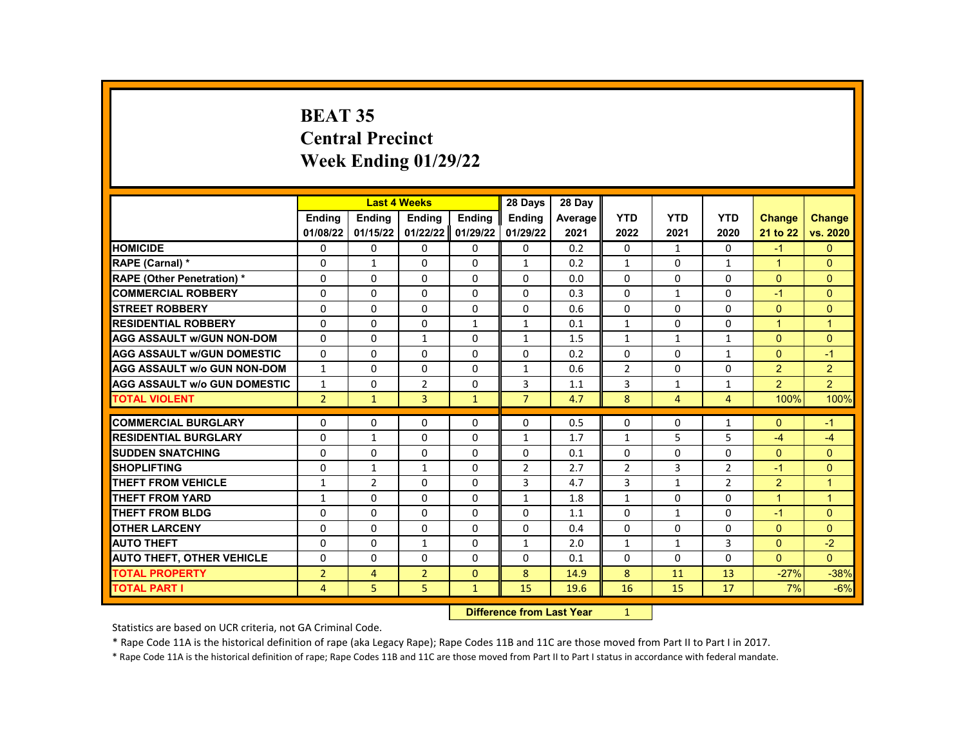# **BEAT 35 Central Precinct Week Ending 01/29/22**

|                                                           |                              |                | <b>Last 4 Weeks</b> |               | 28 Days                   | 28 Day  |                |              |                |                |                |
|-----------------------------------------------------------|------------------------------|----------------|---------------------|---------------|---------------------------|---------|----------------|--------------|----------------|----------------|----------------|
|                                                           | <b>Endina</b>                | <b>Endina</b>  | <b>Ending</b>       | <b>Ending</b> | <b>Endina</b>             | Average | <b>YTD</b>     | <b>YTD</b>   | <b>YTD</b>     | <b>Change</b>  | <b>Change</b>  |
|                                                           | 01/08/22                     | 01/15/22       | 01/22/22            | 01/29/22      | 01/29/22                  | 2021    | 2022           | 2021         | 2020           | 21 to 22       | vs. 2020       |
| <b>HOMICIDE</b>                                           | 0                            | 0              | 0                   | 0             | 0                         | 0.2     | $\mathbf{0}$   | $\mathbf{1}$ | 0              | $-1$           | $\mathbf{0}$   |
| RAPE (Carnal) *                                           | 0                            | $\mathbf{1}$   | $\Omega$            | $\mathbf 0$   | 1                         | 0.2     | $\mathbf{1}$   | $\mathbf{0}$ | $\mathbf{1}$   | $\mathbf{1}$   | $\Omega$       |
| <b>RAPE (Other Penetration) *</b>                         | $\Omega$                     | $\Omega$       | $\Omega$            | $\Omega$      | $\Omega$                  | 0.0     | $\Omega$       | $\Omega$     | $\Omega$       | $\Omega$       | $\Omega$       |
| <b>COMMERCIAL ROBBERY</b>                                 | $\Omega$                     | $\Omega$       | $\Omega$            | $\Omega$      | $\Omega$                  | 0.3     | $\Omega$       | $\mathbf{1}$ | 0              | $-1$           | $\Omega$       |
| <b>STREET ROBBERY</b>                                     | 0                            | 0              | 0                   | 0             | 0                         | 0.6     | $\Omega$       | $\mathbf{0}$ | $\Omega$       | $\mathbf{0}$   | $\Omega$       |
| <b>RESIDENTIAL ROBBERY</b>                                | $\Omega$                     | $\Omega$       | $\Omega$            | $\mathbf{1}$  | $\mathbf{1}$              | 0.1     | $\mathbf{1}$   | $\Omega$     | $\Omega$       | $\mathbf{1}$   | $\overline{1}$ |
| <b>AGG ASSAULT w/GUN NON-DOM</b>                          | $\Omega$                     | 0              | $\mathbf{1}$        | 0             | $\mathbf{1}$              | 1.5     | $\mathbf{1}$   | 1            | $\mathbf{1}$   | $\Omega$       | $\Omega$       |
| <b>AGG ASSAULT w/GUN DOMESTIC</b>                         | $\Omega$                     | $\Omega$       | $\Omega$            | $\Omega$      | $\Omega$                  | 0.2     | $\Omega$       | $\Omega$     | $\mathbf{1}$   | $\Omega$       | $-1$           |
| <b>AGG ASSAULT w/o GUN NON-DOM</b>                        | $\mathbf{1}$                 | $\Omega$       | $\Omega$            | $\Omega$      | $\mathbf{1}$              | 0.6     | $\overline{2}$ | $\Omega$     | $\Omega$       | $\overline{2}$ | 2              |
| <b>AGG ASSAULT w/o GUN DOMESTIC</b>                       | $\mathbf{1}$                 | 0              | $\overline{2}$      | 0             | 3                         | 1.1     | 3              | 1            | 1              | $\overline{2}$ | $\overline{2}$ |
| <b>TOTAL VIOLENT</b>                                      | $\overline{2}$               | $\mathbf{1}$   | 3                   | $\mathbf{1}$  | $\overline{7}$            | 4.7     | 8              | 4            | 4              | 100%           | 100%           |
| <b>COMMERCIAL BURGLARY</b>                                | 0                            | 0              | 0                   |               | 0                         | 0.5     | 0              | 0            | 1              | $\Omega$       | $-1$           |
| <b>RESIDENTIAL BURGLARY</b>                               | $\Omega$                     | $\mathbf{1}$   | $\Omega$            | 0<br>0        | $\mathbf{1}$              | 1.7     | $\mathbf{1}$   | 5            | 5              | $-4$           | $-4$           |
| <b>SUDDEN SNATCHING</b>                                   | $\Omega$                     | $\Omega$       | $\Omega$            | $\Omega$      | 0                         | 0.1     | $\Omega$       | $\Omega$     | $\Omega$       | $\Omega$       | $\Omega$       |
| <b>SHOPLIFTING</b>                                        |                              | $\mathbf{1}$   | 1                   |               | $\overline{2}$            | 2.7     | $\overline{2}$ | 3            | $\overline{2}$ | $-1$           | $\Omega$       |
| <b>THEFT FROM VEHICLE</b>                                 | 0                            | $\overline{2}$ | $\Omega$            | 0<br>0        | 3                         | 4.7     | 3              | $\mathbf{1}$ | $\overline{2}$ | $\overline{2}$ | $\mathbf{1}$   |
| <b>THEFT FROM YARD</b>                                    | $\mathbf{1}$<br>$\mathbf{1}$ | $\Omega$       | $\Omega$            | $\Omega$      | 1                         | 1.8     | $\mathbf{1}$   | $\Omega$     | $\Omega$       | $\mathbf{1}$   | $\overline{1}$ |
| <b>THEFT FROM BLDG</b>                                    | $\Omega$                     | $\Omega$       | $\Omega$            | $\Omega$      | 0                         | 1.1     | $\Omega$       | $\mathbf{1}$ | $\Omega$       | $-1$           | $\Omega$       |
| <b>OTHER LARCENY</b>                                      | 0                            | 0              | $\Omega$            | 0             | 0                         | 0.4     | $\Omega$       | 0            | 0              | $\mathbf{0}$   | $\Omega$       |
| <b>AUTO THEFT</b>                                         | 0                            | $\mathbf{0}$   | $\mathbf{1}$        | $\Omega$      | $\mathbf{1}$              | 2.0     | $\mathbf{1}$   | $\mathbf{1}$ | 3              | $\Omega$       | $-2$           |
|                                                           | $\Omega$                     | $\Omega$       | $\Omega$            | $\Omega$      | 0                         |         | 0              | 0            | $\Omega$       | $\Omega$       | $\Omega$       |
| <b>AUTO THEFT, OTHER VEHICLE</b><br><b>TOTAL PROPERTY</b> |                              |                |                     |               |                           | 0.1     |                |              |                | $-27%$         |                |
| <b>TOTAL PART I</b>                                       | $\overline{2}$               | 4              | $\overline{2}$<br>5 | $\mathbf{0}$  | 8                         | 14.9    | 8              | 11           | 13<br>17       |                | $-38%$         |
|                                                           | 4                            | 5              |                     | $\mathbf{1}$  | 15                        | 19.6    | 16             | 15           |                | 7%             | $-6%$          |
|                                                           |                              |                |                     |               | Difference from Loot Voor |         | $\sim$         |              |                |                |                |

**Difference from Last Year** 

Statistics are based on UCR criteria, not GA Criminal Code.

\* Rape Code 11A is the historical definition of rape (aka Legacy Rape); Rape Codes 11B and 11C are those moved from Part II to Part I in 2017.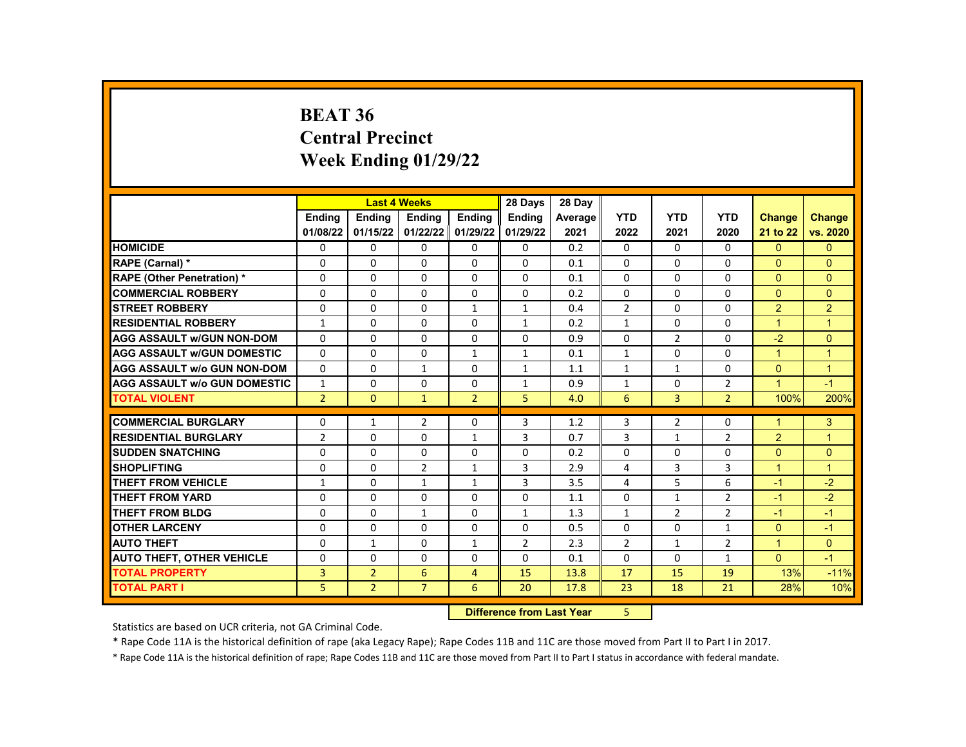#### **BEAT 36 Central Precinct Week Ending 01/29/22**

|                                     |                | <b>Last 4 Weeks</b> |                |                   | 28 Days        | 28 Day  |                |                |                |                      |                      |
|-------------------------------------|----------------|---------------------|----------------|-------------------|----------------|---------|----------------|----------------|----------------|----------------------|----------------------|
|                                     | <b>Endina</b>  | <b>Endina</b>       | <b>Endina</b>  | <b>Endina</b>     | <b>Endina</b>  | Average | <b>YTD</b>     | <b>YTD</b>     | <b>YTD</b>     | <b>Change</b>        | <b>Change</b>        |
|                                     | 01/08/22       | 01/15/22            |                | 01/22/22 01/29/22 | 01/29/22       | 2021    | 2022           | 2021           | 2020           | 21 to 22             | vs. 2020             |
| <b>HOMICIDE</b>                     | 0              | 0                   | 0              | 0                 | 0              | 0.2     | 0              | $\mathbf{0}$   | 0              | $\Omega$             | $\mathbf{0}$         |
| RAPE (Carnal) *                     | 0              | $\Omega$            | 0              | 0                 | 0              | 0.1     | $\Omega$       | 0              | $\Omega$       | $\Omega$             | $\Omega$             |
| RAPE (Other Penetration) *          | $\Omega$       | $\Omega$            | $\mathbf 0$    | $\Omega$          | $\Omega$       | 0.1     | $\Omega$       | $\Omega$       | $\Omega$       | $\Omega$             | $\Omega$             |
| <b>COMMERCIAL ROBBERY</b>           | $\Omega$       | $\mathbf{0}$        | 0              | $\mathbf{0}$      | 0              | 0.2     | $\Omega$       | 0              | 0              | $\mathbf{0}$         | $\Omega$             |
| <b>STREET ROBBERY</b>               | 0              | $\Omega$            | 0              | $\mathbf{1}$      | $\mathbf{1}$   | 0.4     | $\overline{2}$ | 0              | $\Omega$       | 2                    | $\overline{2}$       |
| <b>RESIDENTIAL ROBBERY</b>          | $\mathbf{1}$   | $\Omega$            | $\Omega$       | $\Omega$          | $\mathbf{1}$   | 0.2     | $\mathbf{1}$   | $\Omega$       | $\Omega$       | $\mathbf{1}$         | $\overline{1}$       |
| <b>AGG ASSAULT w/GUN NON-DOM</b>    | $\Omega$       | $\Omega$            | $\Omega$       | 0                 | $\Omega$       | 0.9     | $\Omega$       | $\overline{2}$ | $\Omega$       | $-2$                 | $\Omega$             |
| <b>AGG ASSAULT W/GUN DOMESTIC</b>   | $\Omega$       | $\Omega$            | $\Omega$       | $\mathbf{1}$      | $\mathbf{1}$   | 0.1     | $\mathbf{1}$   | 0              | $\Omega$       | 1                    | $\overline{1}$       |
| <b>AGG ASSAULT w/o GUN NON-DOM</b>  | $\Omega$       | 0                   | $\mathbf{1}$   | $\mathbf{0}$      | $\mathbf{1}$   | 1.1     | $\mathbf{1}$   | $\mathbf{1}$   | $\Omega$       | $\mathbf{0}$         | $\overline{1}$       |
| <b>AGG ASSAULT w/o GUN DOMESTIC</b> | $\mathbf{1}$   | $\Omega$            | $\Omega$       | 0                 | $\mathbf{1}$   | 0.9     | $\mathbf{1}$   | $\Omega$       | $\overline{2}$ | $\blacktriangleleft$ | $-1$                 |
| <b>TOTAL VIOLENT</b>                | $\overline{2}$ | $\Omega$            | $\mathbf{1}$   | $\overline{2}$    | 5              | 4.0     | 6              | 3              | $\overline{2}$ | 100%                 | 200%                 |
|                                     |                |                     |                |                   |                |         |                |                |                |                      |                      |
| <b>COMMERCIAL BURGLARY</b>          | 0              | $\mathbf{1}$        | $\overline{2}$ | 0                 | 3              | 1.2     | 3              | $\overline{2}$ | $\Omega$       | 1                    | 3                    |
| <b>RESIDENTIAL BURGLARY</b>         | $\overline{2}$ | $\Omega$            | $\Omega$       | $\mathbf{1}$      | 3              | 0.7     | 3              | $\mathbf{1}$   | $\overline{2}$ | 2                    | $\overline{1}$       |
| <b>SUDDEN SNATCHING</b>             | $\Omega$       | $\Omega$            | $\Omega$       | $\Omega$          | $\Omega$       | 0.2     | $\Omega$       | $\Omega$       | $\Omega$       | $\Omega$             | $\Omega$             |
| <b>SHOPLIFTING</b>                  | $\Omega$       | $\Omega$            | $\mathfrak{p}$ | $\mathbf{1}$      | 3              | 2.9     | 4              | 3              | 3              | $\overline{1}$       | $\blacktriangleleft$ |
| THEFT FROM VEHICLE                  | $\mathbf{1}$   | $\Omega$            | $\mathbf{1}$   | $\mathbf{1}$      | 3              | 3.5     | $\overline{4}$ | 5              | 6              | $-1$                 | $-2$                 |
| <b>THEFT FROM YARD</b>              | $\Omega$       | 0                   | $\Omega$       | 0                 | $\Omega$       | 1.1     | $\Omega$       | 1              | $\overline{2}$ | $-1$                 | $-2$                 |
| <b>THEFT FROM BLDG</b>              | $\Omega$       | $\Omega$            | $\mathbf{1}$   | $\Omega$          | $\mathbf{1}$   | 1.3     | $\mathbf{1}$   | $\overline{2}$ | $\overline{2}$ | $-1$                 | $-1$                 |
| <b>OTHER LARCENY</b>                | 0              | $\mathbf 0$         | $\Omega$       | 0                 | 0              | 0.5     | 0              | $\Omega$       | 1              | $\Omega$             | $-1$                 |
| <b>AUTO THEFT</b>                   | $\Omega$       | $\mathbf{1}$        | $\Omega$       | $\mathbf{1}$      | $\overline{2}$ | 2.3     | $\overline{2}$ | $\mathbf{1}$   | $\overline{2}$ | $\overline{1}$       | $\mathbf{0}$         |
| <b>AUTO THEFT, OTHER VEHICLE</b>    | $\Omega$       | $\Omega$            | $\Omega$       | $\Omega$          | $\Omega$       | 0.1     | $\Omega$       | $\Omega$       | $\mathbf{1}$   | $\Omega$             | $-1$                 |
| <b>TOTAL PROPERTY</b>               | 3              | $\overline{2}$      | 6              | 4                 | 15             | 13.8    | 17             | 15             | 19             | 13%                  | $-11%$               |
| <b>TOTAL PART I</b>                 | 5              | $\overline{2}$      | $\overline{7}$ | 6                 | 20             | 17.8    | 23             | 18             | 21             | 28%                  | 10%                  |
|                                     |                |                     |                |                   |                |         |                |                |                |                      |                      |

**Difference from Last Year** 5

Statistics are based on UCR criteria, not GA Criminal Code.

\* Rape Code 11A is the historical definition of rape (aka Legacy Rape); Rape Codes 11B and 11C are those moved from Part II to Part I in 2017.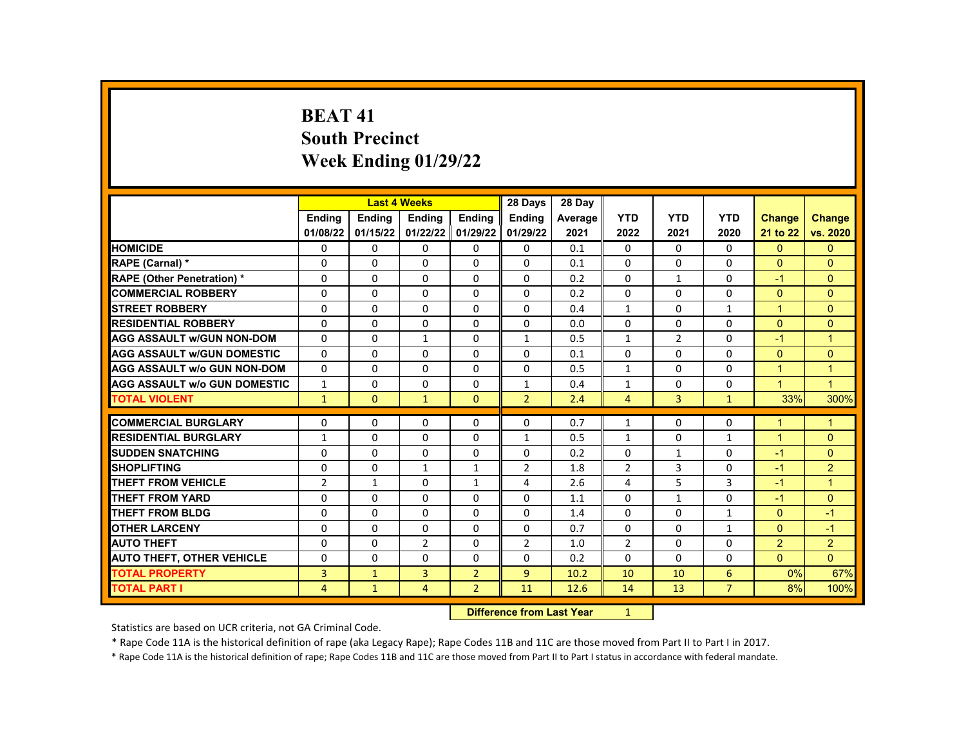# **BEAT 41 South Precinct Week Ending 01/29/22**

|                                     |                |                           | <b>Last 4 Weeks</b> |                | 28 Days        | 28 Day  |                |                |                |                      |                |
|-------------------------------------|----------------|---------------------------|---------------------|----------------|----------------|---------|----------------|----------------|----------------|----------------------|----------------|
|                                     | <b>Endina</b>  | <b>Endina</b>             | <b>Endina</b>       | <b>Endina</b>  | <b>Endina</b>  | Average | <b>YTD</b>     | <b>YTD</b>     | <b>YTD</b>     | <b>Change</b>        | <b>Change</b>  |
|                                     | 01/08/22       | 01/15/22                  | 01/22/22            | 01/29/22       | 01/29/22       | 2021    | 2022           | 2021           | 2020           | 21 to 22             | vs. 2020       |
| <b>HOMICIDE</b>                     | 0              | $\Omega$                  | $\Omega$            | $\Omega$       | $\Omega$       | 0.1     | $\Omega$       | $\Omega$       | $\Omega$       | $\Omega$             | $\mathbf{0}$   |
| <b>RAPE (Carnal) *</b>              | 0              | $\Omega$                  | $\Omega$            | $\Omega$       | 0              | 0.1     | $\Omega$       | $\Omega$       | $\Omega$       | $\Omega$             | $\Omega$       |
| <b>RAPE (Other Penetration) *</b>   | 0              | $\Omega$                  | $\Omega$            | $\Omega$       | $\Omega$       | 0.2     | $\Omega$       | $\mathbf{1}$   | $\Omega$       | $-1$                 | $\Omega$       |
| <b>COMMERCIAL ROBBERY</b>           | 0              | $\Omega$                  | $\Omega$            | $\Omega$       | $\Omega$       | 0.2     | $\Omega$       | $\Omega$       | $\Omega$       | $\Omega$             | $\Omega$       |
| <b>STREET ROBBERY</b>               | 0              | $\Omega$                  | $\Omega$            | $\Omega$       | 0              | 0.4     | $\mathbf{1}$   | $\Omega$       | $\mathbf{1}$   | $\blacktriangleleft$ | $\Omega$       |
| <b>RESIDENTIAL ROBBERY</b>          | 0              | $\Omega$                  | $\Omega$            | $\Omega$       | $\Omega$       | 0.0     | $\Omega$       | $\Omega$       | $\Omega$       | $\Omega$             | $\Omega$       |
| <b>AGG ASSAULT w/GUN NON-DOM</b>    | $\Omega$       | 0                         | $\mathbf{1}$        | 0              | $\mathbf{1}$   | 0.5     | $\mathbf{1}$   | $\overline{2}$ | $\Omega$       | $-1$                 | $\overline{1}$ |
| <b>AGG ASSAULT W/GUN DOMESTIC</b>   | 0              | $\Omega$                  | $\Omega$            | $\Omega$       | 0              | 0.1     | $\Omega$       | $\Omega$       | $\Omega$       | $\Omega$             | $\Omega$       |
| <b>AGG ASSAULT w/o GUN NON-DOM</b>  | 0              | $\Omega$                  | $\Omega$            | 0              | 0              | 0.5     | $\mathbf{1}$   | $\Omega$       | $\Omega$       | $\overline{1}$       | $\overline{1}$ |
| <b>AGG ASSAULT W/o GUN DOMESTIC</b> | $\mathbf{1}$   | $\Omega$                  | $\Omega$            | 0              | $\mathbf{1}$   | 0.4     | $\mathbf{1}$   | $\mathbf{0}$   | $\Omega$       | $\blacktriangleleft$ | $\overline{1}$ |
| <b>TOTAL VIOLENT</b>                | $\mathbf{1}$   | $\Omega$                  | $\mathbf{1}$        | $\Omega$       | $\overline{2}$ | 2.4     | $\overline{4}$ | 3              | $\mathbf{1}$   | 33%                  | 300%           |
|                                     |                |                           |                     |                |                |         |                |                |                |                      |                |
| <b>COMMERCIAL BURGLARY</b>          | 0              | $\Omega$                  | $\Omega$            | $\mathbf{0}$   | 0              | 0.7     | $\mathbf{1}$   | $\Omega$       | $\Omega$       | 1                    | 1              |
| <b>RESIDENTIAL BURGLARY</b>         | 1              | 0                         | 0                   | $\mathbf{0}$   | $\mathbf{1}$   | 0.5     | 1              | $\Omega$       | $\mathbf{1}$   | $\overline{1}$       | $\mathbf{0}$   |
| <b>SUDDEN SNATCHING</b>             | 0              | $\Omega$                  | $\Omega$            | $\Omega$       | $\Omega$       | 0.2     | $\Omega$       | $\mathbf{1}$   | $\Omega$       | $-1$                 | $\Omega$       |
| <b>SHOPLIFTING</b>                  | 0              | $\Omega$                  | $\mathbf{1}$        | $\mathbf{1}$   | $\overline{2}$ | 1.8     | $\overline{2}$ | 3              | $\Omega$       | $-1$                 | $\overline{2}$ |
| <b>THEFT FROM VEHICLE</b>           | $\overline{2}$ | $\mathbf{1}$              | $\Omega$            | $\mathbf{1}$   | 4              | 2.6     | 4              | 5              | 3              | $-1$                 | $\overline{1}$ |
| <b>THEFT FROM YARD</b>              | $\Omega$       | $\Omega$                  | $\Omega$            | $\Omega$       | $\Omega$       | 1.1     | $\Omega$       | $\mathbf{1}$   | $\Omega$       | $-1$                 | $\Omega$       |
| <b>THEFT FROM BLDG</b>              | 0              | $\Omega$                  | $\Omega$            | 0              | 0              | 1.4     | $\Omega$       | $\mathbf{0}$   | $\mathbf{1}$   | $\Omega$             | $-1$           |
| <b>OTHER LARCENY</b>                | 0              | $\Omega$                  | $\Omega$            | $\Omega$       | 0              | 0.7     | $\Omega$       | $\Omega$       | $\mathbf{1}$   | $\Omega$             | $-1$           |
| <b>AUTO THEFT</b>                   | 0              | $\Omega$                  | $\overline{2}$      | $\Omega$       | $\overline{2}$ | 1.0     | $\overline{2}$ | $\Omega$       | $\Omega$       | $\overline{2}$       | $\overline{2}$ |
| <b>AUTO THEFT, OTHER VEHICLE</b>    | 0              | $\Omega$                  | $\Omega$            | $\Omega$       | 0              | 0.2     | $\Omega$       | $\Omega$       | $\Omega$       | $\mathbf{0}$         | $\Omega$       |
| <b>TOTAL PROPERTY</b>               | 3              | $\mathbf{1}$              | 3                   | $\overline{2}$ | 9              | 10.2    | 10             | 10             | 6              | 0%                   | 67%            |
| <b>TOTAL PART I</b>                 | $\overline{4}$ | $\mathbf{1}$              | $\overline{4}$      | $\overline{2}$ | 11             | 12.6    | 14             | 13             | $\overline{7}$ | 8%                   | 100%           |
|                                     |                | Difference from Loot Voor |                     | $\sim$         |                |         |                |                |                |                      |                |

**Difference from Last Year** 

Statistics are based on UCR criteria, not GA Criminal Code.

\* Rape Code 11A is the historical definition of rape (aka Legacy Rape); Rape Codes 11B and 11C are those moved from Part II to Part I in 2017.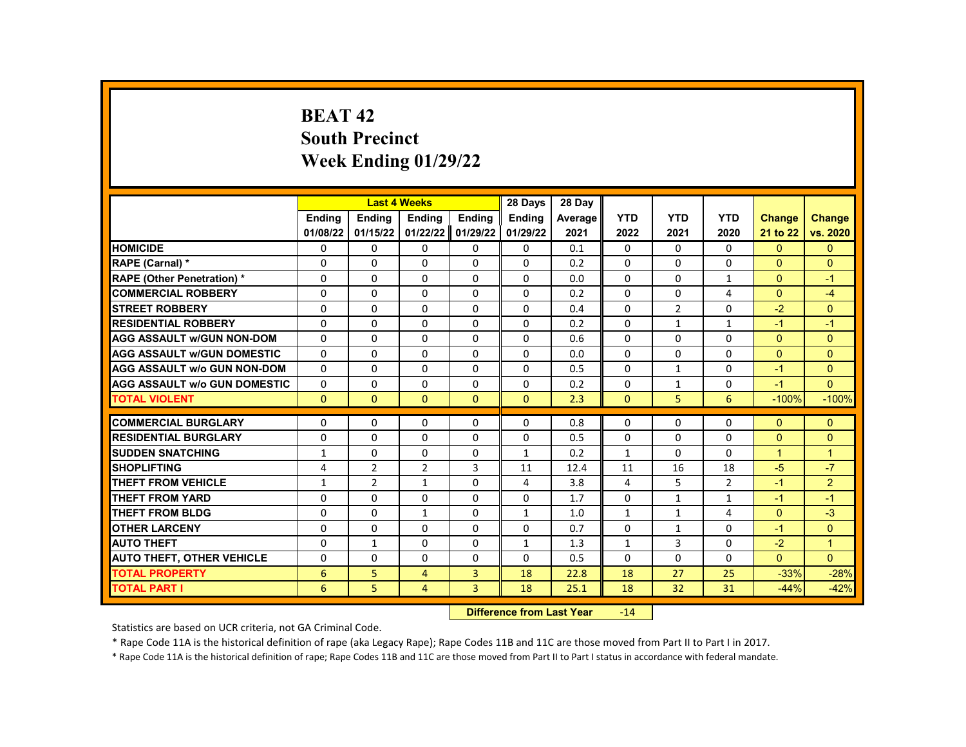# **BEAT 42 South Precinct Week Ending 01/29/22**

|                                     |               |                | <b>Last 4 Weeks</b> |               | 28 Days       | 28 Day  |              |                |                |               |                |
|-------------------------------------|---------------|----------------|---------------------|---------------|---------------|---------|--------------|----------------|----------------|---------------|----------------|
|                                     | <b>Endina</b> | Ending         | <b>Endina</b>       | <b>Endina</b> | <b>Endina</b> | Average | <b>YTD</b>   | <b>YTD</b>     | <b>YTD</b>     | <b>Change</b> | <b>Change</b>  |
|                                     | 01/08/22      | 01/15/22       | 01/22/22            | 01/29/22      | 01/29/22      | 2021    | 2022         | 2021           | 2020           | 21 to 22      | vs. 2020       |
| <b>HOMICIDE</b>                     | 0             | 0              | 0                   | 0             | 0             | 0.1     | 0            | 0              | 0              | $\mathbf{0}$  | $\mathbf{0}$   |
| RAPE (Carnal) *                     | $\Omega$      | $\Omega$       | $\Omega$            | $\Omega$      | $\Omega$      | 0.2     | $\Omega$     | $\Omega$       | $\Omega$       | $\Omega$      | $\Omega$       |
| <b>RAPE (Other Penetration)*</b>    | $\Omega$      | $\Omega$       | $\Omega$            | $\Omega$      | $\Omega$      | 0.0     | $\Omega$     | $\Omega$       | $\mathbf{1}$   | $\Omega$      | $-1$           |
| <b>COMMERCIAL ROBBERY</b>           | 0             | 0              | 0                   | 0             | 0             | 0.2     | 0            | 0              | 4              | $\mathbf{0}$  | $-4$           |
| <b>STREET ROBBERY</b>               | 0             | 0              | $\Omega$            | 0             | 0             | 0.4     | $\Omega$     | $\overline{2}$ | $\Omega$       | $-2$          | $\Omega$       |
| <b>RESIDENTIAL ROBBERY</b>          | $\Omega$      | $\Omega$       | $\Omega$            | $\Omega$      | $\Omega$      | 0.2     | $\Omega$     | $\mathbf{1}$   | $\mathbf{1}$   | $-1$          | $-1$           |
| <b>AGG ASSAULT w/GUN NON-DOM</b>    | $\Omega$      | $\Omega$       | $\Omega$            | 0             | $\Omega$      | 0.6     | $\Omega$     | $\Omega$       | $\Omega$       | $\Omega$      | $\Omega$       |
| <b>AGG ASSAULT w/GUN DOMESTIC</b>   | 0             | 0              | 0                   | 0             | 0             | 0.0     | 0            | 0              | 0              | $\Omega$      | $\Omega$       |
| <b>AGG ASSAULT w/o GUN NON-DOM</b>  | $\Omega$      | $\Omega$       | $\Omega$            | $\Omega$      | $\Omega$      | 0.5     | $\Omega$     | $\mathbf{1}$   | $\Omega$       | $-1$          | $\Omega$       |
| <b>AGG ASSAULT w/o GUN DOMESTIC</b> | $\Omega$      | $\Omega$       | $\Omega$            | 0             | $\Omega$      | 0.2     | $\Omega$     | $\mathbf{1}$   | $\Omega$       | $-1$          | $\Omega$       |
| <b>TOTAL VIOLENT</b>                | $\Omega$      | $\mathbf{0}$   | $\mathbf{0}$        | $\Omega$      | $\Omega$      | 2.3     | $\mathbf{0}$ | 5              | 6              | $-100%$       | $-100%$        |
|                                     |               |                |                     |               |               |         |              |                |                |               |                |
| <b>COMMERCIAL BURGLARY</b>          | 0             | $\Omega$       | $\Omega$            | 0             | $\Omega$      | 0.8     | $\Omega$     | $\Omega$       | $\Omega$       | $\Omega$      | $\mathbf{0}$   |
| <b>RESIDENTIAL BURGLARY</b>         | $\Omega$      | $\Omega$       | $\Omega$            | $\Omega$      | $\Omega$      | 0.5     | $\Omega$     | $\Omega$       | $\Omega$       | $\Omega$      | $\Omega$       |
| <b>SUDDEN SNATCHING</b>             | $\mathbf{1}$  | $\Omega$       | $\Omega$            | $\Omega$      | $\mathbf{1}$  | 0.2     | $\mathbf{1}$ | $\Omega$       | $\Omega$       | $\mathbf{1}$  | $\mathbf{1}$   |
| <b>SHOPLIFTING</b>                  | 4             | 2              | $\overline{2}$      | 3             | 11            | 12.4    | 11           | 16             | 18             | $-5$          | $-7$           |
| <b>THEFT FROM VEHICLE</b>           | $\mathbf{1}$  | $\overline{2}$ | $\mathbf{1}$        | $\Omega$      | 4             | 3.8     | 4            | 5              | $\overline{2}$ | $-1$          | $\overline{2}$ |
| <b>THEFT FROM YARD</b>              | $\Omega$      | $\Omega$       | $\Omega$            | $\Omega$      | $\Omega$      | 1.7     | $\Omega$     | $\mathbf{1}$   | $\mathbf{1}$   | $-1$          | $-1$           |
| <b>THEFT FROM BLDG</b>              | $\Omega$      | $\Omega$       | $\mathbf{1}$        | $\Omega$      | $\mathbf{1}$  | 1.0     | $\mathbf{1}$ | $\mathbf{1}$   | 4              | $\Omega$      | $-3$           |
| <b>OTHER LARCENY</b>                | $\Omega$      | $\Omega$       | $\Omega$            | $\Omega$      | $\Omega$      | 0.7     | $\Omega$     | $\mathbf{1}$   | $\Omega$       | $-1$          | $\Omega$       |
| <b>AUTO THEFT</b>                   | $\Omega$      | $\mathbf{1}$   | $\Omega$            | $\Omega$      | $\mathbf{1}$  | 1.3     | $\mathbf{1}$ | 3              | $\Omega$       | $-2$          | $\mathbf{1}$   |
| <b>AUTO THEFT, OTHER VEHICLE</b>    | $\Omega$      | $\Omega$       | $\Omega$            | $\Omega$      | $\Omega$      | 0.5     | $\Omega$     | $\Omega$       | $\Omega$       | $\Omega$      | $\Omega$       |
| <b>TOTAL PROPERTY</b>               | 6             | 5              | $\overline{4}$      | 3             | 18            | 22.8    | 18           | 27             | 25             | $-33%$        | $-28%$         |
| <b>TOTAL PART I</b>                 | 6             | 5              | $\overline{4}$      | 3             | 18            | 25.1    | 18           | 32             | 31             | $-44%$        | $-42%$         |
|                                     |               |                |                     |               |               |         |              |                |                |               |                |

**Difference from Last Year -14** 

Statistics are based on UCR criteria, not GA Criminal Code.

\* Rape Code 11A is the historical definition of rape (aka Legacy Rape); Rape Codes 11B and 11C are those moved from Part II to Part I in 2017.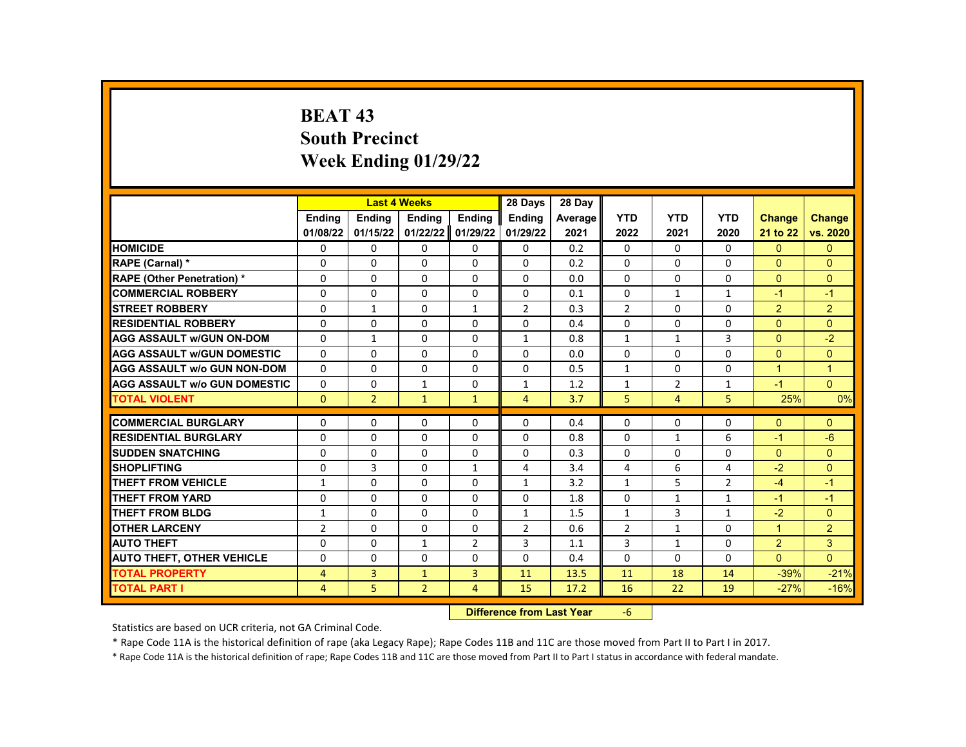# **BEAT 43 South Precinct Week Ending 01/29/22**

|                                     |                | <b>Last 4 Weeks</b> |                   |                | 28 Days                   | 28 Day  |                |                |                |                |                |
|-------------------------------------|----------------|---------------------|-------------------|----------------|---------------------------|---------|----------------|----------------|----------------|----------------|----------------|
|                                     | <b>Endina</b>  | <b>Endina</b>       | <b>Endina</b>     | <b>Endina</b>  | <b>Endina</b>             | Average | <b>YTD</b>     | <b>YTD</b>     | <b>YTD</b>     | <b>Change</b>  | <b>Change</b>  |
|                                     | 01/08/22       | 01/15/22            | 01/22/22 01/29/22 |                | 01/29/22                  | 2021    | 2022           | 2021           | 2020           | 21 to 22       | vs. 2020       |
| <b>HOMICIDE</b>                     | 0              | 0                   | 0                 | 0              | 0                         | 0.2     | $\mathbf{0}$   | 0              | 0              | $\mathbf{0}$   | $\mathbf{0}$   |
| RAPE (Carnal) *                     | 0              | 0                   | 0                 | 0              | $\Omega$                  | 0.2     | $\Omega$       | 0              | 0              | $\mathbf{0}$   | $\Omega$       |
| <b>RAPE (Other Penetration) *</b>   | 0              | $\Omega$            | $\Omega$          | $\Omega$       | $\Omega$                  | 0.0     | $\Omega$       | $\Omega$       | $\Omega$       | $\Omega$       | $\Omega$       |
| <b>COMMERCIAL ROBBERY</b>           | 0              | 0                   | 0                 | 0              | 0                         | 0.1     | $\mathbf{0}$   | $\mathbf{1}$   | 1              | $-1$           | $-1$           |
| <b>STREET ROBBERY</b>               | 0              | $\mathbf{1}$        | 0                 | $\mathbf{1}$   | $\overline{2}$            | 0.3     | $\overline{2}$ | $\Omega$       | $\Omega$       | 2              | $\overline{2}$ |
| <b>RESIDENTIAL ROBBERY</b>          | $\Omega$       | $\Omega$            | $\Omega$          | $\Omega$       | $\Omega$                  | 0.4     | $\Omega$       | $\Omega$       | $\Omega$       | $\Omega$       | $\Omega$       |
| <b>AGG ASSAULT w/GUN ON-DOM</b>     | $\Omega$       | $\mathbf{1}$        | $\Omega$          | 0              | $\mathbf{1}$              | 0.8     | $\mathbf{1}$   | $\mathbf{1}$   | 3              | $\Omega$       | $-2$           |
| <b>AGG ASSAULT w/GUN DOMESTIC</b>   | $\Omega$       | $\Omega$            | 0                 | 0              | $\Omega$                  | 0.0     | 0              | $\Omega$       | $\Omega$       | $\Omega$       | $\Omega$       |
| <b>AGG ASSAULT w/o GUN NON-DOM</b>  | $\Omega$       | $\Omega$            | $\Omega$          | $\Omega$       | $\Omega$                  | 0.5     | $\mathbf{1}$   | $\Omega$       | $\Omega$       | $\mathbf{1}$   | $\overline{1}$ |
| <b>AGG ASSAULT w/o GUN DOMESTIC</b> | 0              | 0                   | $\mathbf{1}$      | 0              | $\mathbf{1}$              | 1.2     | $\mathbf{1}$   | $\overline{2}$ | 1              | $-1$           | $\Omega$       |
| <b>TOTAL VIOLENT</b>                | $\Omega$       | $\overline{2}$      | $\mathbf{1}$      | $\mathbf{1}$   | $\overline{4}$            | 3.7     | 5              | $\overline{4}$ | 5              | 25%            | 0%             |
|                                     |                |                     |                   |                |                           |         |                |                |                |                |                |
| <b>COMMERCIAL BURGLARY</b>          | 0              | 0                   | 0                 | 0              | 0                         | 0.4     | $\Omega$       | 0              | 0              | $\Omega$       | $\Omega$       |
| <b>RESIDENTIAL BURGLARY</b>         | 0              | 0                   | 0                 | 0              | 0                         | 0.8     | 0              | $\mathbf{1}$   | 6              | $-1$           | $-6$           |
| <b>SUDDEN SNATCHING</b>             | $\Omega$       | $\Omega$            | $\Omega$          | 0              | $\Omega$                  | 0.3     | $\Omega$       | $\Omega$       | $\Omega$       | $\Omega$       | $\Omega$       |
| <b>SHOPLIFTING</b>                  | 0              | 3                   | 0                 | $\mathbf{1}$   | $\overline{4}$            | 3.4     | 4              | 6              | 4              | $-2$           | $\Omega$       |
| <b>THEFT FROM VEHICLE</b>           | $\mathbf{1}$   | 0                   | $\Omega$          | 0              | $\mathbf{1}$              | 3.2     | $\mathbf{1}$   | 5              | $\overline{2}$ | $-4$           | $-1$           |
| <b>THEFT FROM YARD</b>              | $\Omega$       | $\Omega$            | $\Omega$          | $\Omega$       | $\Omega$                  | 1.8     | $\Omega$       | $\mathbf{1}$   | $\mathbf{1}$   | $-1$           | $-1$           |
| <b>THEFT FROM BLDG</b>              | $\mathbf{1}$   | $\Omega$            | 0                 | $\Omega$       | $\mathbf{1}$              | 1.5     | $\mathbf{1}$   | 3              | $\mathbf{1}$   | $-2$           | $\Omega$       |
| <b>OTHER LARCENY</b>                | $\overline{2}$ | $\Omega$            | $\Omega$          | $\Omega$       | $\overline{2}$            | 0.6     | $\overline{2}$ | $\mathbf{1}$   | $\Omega$       | $\mathbf{1}$   | $\overline{2}$ |
| <b>AUTO THEFT</b>                   | 0              | $\Omega$            | $\mathbf{1}$      | $\overline{2}$ | $\overline{3}$            | 1.1     | 3              | $\mathbf{1}$   | $\Omega$       | $\overline{2}$ | 3              |
| <b>AUTO THEFT, OTHER VEHICLE</b>    | 0              | 0                   | $\Omega$          | 0              | $\Omega$                  | 0.4     | $\mathbf{0}$   | 0              | $\Omega$       | $\Omega$       | $\Omega$       |
| <b>TOTAL PROPERTY</b>               | 4              | $\overline{3}$      | $\mathbf{1}$      | 3              | 11                        | 13.5    | 11             | 18             | 14             | $-39%$         | $-21%$         |
| <b>TOTAL PART I</b>                 | 4              | 5                   | $\overline{2}$    | $\overline{4}$ | 15                        | 17.2    | 16             | 22             | 19             | $-27%$         | $-16%$         |
|                                     |                |                     |                   | <b>INSECUL</b> | a a dheanna 1 anns a Mara |         | $\sim$         |                |                |                |                |

**Difference from Last Year** -6

Statistics are based on UCR criteria, not GA Criminal Code.

\* Rape Code 11A is the historical definition of rape (aka Legacy Rape); Rape Codes 11B and 11C are those moved from Part II to Part I in 2017.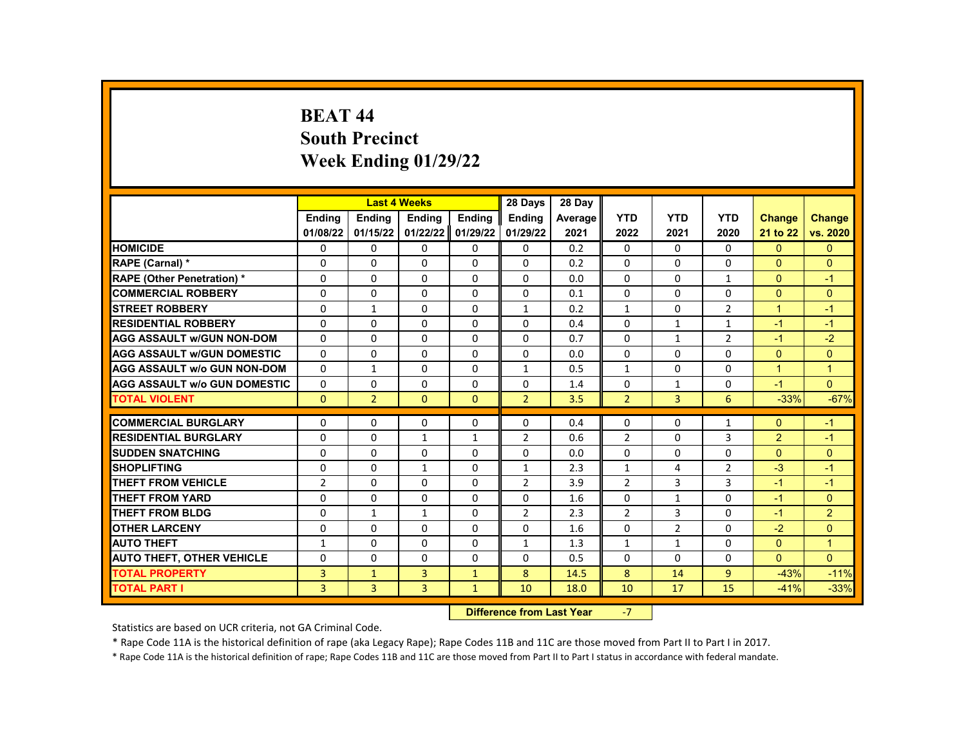# **BEAT 44 South Precinct Week Ending 01/29/22**

|                                     |                                             | <b>Last 4 Weeks</b> |               |               | 28 Days        | 28 Day  |                |                |                |                |                |
|-------------------------------------|---------------------------------------------|---------------------|---------------|---------------|----------------|---------|----------------|----------------|----------------|----------------|----------------|
|                                     | <b>Endina</b>                               | <b>Endina</b>       | <b>Endina</b> | <b>Endina</b> | <b>Endina</b>  | Average | <b>YTD</b>     | <b>YTD</b>     | <b>YTD</b>     | <b>Change</b>  | <b>Change</b>  |
|                                     | 01/08/22                                    | 01/15/22            | 01/22/22      | 01/29/22      | 01/29/22       | 2021    | 2022           | 2021           | 2020           | 21 to 22       | vs. 2020       |
| <b>HOMICIDE</b>                     | 0                                           | 0                   | 0             | 0             | 0              | 0.2     | $\mathbf{0}$   | $\mathbf{0}$   | $\Omega$       | $\mathbf{0}$   | $\mathbf{0}$   |
| RAPE (Carnal) *                     | 0                                           | $\Omega$            | $\Omega$      | $\Omega$      | 0              | 0.2     | $\Omega$       | $\mathbf{0}$   | $\Omega$       | $\Omega$       | $\Omega$       |
| <b>RAPE (Other Penetration) *</b>   | $\Omega$                                    | $\Omega$            | $\Omega$      | $\Omega$      | $\Omega$       | 0.0     | $\Omega$       | $\Omega$       | $\mathbf{1}$   | $\Omega$       | $-1$           |
| <b>COMMERCIAL ROBBERY</b>           | 0                                           | 0                   | 0             | 0             | 0              | 0.1     | $\mathbf{0}$   | $\mathbf{0}$   | 0              | $\Omega$       | $\Omega$       |
| <b>STREET ROBBERY</b>               | 0                                           | $\mathbf{1}$        | $\Omega$      | $\Omega$      | $\mathbf{1}$   | 0.2     | $\mathbf{1}$   | $\mathbf{0}$   | $\overline{2}$ | $\mathbf{1}$   | $-1$           |
| <b>RESIDENTIAL ROBBERY</b>          | $\Omega$                                    | $\Omega$            | $\Omega$      | 0             | $\Omega$       | 0.4     | $\Omega$       | $\mathbf{1}$   | $\mathbf{1}$   | $-1$           | $-1$           |
| <b>AGG ASSAULT w/GUN NON-DOM</b>    | $\Omega$                                    | $\Omega$            | 0             | 0             | 0              | 0.7     | $\mathbf{0}$   | $\mathbf{1}$   | $\overline{2}$ | $-1$           | $-2$           |
| <b>AGG ASSAULT w/GUN DOMESTIC</b>   | $\Omega$                                    | $\Omega$            | 0             | $\Omega$      | $\Omega$       | 0.0     | $\Omega$       | $\Omega$       | $\Omega$       | $\Omega$       | $\Omega$       |
| <b>AGG ASSAULT w/o GUN NON-DOM</b>  | $\Omega$                                    | $\mathbf{1}$        | $\Omega$      | $\Omega$      | $\mathbf{1}$   | 0.5     | $\mathbf{1}$   | $\Omega$       | $\Omega$       | $\mathbf{1}$   | $\mathbf{1}$   |
| <b>AGG ASSAULT w/o GUN DOMESTIC</b> | 0                                           | 0                   | 0             | 0             | 0              | 1.4     | $\Omega$       | $\mathbf{1}$   | 0              | $-1$           | $\Omega$       |
| <b>TOTAL VIOLENT</b>                | $\mathbf{0}$                                | $\overline{2}$      | $\mathbf{0}$  | $\mathbf{0}$  | $\overline{2}$ | 3.5     | $\overline{2}$ | 3              | 6              | $-33%$         | $-67%$         |
| <b>COMMERCIAL BURGLARY</b>          |                                             |                     |               |               |                |         |                |                |                |                |                |
|                                     | 0                                           | 0                   | 0             | 0             | $\Omega$       | 0.4     | 0              | 0              | 1              | $\Omega$       | $-1$           |
| <b>RESIDENTIAL BURGLARY</b>         | $\Omega$                                    | $\Omega$            | $\mathbf{1}$  | $\mathbf{1}$  | $\overline{2}$ | 0.6     | $\overline{2}$ | $\Omega$       | 3              | $\overline{2}$ | $-1$           |
| <b>SUDDEN SNATCHING</b>             | 0                                           | $\Omega$            | 0             | $\Omega$      | $\Omega$       | 0.0     | 0              | $\Omega$       | $\Omega$       | $\Omega$       | $\Omega$       |
| <b>SHOPLIFTING</b>                  | 0                                           | 0                   | $\mathbf{1}$  | 0             | $\mathbf{1}$   | 2.3     | $\mathbf{1}$   | 4              | $\overline{2}$ | $-3$           | $-1$           |
| <b>THEFT FROM VEHICLE</b>           | $\overline{2}$                              | 0                   | $\Omega$      | 0             | $\overline{2}$ | 3.9     | $\overline{2}$ | 3              | 3              | $-1$           | $-1$           |
| <b>THEFT FROM YARD</b>              | $\Omega$                                    | $\Omega$            | $\Omega$      | $\Omega$      | $\Omega$       | 1.6     | $\Omega$       | $\mathbf{1}$   | $\Omega$       | $-1$           | $\Omega$       |
| <b>THEFT FROM BLDG</b>              | 0                                           | $\mathbf{1}$        | $\mathbf{1}$  | $\Omega$      | $\overline{2}$ | 2.3     | $\overline{2}$ | 3              | $\Omega$       | $-1$           | $\overline{2}$ |
| <b>OTHER LARCENY</b>                | 0                                           | 0                   | $\Omega$      | $\mathbf 0$   | 0              | 1.6     | $\mathbf 0$    | $\overline{2}$ | 0              | $-2$           | $\mathbf{0}$   |
| <b>AUTO THEFT</b>                   | $\mathbf{1}$                                | 0                   | $\Omega$      | 0             | $\mathbf{1}$   | 1.3     | $\mathbf{1}$   | $\mathbf{1}$   | $\Omega$       | $\Omega$       | $\overline{1}$ |
| <b>AUTO THEFT, OTHER VEHICLE</b>    | $\Omega$                                    | $\Omega$            | $\Omega$      | $\Omega$      | $\Omega$       | 0.5     | $\Omega$       | $\Omega$       | $\Omega$       | $\Omega$       | $\Omega$       |
| <b>TOTAL PROPERTY</b>               | 3                                           | $\mathbf{1}$        | 3             | $\mathbf{1}$  | 8              | 14.5    | 8              | 14             | $\overline{9}$ | $-43%$         | $-11%$         |
| <b>TOTAL PART I</b>                 | 3                                           | 3                   | 3             | $\mathbf{1}$  | 10             | 18.0    | 10             | 17             | 15             | $-41%$         | $-33%$         |
|                                     | Difference from Loot Voor<br>$\overline{ }$ |                     |               |               |                |         |                |                |                |                |                |

**Difference from Last Year** 

Statistics are based on UCR criteria, not GA Criminal Code.

\* Rape Code 11A is the historical definition of rape (aka Legacy Rape); Rape Codes 11B and 11C are those moved from Part II to Part I in 2017.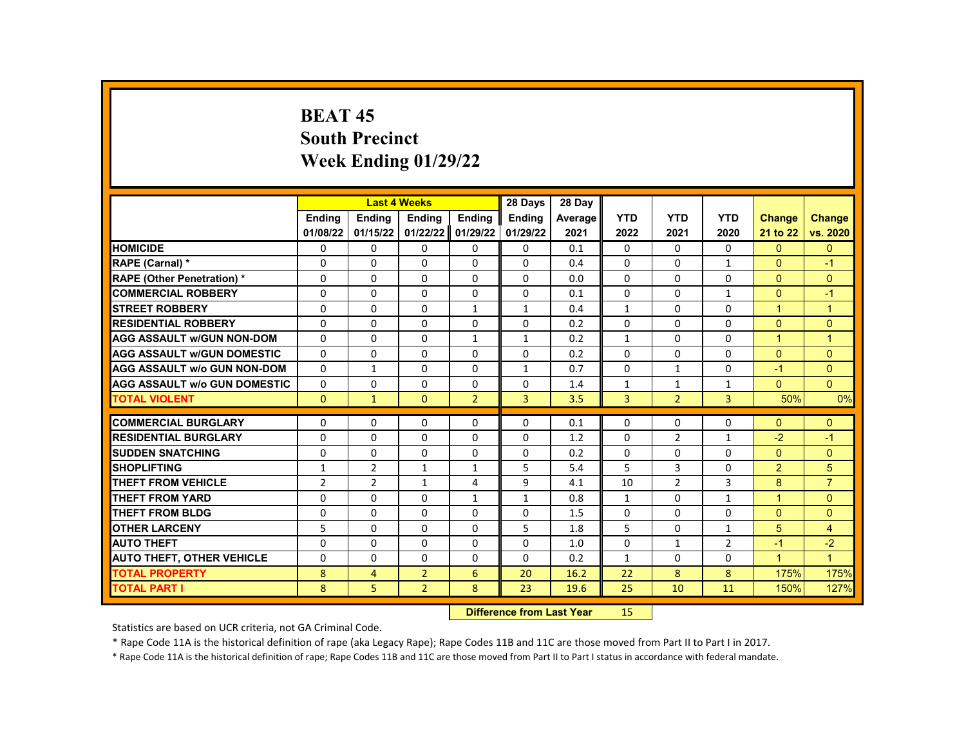# **BEAT 45 South Precinct Week Ending 01/29/22**

|                                     |                | <b>Last 4 Weeks</b> |                   |                | 28 Days                   | 28 Day  |              |                            |                |                |                  |
|-------------------------------------|----------------|---------------------|-------------------|----------------|---------------------------|---------|--------------|----------------------------|----------------|----------------|------------------|
|                                     | <b>Endina</b>  | Ending              | Ending            | Ending         | Ending                    | Average | <b>YTD</b>   | <b>YTD</b>                 | <b>YTD</b>     | <b>Change</b>  | <b>Change</b>    |
|                                     | 01/08/22       | 01/15/22            | 01/22/22 01/29/22 |                | 01/29/22                  | 2021    | 2022         | 2021                       | 2020           | 21 to 22       | vs. 2020         |
| <b>HOMICIDE</b>                     | 0              | 0                   | 0                 | $\Omega$       | 0                         | 0.1     | $\mathbf{0}$ | $\Omega$                   | 0              | $\mathbf{0}$   | $\mathbf{0}$     |
| RAPE (Carnal) *                     | 0              | 0                   | $\Omega$          | $\Omega$       | $\Omega$                  | 0.4     | $\Omega$     | $\Omega$                   | $\mathbf{1}$   | $\Omega$       | $-1$             |
| <b>RAPE (Other Penetration) *</b>   | 0              | $\Omega$            | $\Omega$          | $\Omega$       | $\Omega$                  | 0.0     | $\Omega$     | $\Omega$                   | $\Omega$       | $\Omega$       | $\Omega$         |
| <b>COMMERCIAL ROBBERY</b>           | 0              | 0                   | 0                 | 0              | 0                         | 0.1     | $\mathbf{0}$ | 0                          | $\mathbf{1}$   | $\mathbf{0}$   | $-1$             |
| <b>STREET ROBBERY</b>               | 0              | $\Omega$            | $\Omega$          | $\mathbf{1}$   | $\mathbf{1}$              | 0.4     | $\mathbf{1}$ | $\Omega$                   | $\Omega$       | $\mathbf{1}$   | $\mathbf{1}$     |
| <b>RESIDENTIAL ROBBERY</b>          | $\Omega$       | $\Omega$            | $\Omega$          | $\Omega$       | $\Omega$                  | 0.2     | $\Omega$     | $\Omega$                   | $\Omega$       | $\Omega$       | $\Omega$         |
| <b>AGG ASSAULT w/GUN NON-DOM</b>    | 0              | 0                   | 0                 | 1              | $\mathbf{1}$              | 0.2     | $\mathbf{1}$ | 0                          | 0              | 1              | $\mathbf{1}$     |
| <b>AGG ASSAULT w/GUN DOMESTIC</b>   | $\Omega$       | $\Omega$            | 0                 | $\Omega$       | $\Omega$                  | 0.2     | $\Omega$     | $\Omega$                   | $\Omega$       | $\Omega$       | $\Omega$         |
| <b>AGG ASSAULT w/o GUN NON-DOM</b>  | $\Omega$       | $\mathbf{1}$        | 0                 | $\Omega$       | $\mathbf{1}$              | 0.7     | $\Omega$     | $\mathbf{1}$               | $\Omega$       | $-1$           | $\Omega$         |
| <b>AGG ASSAULT w/o GUN DOMESTIC</b> | 0              | 0                   | 0                 | 0              | 0                         | 1.4     | $\mathbf{1}$ | $\mathbf{1}$               | 1              | $\mathbf{0}$   | $\Omega$         |
| <b>TOTAL VIOLENT</b>                | $\mathbf{0}$   | $\mathbf{1}$        | $\mathbf{0}$      | $\overline{2}$ | $\overline{3}$            | 3.5     | 3            | $\overline{2}$             | 3              | 50%            | 0%               |
| <b>COMMERCIAL BURGLARY</b>          |                |                     |                   |                | $\Omega$                  |         | $\Omega$     |                            | $\Omega$       | $\Omega$       |                  |
| <b>RESIDENTIAL BURGLARY</b>         | 0              | 0                   | 0                 | 0              |                           | 0.1     |              | $\Omega$<br>$\overline{2}$ |                | $-2$           | $\Omega$<br>$-1$ |
|                                     | $\Omega$       | $\Omega$            | $\Omega$          | $\mathbf{0}$   | $\mathbf{0}$              | 1.2     | $\Omega$     |                            | $\mathbf{1}$   |                |                  |
| <b>SUDDEN SNATCHING</b>             | 0              | 0                   | $\Omega$          | 0              | $\Omega$                  | 0.2     | $\Omega$     | $\Omega$                   | $\Omega$       | $\Omega$       | $\Omega$         |
| <b>SHOPLIFTING</b>                  | 1              | $\overline{2}$      | $\mathbf{1}$      | $\mathbf{1}$   | 5                         | 5.4     | 5            | $\overline{3}$             | $\Omega$       | $\overline{2}$ | 5                |
| <b>THEFT FROM VEHICLE</b>           | $\overline{2}$ | $\overline{2}$      | $\mathbf{1}$      | 4              | 9                         | 4.1     | 10           | $\overline{2}$             | 3              | 8              | $\overline{7}$   |
| <b>THEFT FROM YARD</b>              | 0              | 0                   | $\Omega$          | $\mathbf{1}$   | $\mathbf{1}$              | 0.8     | $\mathbf{1}$ | $\mathbf{0}$               | $\mathbf{1}$   | $\mathbf{1}$   | $\Omega$         |
| <b>THEFT FROM BLDG</b>              | 0              | $\Omega$            | $\Omega$          | $\Omega$       | $\Omega$                  | 1.5     | $\Omega$     | $\Omega$                   | $\Omega$       | $\Omega$       | $\Omega$         |
| <b>OTHER LARCENY</b>                | 5              | $\Omega$            | $\Omega$          | $\mathbf{0}$   | 5                         | 1.8     | 5            | $\mathbf{0}$               | $\mathbf{1}$   | 5              | $\overline{4}$   |
| <b>AUTO THEFT</b>                   | 0              | 0                   | $\Omega$          | 0              | $\Omega$                  | 1.0     | $\Omega$     | $\mathbf{1}$               | $\overline{2}$ | $-1$           | $-2$             |
| <b>AUTO THEFT, OTHER VEHICLE</b>    | 0              | $\Omega$            | $\Omega$          | $\Omega$       | $\Omega$                  | 0.2     | $\mathbf{1}$ | $\Omega$                   | $\Omega$       | $\mathbf{1}$   | $\overline{1}$   |
| <b>TOTAL PROPERTY</b>               | 8              | $\overline{4}$      | $\overline{2}$    | 6              | 20                        | 16.2    | 22           | 8                          | 8              | 175%           | 175%             |
| <b>TOTAL PART I</b>                 | 8              | 5                   | $\overline{2}$    | 8              | 23                        | 19.6    | 25           | 10                         | 11             | 150%           | 127%             |
|                                     |                |                     |                   |                | Difference from Loot Voor |         | 1 E          |                            |                |                |                  |

 **Difference from Last Year** 15

Statistics are based on UCR criteria, not GA Criminal Code.

\* Rape Code 11A is the historical definition of rape (aka Legacy Rape); Rape Codes 11B and 11C are those moved from Part II to Part I in 2017.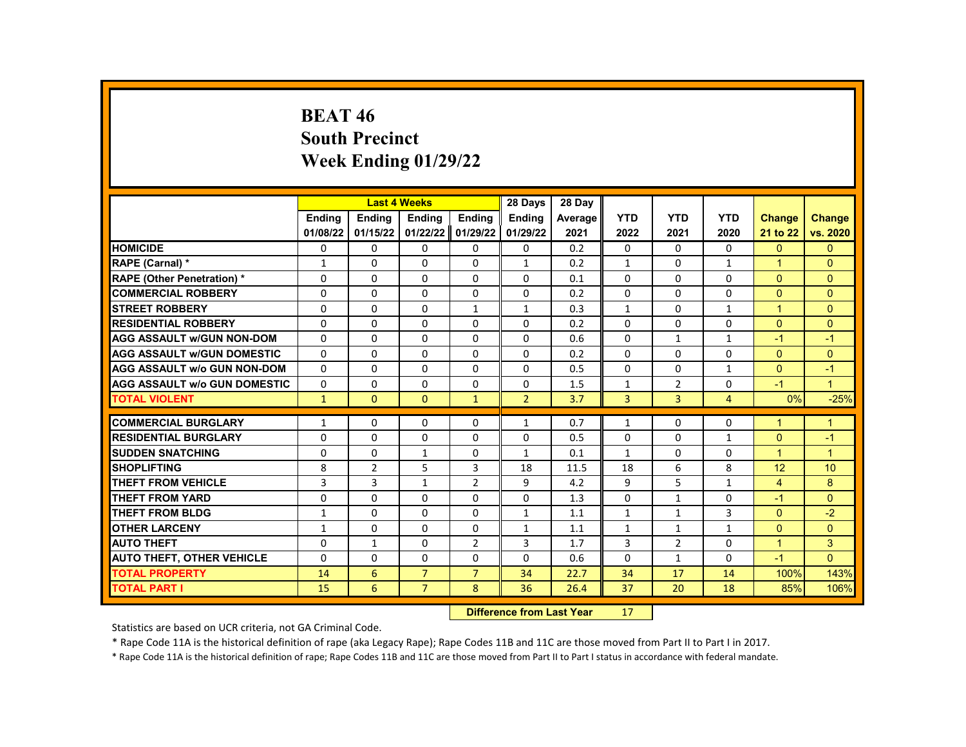# **BEAT 46 South Precinct Week Ending 01/29/22**

|                                     |               |                | <b>Last 4 Weeks</b> |                | 28 Days                   | 28 Day  |              |                |                |                |                 |
|-------------------------------------|---------------|----------------|---------------------|----------------|---------------------------|---------|--------------|----------------|----------------|----------------|-----------------|
|                                     | <b>Endina</b> | <b>Endina</b>  | <b>Ending</b>       | <b>Ending</b>  | <b>Endina</b>             | Average | <b>YTD</b>   | <b>YTD</b>     | <b>YTD</b>     | <b>Change</b>  | <b>Change</b>   |
|                                     | 01/08/22      | 01/15/22       | 01/22/22            | 01/29/22       | 01/29/22                  | 2021    | 2022         | 2021           | 2020           | 21 to 22       | vs. 2020        |
| <b>HOMICIDE</b>                     | 0             | 0              | 0                   | 0              | 0                         | 0.2     | 0            | $\mathbf{0}$   | 0              | $\mathbf{0}$   | $\mathbf{0}$    |
| RAPE (Carnal) *                     | 1             | $\Omega$       | $\Omega$            | $\Omega$       | $\mathbf{1}$              | 0.2     | $\mathbf{1}$ | $\Omega$       | $\mathbf{1}$   | $\mathbf{1}$   | $\Omega$        |
| <b>RAPE (Other Penetration) *</b>   | $\Omega$      | $\Omega$       | $\Omega$            | $\Omega$       | $\Omega$                  | 0.1     | $\Omega$     | $\Omega$       | $\Omega$       | $\Omega$       | $\Omega$        |
| <b>COMMERCIAL ROBBERY</b>           | $\Omega$      | 0              | 0                   | 0              | 0                         | 0.2     | $\Omega$     | 0              | $\Omega$       | $\Omega$       | $\Omega$        |
| <b>STREET ROBBERY</b>               | $\Omega$      | $\Omega$       | $\Omega$            | $\mathbf{1}$   | $\mathbf{1}$              | 0.3     | $\mathbf{1}$ | $\Omega$       | $\mathbf{1}$   | $\mathbf{1}$   | $\Omega$        |
| <b>RESIDENTIAL ROBBERY</b>          | $\Omega$      | $\Omega$       | $\Omega$            | $\Omega$       | $\Omega$                  | 0.2     | $\Omega$     | $\Omega$       | $\Omega$       | $\Omega$       | $\Omega$        |
| <b>AGG ASSAULT w/GUN NON-DOM</b>    | $\Omega$      | 0              | $\Omega$            | 0              | 0                         | 0.6     | $\Omega$     | $\mathbf{1}$   | 1              | $-1$           | $-1$            |
| <b>AGG ASSAULT w/GUN DOMESTIC</b>   | $\Omega$      | $\Omega$       | $\Omega$            | $\Omega$       | $\Omega$                  | 0.2     | $\Omega$     | $\Omega$       | $\Omega$       | $\Omega$       | $\Omega$        |
| <b>AGG ASSAULT w/o GUN NON-DOM</b>  | $\Omega$      | $\Omega$       | $\Omega$            | $\Omega$       | $\Omega$                  | 0.5     | $\Omega$     | $\Omega$       | $\mathbf{1}$   | $\Omega$       | $-1$            |
| <b>AGG ASSAULT w/o GUN DOMESTIC</b> | 0             | 0              | 0                   | 0              | 0                         | 1.5     | 1            | $\overline{2}$ | 0              | $-1$           | $\mathbf{1}$    |
| <b>TOTAL VIOLENT</b>                | $\mathbf{1}$  | $\mathbf{0}$   | $\mathbf{0}$        | $\mathbf{1}$   | $\overline{2}$            | 3.7     | 3            | 3              | $\overline{4}$ | 0%             | $-25%$          |
| <b>COMMERCIAL BURGLARY</b>          |               |                |                     |                |                           |         |              |                |                | 1              |                 |
|                                     | 1             | 0              | 0                   | 0              | 1                         | 0.7     | 1            | 0              | 0              |                | $\mathbf 1$     |
| <b>RESIDENTIAL BURGLARY</b>         | $\Omega$      | $\Omega$       | $\Omega$            | $\Omega$       | $\Omega$                  | 0.5     | $\Omega$     | $\Omega$       | $\mathbf{1}$   | $\Omega$       | $-1$            |
| <b>SUDDEN SNATCHING</b>             | $\Omega$      | $\Omega$       | $\mathbf{1}$        | $\Omega$       | $\mathbf{1}$              | 0.1     | $\mathbf{1}$ | $\Omega$       | $\Omega$       | $\mathbf{1}$   | $\overline{1}$  |
| <b>SHOPLIFTING</b>                  | 8             | $\overline{2}$ | 5                   | 3              | 18                        | 11.5    | 18           | 6              | 8              | 12             | 10 <sup>1</sup> |
| <b>THEFT FROM VEHICLE</b>           | 3             | 3              | $\mathbf{1}$        | $\overline{2}$ | 9                         | 4.2     | 9            | 5              | 1              | $\overline{4}$ | 8               |
| <b>THEFT FROM YARD</b>              | $\Omega$      | $\Omega$       | $\Omega$            | $\Omega$       | $\Omega$                  | 1.3     | $\Omega$     | $\mathbf{1}$   | $\Omega$       | $-1$           | $\Omega$        |
| <b>THEFT FROM BLDG</b>              | $\mathbf{1}$  | $\Omega$       | $\Omega$            | $\Omega$       | $\mathbf{1}$              | 1.1     | $\mathbf{1}$ | $\mathbf{1}$   | 3              | $\Omega$       | $-2$            |
| <b>OTHER LARCENY</b>                | $\mathbf{1}$  | 0              | $\Omega$            | 0              | $\mathbf{1}$              | 1.1     | $\mathbf{1}$ | $\mathbf{1}$   | 1              | $\mathbf{0}$   | $\overline{0}$  |
| <b>AUTO THEFT</b>                   | 0             | $\mathbf{1}$   | $\Omega$            | $\overline{2}$ | 3                         | 1.7     | 3            | 2              | $\Omega$       | $\mathbf{1}$   | 3               |
| <b>AUTO THEFT, OTHER VEHICLE</b>    | $\Omega$      | $\Omega$       | $\Omega$            | $\Omega$       | $\Omega$                  | 0.6     | $\Omega$     | $\mathbf{1}$   | $\Omega$       | $-1$           | $\Omega$        |
| <b>TOTAL PROPERTY</b>               | 14            | 6              | $\overline{7}$      | $\overline{7}$ | 34                        | 22.7    | 34           | 17             | 14             | 100%           | 143%            |
| <b>TOTAL PART I</b>                 | 15            | 6              | $\overline{7}$      | 8              | 36                        | 26.4    | 37           | 20             | 18             | 85%            | 106%            |
|                                     |               |                |                     |                | Difference from Loot Voor |         | 17           |                |                |                |                 |

**Difference from Last Year** 17

Statistics are based on UCR criteria, not GA Criminal Code.

\* Rape Code 11A is the historical definition of rape (aka Legacy Rape); Rape Codes 11B and 11C are those moved from Part II to Part I in 2017.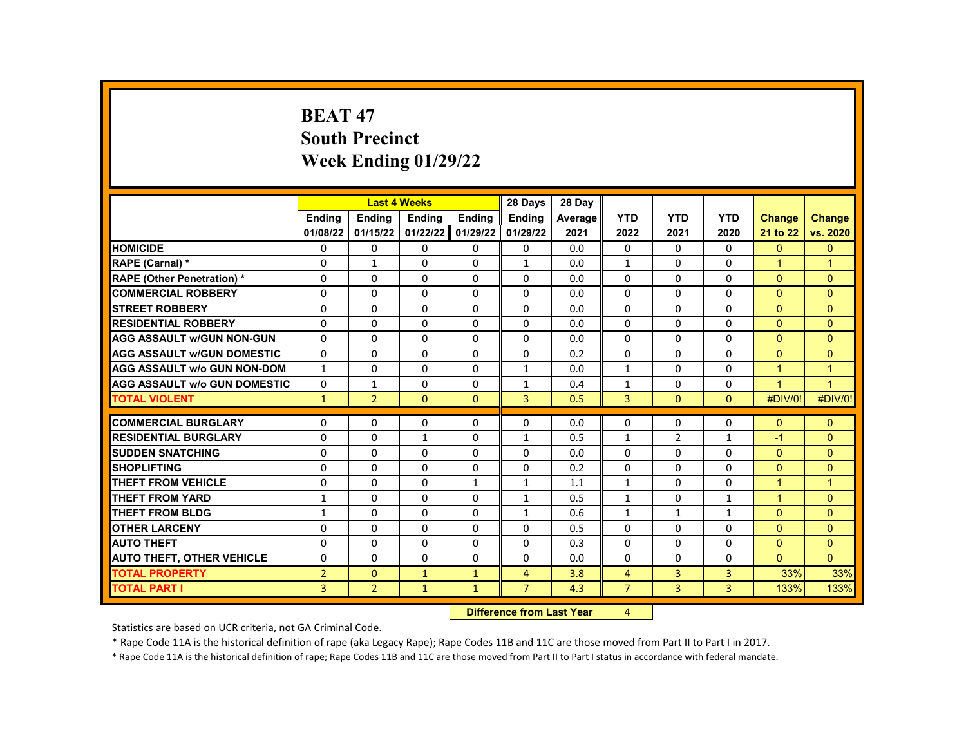# **BEAT 47 South Precinct Week Ending 01/29/22**

|                                     |                | <b>Last 4 Weeks</b> |               |               | 28 Days                | 28 Day  |                |                |              |                |                |
|-------------------------------------|----------------|---------------------|---------------|---------------|------------------------|---------|----------------|----------------|--------------|----------------|----------------|
|                                     | Ending         | <b>Ending</b>       | <b>Ending</b> | Ending        | <b>Ending</b>          | Average | <b>YTD</b>     | <b>YTD</b>     | <b>YTD</b>   | <b>Change</b>  | <b>Change</b>  |
|                                     | 01/08/22       | 01/15/22            | 01/22/22      | 01/29/22      | 01/29/22               | 2021    | 2022           | 2021           | 2020         | 21 to 22       | vs. 2020       |
| <b>HOMICIDE</b>                     | 0              | 0                   | 0             | 0             | 0                      | 0.0     | $\mathbf{0}$   | $\Omega$       | 0            | $\overline{0}$ | $\mathbf{0}$   |
| RAPE (Carnal) *                     | $\Omega$       | $\mathbf{1}$        | 0             | $\Omega$      | $\mathbf{1}$           | 0.0     | $\mathbf{1}$   | $\Omega$       | $\Omega$     | $\mathbf{1}$   | $\overline{1}$ |
| <b>RAPE (Other Penetration) *</b>   | $\Omega$       | $\Omega$            | $\Omega$      | $\Omega$      | $\Omega$               | 0.0     | $\Omega$       | $\Omega$       | $\Omega$     | $\Omega$       | $\Omega$       |
| <b>COMMERCIAL ROBBERY</b>           | 0              | 0                   | 0             | 0             | $\Omega$               | 0.0     | 0              | 0              | $\Omega$     | $\Omega$       | $\mathbf{0}$   |
| <b>STREET ROBBERY</b>               | $\Omega$       | $\Omega$            | $\Omega$      | $\Omega$      | $\Omega$               | 0.0     | $\Omega$       | $\Omega$       | $\Omega$     | $\Omega$       | $\Omega$       |
| <b>RESIDENTIAL ROBBERY</b>          | $\Omega$       | $\Omega$            | $\Omega$      | $\Omega$      | $\Omega$               | 0.0     | $\Omega$       | $\Omega$       | $\Omega$     | $\Omega$       | $\Omega$       |
| <b>AGG ASSAULT W/GUN NON-GUN</b>    | $\Omega$       | $\Omega$            | 0             | $\Omega$      | $\Omega$               | 0.0     | 0              | $\Omega$       | $\Omega$     | $\Omega$       | $\Omega$       |
| <b>AGG ASSAULT W/GUN DOMESTIC</b>   | $\Omega$       | 0                   | 0             | $\Omega$      | $\Omega$               | 0.2     | $\Omega$       | $\Omega$       | 0            | $\Omega$       | $\mathbf{0}$   |
| <b>AGG ASSAULT w/o GUN NON-DOM</b>  | $\mathbf{1}$   | $\Omega$            | $\Omega$      | $\Omega$      | $\mathbf{1}$           | 0.0     | $\mathbf{1}$   | $\Omega$       | $\Omega$     | $\overline{1}$ | $\mathbf{1}$   |
| <b>AGG ASSAULT W/o GUN DOMESTIC</b> | $\Omega$       | $\mathbf{1}$        | 0             | 0             | 1                      | 0.4     | $\mathbf{1}$   | 0              | $\Omega$     | $\overline{1}$ | $\overline{1}$ |
| <b>TOTAL VIOLENT</b>                | $\mathbf{1}$   | $\overline{2}$      | $\Omega$      | $\Omega$      | 3                      | 0.5     | 3              | $\Omega$       | $\Omega$     | #DIV/0!        | #DIV/0!        |
|                                     |                |                     |               |               |                        |         |                |                |              |                |                |
| <b>COMMERCIAL BURGLARY</b>          | 0              | 0                   | 0             | 0             | $\Omega$               | 0.0     | $\Omega$       | 0              | 0            | $\Omega$       | $\mathbf{0}$   |
| <b>RESIDENTIAL BURGLARY</b>         | 0              | $\Omega$            | $\mathbf{1}$  | $\Omega$      | $\mathbf{1}$           | 0.5     | $\mathbf{1}$   | $\overline{2}$ | $\mathbf{1}$ | $-1$           | $\mathbf{0}$   |
| <b>SUDDEN SNATCHING</b>             | $\Omega$       | $\Omega$            | $\Omega$      | $\Omega$      | $\Omega$               | 0.0     | $\Omega$       | $\Omega$       | $\Omega$     | $\Omega$       | $\Omega$       |
| <b>SHOPLIFTING</b>                  | 0              | 0                   | 0             | 0             | 0                      | 0.2     | $\mathbf{0}$   | 0              | 0            | $\mathbf{0}$   | $\Omega$       |
| <b>THEFT FROM VEHICLE</b>           | 0              | $\Omega$            | $\Omega$      | $\mathbf{1}$  | 1                      | 1.1     | $\mathbf{1}$   | $\Omega$       | $\Omega$     | $\mathbf{1}$   | $\mathbf{1}$   |
| <b>THEFT FROM YARD</b>              | $\mathbf{1}$   | $\Omega$            | $\Omega$      | $\Omega$      | $\mathbf{1}$           | 0.5     | $\mathbf{1}$   | $\Omega$       | $\mathbf{1}$ | $\overline{1}$ | $\Omega$       |
| <b>THEFT FROM BLDG</b>              | $\mathbf{1}$   | $\Omega$            | 0             | $\Omega$      | $\mathbf{1}$           | 0.6     | $\mathbf{1}$   | $\mathbf{1}$   | $\mathbf{1}$ | $\Omega$       | $\Omega$       |
| <b>OTHER LARCENY</b>                | $\Omega$       | $\Omega$            | $\Omega$      | $\Omega$      | $\Omega$               | 0.5     | $\Omega$       | $\Omega$       | $\Omega$     | $\Omega$       | $\Omega$       |
| <b>AUTO THEFT</b>                   | $\Omega$       | $\Omega$            | $\Omega$      | $\Omega$      | $\Omega$               | 0.3     | $\Omega$       | $\Omega$       | $\Omega$     | $\Omega$       | $\Omega$       |
| <b>AUTO THEFT, OTHER VEHICLE</b>    | 0              | 0                   | $\mathbf{0}$  | 0             | 0                      | 0.0     | 0              | 0              | 0            | $\Omega$       | $\Omega$       |
| <b>TOTAL PROPERTY</b>               | $\overline{2}$ | $\mathbf{0}$        | $\mathbf{1}$  | $\mathbf{1}$  | $\overline{4}$         | 3.8     | 4              | 3              | 3            | 33%            | 33%            |
| <b>TOTAL PART I</b>                 | 3              | $\overline{2}$      | $\mathbf{1}$  | $\mathbf{1}$  | $\overline{7}$         | 4.3     | $\overline{7}$ | 3              | 3            | 133%           | 133%           |
|                                     |                |                     |               | <b>POSSES</b> | a a dheann 1 anns Main |         | $\overline{a}$ |                |              |                |                |

**Difference from Last Year** 4

Statistics are based on UCR criteria, not GA Criminal Code.

\* Rape Code 11A is the historical definition of rape (aka Legacy Rape); Rape Codes 11B and 11C are those moved from Part II to Part I in 2017.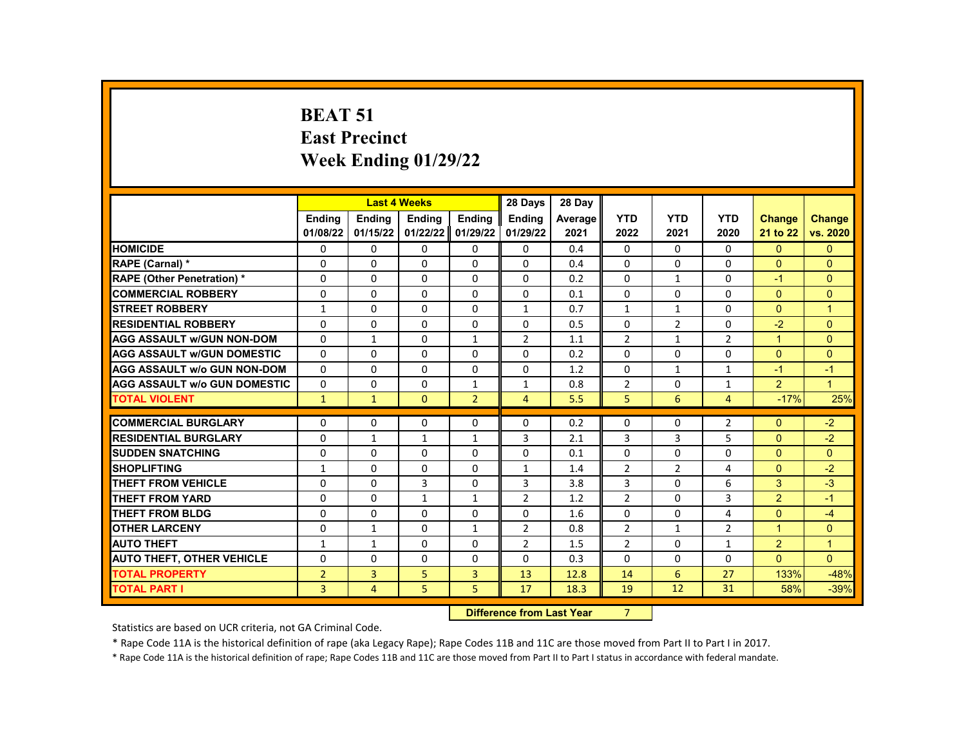#### **BEAT 51 East Precinct Week Ending 01/29/22**

|                                     |                | <b>Last 4 Weeks</b> |               |                | 28 Days        | 28 Day  |                |                |                |                |                      |
|-------------------------------------|----------------|---------------------|---------------|----------------|----------------|---------|----------------|----------------|----------------|----------------|----------------------|
|                                     | <b>Endina</b>  | <b>Endina</b>       | <b>Endina</b> | <b>Endina</b>  | <b>Endina</b>  | Average | <b>YTD</b>     | <b>YTD</b>     | <b>YTD</b>     | <b>Change</b>  | <b>Change</b>        |
|                                     | 01/08/22       | 01/15/22            | 01/22/22      | 01/29/22       | 01/29/22       | 2021    | 2022           | 2021           | 2020           | 21 to 22       | vs. 2020             |
| <b>HOMICIDE</b>                     | 0              | 0                   | 0             | 0              | 0              | 0.4     | 0              | 0              | 0              | $\mathbf{0}$   | $\mathbf{0}$         |
| RAPE (Carnal) *                     | $\Omega$       | $\Omega$            | $\Omega$      | $\Omega$       | 0              | 0.4     | $\Omega$       | $\Omega$       | $\Omega$       | $\Omega$       | $\Omega$             |
| <b>RAPE (Other Penetration) *</b>   | $\Omega$       | $\Omega$            | $\Omega$      | $\Omega$       | $\Omega$       | 0.2     | $\Omega$       | $\mathbf{1}$   | $\Omega$       | $-1$           | $\Omega$             |
| <b>COMMERCIAL ROBBERY</b>           | $\Omega$       | $\Omega$            | $\Omega$      | $\Omega$       | 0              | 0.1     | $\Omega$       | $\Omega$       | $\Omega$       | $\Omega$       | $\Omega$             |
| <b>STREET ROBBERY</b>               | 1              | $\Omega$            | $\Omega$      | $\Omega$       | 1              | 0.7     | $\mathbf{1}$   | 1              | $\Omega$       | $\Omega$       | $\blacktriangleleft$ |
| <b>RESIDENTIAL ROBBERY</b>          | $\Omega$       | $\Omega$            | $\mathbf{0}$  | $\Omega$       | 0              | 0.5     | $\Omega$       | $\overline{2}$ | $\Omega$       | $-2$           | $\Omega$             |
| <b>AGG ASSAULT w/GUN NON-DOM</b>    | $\Omega$       | $\mathbf{1}$        | $\Omega$      | $\mathbf{1}$   | $\overline{2}$ | 1.1     | $\overline{2}$ | $\mathbf{1}$   | $\overline{2}$ | $\mathbf{1}$   | $\Omega$             |
| <b>AGG ASSAULT w/GUN DOMESTIC</b>   | $\Omega$       | 0                   | 0             | 0              | 0              | 0.2     | 0              | 0              | 0              | $\Omega$       | $\Omega$             |
| <b>AGG ASSAULT w/o GUN NON-DOM</b>  | $\Omega$       | 0                   | $\Omega$      | 0              | $\Omega$       | 1.2     | $\Omega$       | 1              | $\mathbf{1}$   | $-1$           | $-1$                 |
| <b>AGG ASSAULT w/o GUN DOMESTIC</b> | $\Omega$       | 0                   | $\Omega$      | 1              | 1              | 0.8     | $\overline{2}$ | 0              | 1              | $\overline{2}$ | $\mathbf{1}$         |
| <b>TOTAL VIOLENT</b>                | $\mathbf{1}$   | $\mathbf{1}$        | $\mathbf 0$   | $\overline{2}$ | 4              | 5.5     | 5              | 6              | 4              | $-17%$         | 25%                  |
|                                     |                |                     |               |                |                |         |                |                |                |                |                      |
| <b>COMMERCIAL BURGLARY</b>          | 0              | 0                   | 0             | 0              | 0              | 0.2     | 0              | 0              | 2              | $\Omega$       | $-2$                 |
| <b>RESIDENTIAL BURGLARY</b>         | 0              | 1                   | 1             | 1              | 3              | 2.1     | 3              | 3              | 5              | $\Omega$       | $-2$                 |
| <b>SUDDEN SNATCHING</b>             | $\Omega$       | $\Omega$            | $\Omega$      | $\Omega$       | $\Omega$       | 0.1     | $\Omega$       | $\Omega$       | $\Omega$       | $\Omega$       | $\Omega$             |
| <b>SHOPLIFTING</b>                  | $\mathbf{1}$   | 0                   | $\Omega$      | 0              | $\mathbf{1}$   | 1.4     | $\overline{2}$ | $\overline{2}$ | 4              | $\Omega$       | $-2$                 |
| THEFT FROM VEHICLE                  | $\Omega$       | $\Omega$            | 3             | $\Omega$       | 3              | 3.8     | 3              | $\Omega$       | 6              | 3              | $-3$                 |
| <b>THEFT FROM YARD</b>              | $\Omega$       | $\Omega$            | $\mathbf{1}$  | $\mathbf{1}$   | $\overline{2}$ | 1.2     | $\overline{2}$ | $\Omega$       | 3              | $\overline{2}$ | $-1$                 |
| <b>THEFT FROM BLDG</b>              | $\Omega$       | $\Omega$            | $\Omega$      | $\Omega$       | $\Omega$       | 1.6     | $\Omega$       | $\Omega$       | 4              | $\Omega$       | $-4$                 |
| <b>OTHER LARCENY</b>                | $\Omega$       | $\mathbf{1}$        | $\Omega$      | $\mathbf{1}$   | $\overline{2}$ | 0.8     | $\overline{2}$ | $\mathbf{1}$   | $\overline{2}$ | $\overline{1}$ | $\Omega$             |
| <b>AUTO THEFT</b>                   | $\mathbf{1}$   | $\mathbf{1}$        | $\Omega$      | $\Omega$       | $\overline{2}$ | 1.5     | $\overline{2}$ | $\Omega$       | $\mathbf{1}$   | $\overline{2}$ | $\overline{1}$       |
| <b>AUTO THEFT, OTHER VEHICLE</b>    | $\Omega$       | $\Omega$            | $\Omega$      | $\Omega$       | 0              | 0.3     | $\Omega$       | 0              | $\Omega$       | $\Omega$       | $\Omega$             |
| <b>TOTAL PROPERTY</b>               | $\overline{2}$ | 3                   | 5             | 3              | 13             | 12.8    | 14             | 6              | 27             | 133%           | $-48%$               |
| <b>TOTAL PART I</b>                 | 3              | 4                   | 5             | 5              | 17             | 18.3    | 19             | 12             | 31             | 58%            | $-39%$               |
|                                     |                |                     |               | <b>Section</b> |                |         |                |                |                |                |                      |

**Difference from Last Year** 7

Statistics are based on UCR criteria, not GA Criminal Code.

\* Rape Code 11A is the historical definition of rape (aka Legacy Rape); Rape Codes 11B and 11C are those moved from Part II to Part I in 2017.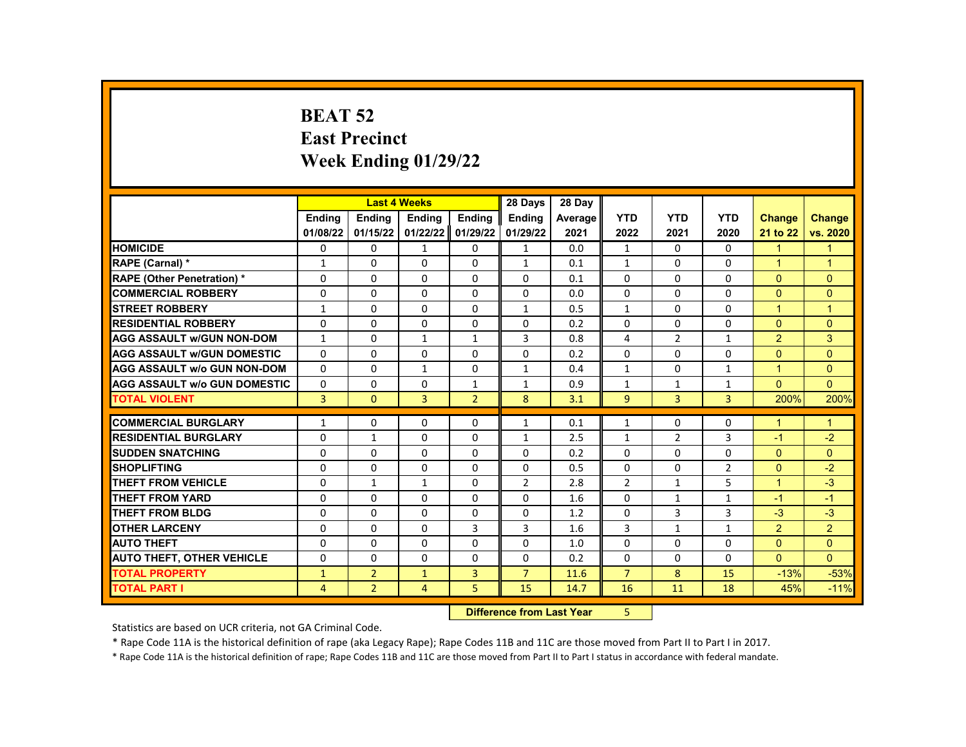# **BEAT 52 East Precinct Week Ending 01/29/22**

|                                     |                | <b>Last 4 Weeks</b> |                |                   | 28 Days                           | 28 Day  |                |                |                |                |                      |
|-------------------------------------|----------------|---------------------|----------------|-------------------|-----------------------------------|---------|----------------|----------------|----------------|----------------|----------------------|
|                                     | <b>Endina</b>  | <b>Ending</b>       | Ending         | Ending            | Ending                            | Average | <b>YTD</b>     | <b>YTD</b>     | <b>YTD</b>     | <b>Change</b>  | <b>Change</b>        |
|                                     | 01/08/22       | 01/15/22            |                | 01/22/22 01/29/22 | 01/29/22                          | 2021    | 2022           | 2021           | 2020           | 21 to 22       | vs. 2020             |
| <b>HOMICIDE</b>                     | 0              | 0                   | $\mathbf{1}$   | $\mathbf{0}$      | $\mathbf{1}$                      | 0.0     | $\mathbf{1}$   | $\Omega$       | 0              | $\mathbf{1}$   | 1                    |
| RAPE (Carnal) *                     | $\mathbf{1}$   | 0                   | 0              | 0                 | $\mathbf{1}$                      | 0.1     | $\mathbf{1}$   | $\Omega$       | $\Omega$       | $\mathbf{1}$   | $\blacktriangleleft$ |
| <b>RAPE (Other Penetration) *</b>   | 0              | $\Omega$            | $\Omega$       | $\Omega$          | $\Omega$                          | 0.1     | $\Omega$       | $\Omega$       | $\Omega$       | $\Omega$       | $\Omega$             |
| <b>COMMERCIAL ROBBERY</b>           | 0              | $\Omega$            | $\Omega$       | $\Omega$          | $\Omega$                          | 0.0     | $\Omega$       | $\Omega$       | $\Omega$       | $\Omega$       | $\Omega$             |
| <b>STREET ROBBERY</b>               | $\mathbf{1}$   | $\Omega$            | 0              | $\Omega$          | $\mathbf{1}$                      | 0.5     | $\mathbf{1}$   | $\Omega$       | $\Omega$       | $\overline{1}$ | $\overline{1}$       |
| <b>RESIDENTIAL ROBBERY</b>          | $\Omega$       | $\Omega$            | $\Omega$       | $\Omega$          | $\Omega$                          | 0.2     | $\Omega$       | $\Omega$       | $\Omega$       | $\Omega$       | $\Omega$             |
| <b>AGG ASSAULT w/GUN NON-DOM</b>    | $\mathbf{1}$   | 0                   | $\mathbf{1}$   | 1                 | 3                                 | 0.8     | 4              | $\overline{2}$ | 1              | $\overline{2}$ | 3                    |
| <b>AGG ASSAULT w/GUN DOMESTIC</b>   | $\Omega$       | $\Omega$            | 0              | 0                 | $\Omega$                          | 0.2     | $\Omega$       | $\Omega$       | $\Omega$       | $\Omega$       | $\Omega$             |
| <b>AGG ASSAULT w/o GUN NON-DOM</b>  | $\Omega$       | $\Omega$            | $\mathbf{1}$   | $\Omega$          | $\mathbf{1}$                      | 0.4     | $\mathbf{1}$   | $\Omega$       | $\mathbf{1}$   | $\mathbf{1}$   | $\Omega$             |
| <b>AGG ASSAULT w/o GUN DOMESTIC</b> | 0              | 0                   | 0              | $\mathbf{1}$      | $\mathbf{1}$                      | 0.9     | $\mathbf{1}$   | $\mathbf{1}$   | $\mathbf{1}$   | $\Omega$       | $\Omega$             |
| <b>TOTAL VIOLENT</b>                | $\overline{3}$ | $\Omega$            | $\overline{3}$ | $\overline{2}$    | 8                                 | 3.1     | 9              | $\overline{3}$ | $\overline{3}$ | 200%           | 200%                 |
|                                     |                |                     |                |                   |                                   |         |                |                |                |                |                      |
| <b>COMMERCIAL BURGLARY</b>          | 1              | 0                   | 0              | 0                 | $\mathbf{1}$                      | 0.1     | $\mathbf{1}$   | 0              | 0              | 1              | 1                    |
| <b>RESIDENTIAL BURGLARY</b>         | 0              | $\mathbf{1}$        | $\Omega$       | 0                 | $1\,$                             | 2.5     | $\mathbf{1}$   | $\overline{2}$ | 3              | $-1$           | $-2$                 |
| <b>SUDDEN SNATCHING</b>             | $\Omega$       | $\Omega$            | $\Omega$       | $\Omega$          | $\Omega$                          | 0.2     | $\Omega$       | $\Omega$       | $\Omega$       | $\Omega$       | $\Omega$             |
| <b>SHOPLIFTING</b>                  | 0              | $\Omega$            | 0              | $\Omega$          | $\Omega$                          | 0.5     | $\Omega$       | $\Omega$       | $\overline{2}$ | $\Omega$       | $-2$                 |
| <b>THEFT FROM VEHICLE</b>           | 0              | $\mathbf{1}$        | $\mathbf{1}$   | 0                 | $\overline{2}$                    | 2.8     | $\overline{2}$ | $\mathbf{1}$   | 5              | $\mathbf{1}$   | $-3$                 |
| <b>THEFT FROM YARD</b>              | $\Omega$       | $\Omega$            | $\Omega$       | $\Omega$          | $\Omega$                          | 1.6     | $\Omega$       | $\mathbf{1}$   | $\mathbf{1}$   | $-1$           | $-1$                 |
| <b>THEFT FROM BLDG</b>              | 0              | $\Omega$            | $\Omega$       | $\Omega$          | $\Omega$                          | 1.2     | $\Omega$       | 3              | 3              | $-3$           | $-3$                 |
| <b>OTHER LARCENY</b>                | $\Omega$       | $\Omega$            | $\Omega$       | 3                 | 3                                 | 1.6     | 3              | $\mathbf{1}$   | $\mathbf{1}$   | $\overline{2}$ | $\overline{2}$       |
| <b>AUTO THEFT</b>                   | $\Omega$       | 0                   | $\Omega$       | 0                 | $\Omega$                          | 1.0     | $\Omega$       | $\Omega$       | $\Omega$       | $\Omega$       | $\Omega$             |
| <b>AUTO THEFT, OTHER VEHICLE</b>    | 0              | 0                   | 0              | 0                 | 0                                 | 0.2     | $\mathbf{0}$   | 0              | $\Omega$       | $\Omega$       | $\Omega$             |
| <b>TOTAL PROPERTY</b>               | $\mathbf{1}$   | $\overline{2}$      | $\mathbf{1}$   | 3                 | $\overline{7}$                    | 11.6    | $\overline{7}$ | 8              | 15             | $-13%$         | $-53%$               |
| <b>TOTAL PART I</b>                 | 4              | $\overline{2}$      | 4              | 5                 | 15                                | 14.7    | 16             | 11             | 18             | 45%            | $-11%$               |
|                                     |                |                     |                |                   | <b>Difference from Look Vance</b> |         | <b>COL</b>     |                |                |                |                      |

**Difference from Last Year** 5

Statistics are based on UCR criteria, not GA Criminal Code.

\* Rape Code 11A is the historical definition of rape (aka Legacy Rape); Rape Codes 11B and 11C are those moved from Part II to Part I in 2017.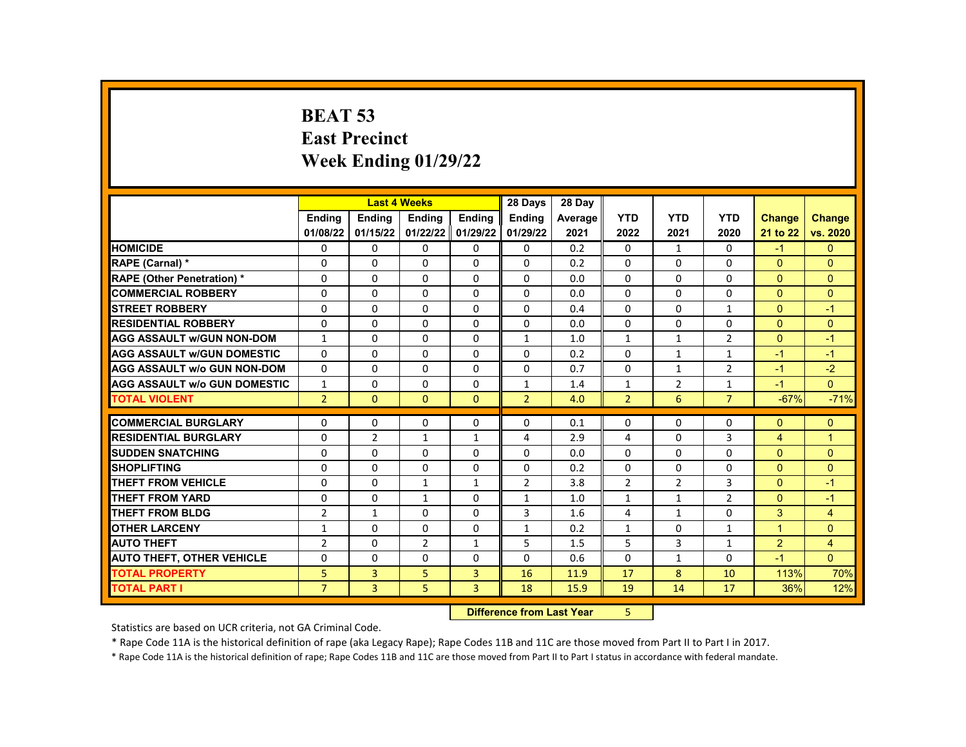# **BEAT 53 East Precinct Week Ending 01/29/22**

|                                     |                | <b>Last 4 Weeks</b> |                |                | 28 Days        | 28 Day  |                |                |                |                |                |
|-------------------------------------|----------------|---------------------|----------------|----------------|----------------|---------|----------------|----------------|----------------|----------------|----------------|
|                                     | <b>Endina</b>  | <b>Endina</b>       | <b>Endina</b>  | <b>Endina</b>  | <b>Endina</b>  | Average | <b>YTD</b>     | <b>YTD</b>     | <b>YTD</b>     | <b>Change</b>  | <b>Change</b>  |
|                                     | 01/08/22       | 01/15/22            | 01/22/22       | 01/29/22       | 01/29/22       | 2021    | 2022           | 2021           | 2020           | 21 to 22       | vs. 2020       |
| <b>HOMICIDE</b>                     | $\Omega$       | 0                   | $\Omega$       | $\Omega$       | 0              | 0.2     | 0              | $\mathbf{1}$   | $\Omega$       | $-1$           | $\Omega$       |
| RAPE (Carnal) *                     | $\Omega$       | 0                   | $\Omega$       | $\Omega$       | $\Omega$       | 0.2     | $\Omega$       | $\Omega$       | $\Omega$       | $\Omega$       | $\Omega$       |
| <b>RAPE (Other Penetration) *</b>   | 0              | 0                   | $\Omega$       | $\Omega$       | $\Omega$       | 0.0     | $\Omega$       | $\Omega$       | $\Omega$       | $\Omega$       | $\overline{0}$ |
| <b>COMMERCIAL ROBBERY</b>           | $\Omega$       | 0                   | $\Omega$       | $\Omega$       | $\Omega$       | 0.0     | $\Omega$       | $\Omega$       | $\Omega$       | $\Omega$       | $\Omega$       |
| <b>STREET ROBBERY</b>               | $\Omega$       | $\Omega$            | $\Omega$       | $\Omega$       | $\Omega$       | 0.4     | $\Omega$       | $\Omega$       | $\mathbf{1}$   | $\Omega$       | $-1$           |
| <b>RESIDENTIAL ROBBERY</b>          | $\Omega$       | 0                   | $\Omega$       | $\mathbf{0}$   | $\Omega$       | 0.0     | $\Omega$       | $\Omega$       | $\Omega$       | $\Omega$       | $\Omega$       |
| <b>AGG ASSAULT w/GUN NON-DOM</b>    | $\mathbf{1}$   | 0                   | $\Omega$       | $\mathbf{0}$   | $\mathbf{1}$   | 1.0     | $\mathbf{1}$   | $\mathbf{1}$   | $\overline{2}$ | $\Omega$       | $-1$           |
| <b>AGG ASSAULT W/GUN DOMESTIC</b>   | $\Omega$       | 0                   | $\Omega$       | $\Omega$       | $\Omega$       | 0.2     | $\Omega$       | $\mathbf{1}$   | $\mathbf{1}$   | $-1$           | $-1$           |
| <b>AGG ASSAULT w/o GUN NON-DOM</b>  | $\Omega$       | $\Omega$            | $\Omega$       | $\Omega$       | $\Omega$       | 0.7     | $\Omega$       | $\mathbf{1}$   | $\overline{2}$ | $-1$           | $-2$           |
| <b>AGG ASSAULT W/o GUN DOMESTIC</b> | $\mathbf{1}$   | 0                   | 0              | $\mathbf{0}$   | $\mathbf{1}$   | 1.4     | $\mathbf{1}$   | $\overline{2}$ | $\mathbf{1}$   | $-1$           | $\Omega$       |
| <b>TOTAL VIOLENT</b>                | $\overline{2}$ | $\mathbf{0}$        | $\Omega$       | $\Omega$       | $\overline{2}$ | 4.0     | $\overline{2}$ | 6              | $\overline{7}$ | $-67%$         | $-71%$         |
|                                     |                |                     |                |                |                |         |                |                |                |                |                |
| <b>COMMERCIAL BURGLARY</b>          | 0              | 0                   | $\Omega$       | $\Omega$       | 0              | 0.1     | $\Omega$       | 0              | $\Omega$       | $\Omega$       | $\Omega$       |
| <b>RESIDENTIAL BURGLARY</b>         | $\Omega$       | $\overline{2}$      | $\mathbf{1}$   | 1              | 4              | 2.9     | 4              | $\Omega$       | 3              | $\overline{4}$ | $\mathbf{1}$   |
| <b>SUDDEN SNATCHING</b>             | $\Omega$       | $\Omega$            | $\Omega$       | $\Omega$       | $\Omega$       | 0.0     | $\Omega$       | $\Omega$       | $\Omega$       | $\Omega$       | $\Omega$       |
| <b>SHOPLIFTING</b>                  | 0              | $\Omega$            | $\Omega$       | $\mathbf{0}$   | 0              | 0.2     | $\Omega$       | $\Omega$       | $\Omega$       | $\Omega$       | $\Omega$       |
| <b>THEFT FROM VEHICLE</b>           | $\Omega$       | $\Omega$            | $\mathbf{1}$   | $\mathbf{1}$   | $\overline{2}$ | 3.8     | $\overline{2}$ | $\overline{2}$ | 3              | $\Omega$       | $-1$           |
| <b>THEFT FROM YARD</b>              | 0              | 0                   | $\mathbf{1}$   | $\Omega$       | $\mathbf{1}$   | 1.0     | $\mathbf{1}$   | $\mathbf{1}$   | $\overline{2}$ | $\Omega$       | $-1$           |
| <b>THEFT FROM BLDG</b>              | $\overline{2}$ | $\mathbf{1}$        | 0              | $\mathbf{0}$   | 3              | 1.6     | 4              | $\mathbf{1}$   | $\Omega$       | 3              | $\overline{4}$ |
| <b>OTHER LARCENY</b>                | $\mathbf{1}$   | 0                   | $\Omega$       | $\Omega$       | 1              | 0.2     | $\mathbf{1}$   | $\Omega$       | $\mathbf{1}$   | $\mathbf{1}$   | $\Omega$       |
| <b>AUTO THEFT</b>                   | $\overline{2}$ | $\Omega$            | $\overline{2}$ | $\mathbf{1}$   | 5              | 1.5     | 5              | 3              | $\mathbf{1}$   | 2              | $\overline{4}$ |
| <b>AUTO THEFT, OTHER VEHICLE</b>    | $\Omega$       | 0                   | $\Omega$       | $\Omega$       | $\Omega$       | 0.6     | $\Omega$       | $\mathbf{1}$   | $\Omega$       | $-1$           | $\Omega$       |
| <b>TOTAL PROPERTY</b>               | 5              | 3                   | 5              | 3              | 16             | 11.9    | 17             | 8              | 10             | 113%           | 70%            |
| <b>TOTAL PART I</b>                 | $\overline{7}$ | $\overline{3}$      | 5              | $\overline{3}$ | 18             | 15.9    | 19             | 14             | 17             | 36%            | 12%            |
|                                     |                |                     |                |                |                |         | $\mathbf{r}$   |                |                |                |                |

**Difference from Last Year** 5

Statistics are based on UCR criteria, not GA Criminal Code.

\* Rape Code 11A is the historical definition of rape (aka Legacy Rape); Rape Codes 11B and 11C are those moved from Part II to Part I in 2017.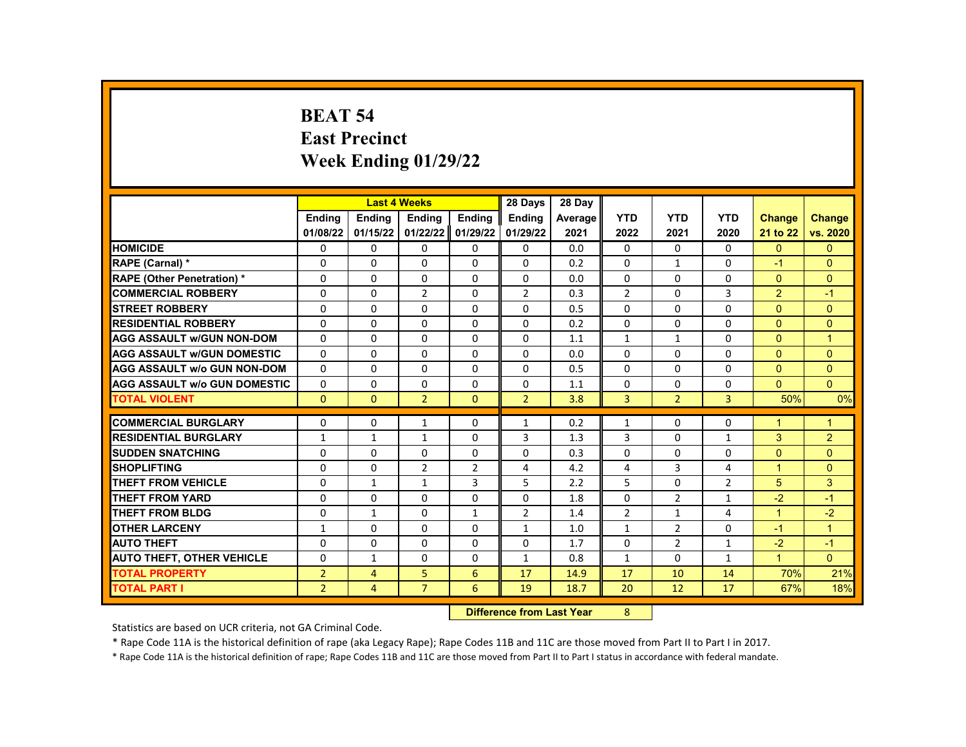# **BEAT 54 East Precinct Week Ending 01/29/22**

|                                     |                | <b>Last 4 Weeks</b> |                |                   | 28 Days                   | 28 Day  |                |                |                |               |                |
|-------------------------------------|----------------|---------------------|----------------|-------------------|---------------------------|---------|----------------|----------------|----------------|---------------|----------------|
|                                     | Ending         | <b>Ending</b>       | Ending         | Ending            | <b>Ending</b>             | Average | <b>YTD</b>     | <b>YTD</b>     | <b>YTD</b>     | <b>Change</b> | <b>Change</b>  |
|                                     | 01/08/22       | 01/15/22            |                | 01/22/22 01/29/22 | 01/29/22                  | 2021    | 2022           | 2021           | 2020           | 21 to 22      | vs. 2020       |
| <b>HOMICIDE</b>                     | 0              | 0                   | 0              | $\Omega$          | $\mathbf{0}$              | 0.0     | $\mathbf{0}$   | $\Omega$       | 0              | $\mathbf{0}$  | $\mathbf{0}$   |
| RAPE (Carnal) *                     | 0              | $\Omega$            | 0              | 0                 | $\Omega$                  | 0.2     | $\Omega$       | $\mathbf{1}$   | $\Omega$       | $-1$          | $\Omega$       |
| <b>RAPE (Other Penetration) *</b>   | $\Omega$       | $\Omega$            | $\Omega$       | $\Omega$          | $\Omega$                  | 0.0     | $\Omega$       | $\mathbf{0}$   | $\Omega$       | $\mathbf{0}$  | $\Omega$       |
| <b>COMMERCIAL ROBBERY</b>           | 0              | 0                   | $\overline{2}$ | 0                 | $\overline{2}$            | 0.3     | $\overline{2}$ | $\mathbf{0}$   | 3              | 2             | $-1$           |
| <b>STREET ROBBERY</b>               | 0              | $\Omega$            | 0              | $\Omega$          | $\Omega$                  | 0.5     | $\Omega$       | $\Omega$       | $\Omega$       | $\Omega$      | $\Omega$       |
| <b>RESIDENTIAL ROBBERY</b>          | $\Omega$       | $\Omega$            | $\Omega$       | $\Omega$          | $\Omega$                  | 0.2     | $\Omega$       | $\Omega$       | $\Omega$       | $\Omega$      | $\Omega$       |
| <b>AGG ASSAULT w/GUN NON-DOM</b>    | $\Omega$       | $\Omega$            | 0              | $\Omega$          | $\Omega$                  | 1.1     | $\mathbf{1}$   | $\mathbf{1}$   | $\Omega$       | $\Omega$      | $\mathbf{1}$   |
| <b>AGG ASSAULT w/GUN DOMESTIC</b>   | 0              | 0                   | 0              | 0                 | 0                         | 0.0     | 0              | $\Omega$       | 0              | $\Omega$      | $\Omega$       |
| <b>AGG ASSAULT w/o GUN NON-DOM</b>  | $\Omega$       | $\Omega$            | $\Omega$       | $\Omega$          | $\Omega$                  | 0.5     | $\Omega$       | $\mathbf{0}$   | $\Omega$       | $\Omega$      | $\Omega$       |
| <b>AGG ASSAULT w/o GUN DOMESTIC</b> | $\Omega$       | 0                   | 0              | 0                 | $\Omega$                  | 1.1     | 0              | 0              | $\Omega$       | $\Omega$      | $\Omega$       |
| <b>TOTAL VIOLENT</b>                | $\Omega$       | $\mathbf{0}$        | $\overline{2}$ | $\Omega$          | $\overline{2}$            | 3.8     | 3              | $\overline{2}$ | $\overline{3}$ | 50%           | 0%             |
|                                     |                |                     |                |                   |                           |         |                |                |                |               |                |
| <b>COMMERCIAL BURGLARY</b>          | 0              | 0                   | $\mathbf{1}$   | 0                 | 1                         | 0.2     | $\mathbf{1}$   | 0              | 0              | 1             | 1              |
| <b>RESIDENTIAL BURGLARY</b>         | $\mathbf{1}$   | $\mathbf{1}$        | $\mathbf{1}$   | $\Omega$          | 3                         | 1.3     | 3              | $\Omega$       | $\mathbf{1}$   | 3             | $\overline{2}$ |
| <b>SUDDEN SNATCHING</b>             | 0              | $\Omega$            | 0              | 0                 | $\Omega$                  | 0.3     | $\mathbf 0$    | $\Omega$       | $\Omega$       | $\Omega$      | $\Omega$       |
| <b>SHOPLIFTING</b>                  | 0              | $\Omega$            | $\overline{2}$ | $\overline{2}$    | 4                         | 4.2     | 4              | 3              | 4              | 1             | $\Omega$       |
| <b>THEFT FROM VEHICLE</b>           | 0              | $\mathbf{1}$        | $\mathbf{1}$   | 3                 | 5                         | 2.2     | 5              | $\Omega$       | $\overline{2}$ | 5             | 3              |
| <b>THEFT FROM YARD</b>              | $\Omega$       | $\Omega$            | $\Omega$       | $\Omega$          | $\Omega$                  | 1.8     | $\Omega$       | $\overline{2}$ | $\mathbf{1}$   | $-2$          | $-1$           |
| <b>THEFT FROM BLDG</b>              | 0              | $\mathbf{1}$        | $\Omega$       | $\mathbf{1}$      | $\overline{2}$            | 1.4     | $\overline{2}$ | $\mathbf{1}$   | 4              | 1             | $-2$           |
| <b>OTHER LARCENY</b>                | $\mathbf{1}$   | $\Omega$            | $\Omega$       | $\Omega$          | $\mathbf{1}$              | 1.0     | $\mathbf{1}$   | $\overline{2}$ | $\Omega$       | $-1$          | $\mathbf{1}$   |
| <b>AUTO THEFT</b>                   | 0              | $\Omega$            | 0              | $\Omega$          | $\Omega$                  | 1.7     | $\Omega$       | $\overline{2}$ | $\mathbf{1}$   | $-2$          | $-1$           |
| <b>AUTO THEFT, OTHER VEHICLE</b>    | 0              | 1                   | $\Omega$       | 0                 | $\mathbf{1}$              | 0.8     | $\mathbf{1}$   | 0              | $\mathbf{1}$   | $\mathbf{1}$  | $\Omega$       |
| <b>TOTAL PROPERTY</b>               | $\overline{2}$ | 4                   | 5              | 6                 | 17                        | 14.9    | 17             | 10             | 14             | 70%           | 21%            |
| <b>TOTAL PART I</b>                 | $\overline{2}$ | $\overline{4}$      | $\overline{7}$ | 6                 | 19                        | 18.7    | 20             | 12             | 17             | 67%           | 18%            |
|                                     |                |                     |                | <b>INSECUL</b>    | a a dheanna 1 anns a Mara |         | $\sim$         |                |                |               |                |

**Difference from Last Year** 8

Statistics are based on UCR criteria, not GA Criminal Code.

\* Rape Code 11A is the historical definition of rape (aka Legacy Rape); Rape Codes 11B and 11C are those moved from Part II to Part I in 2017.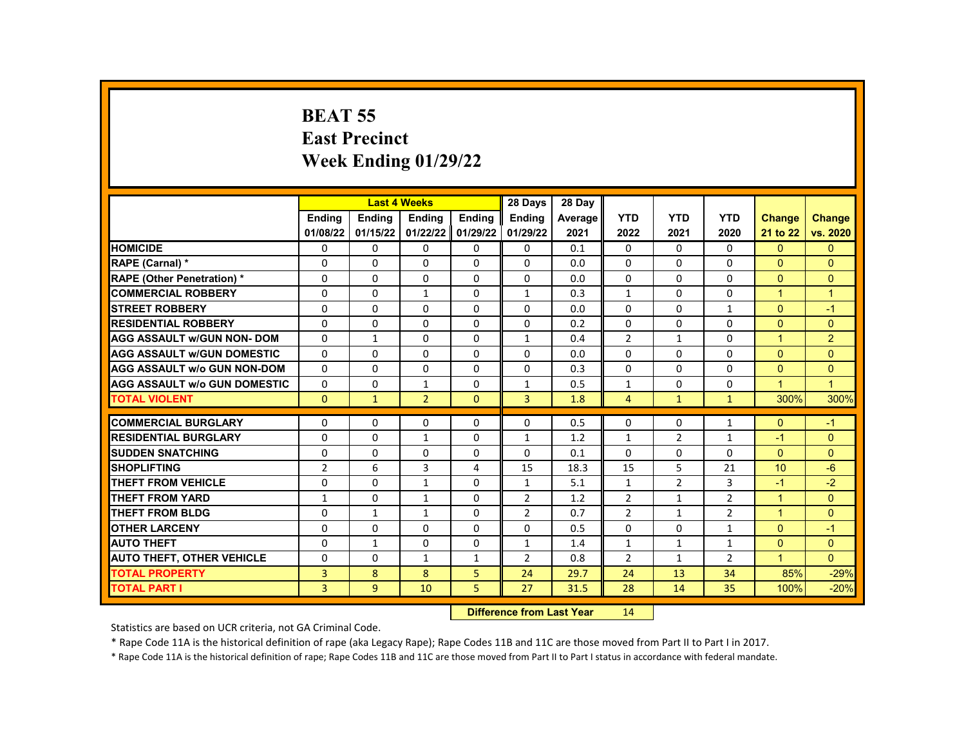# **BEAT 55 East Precinct Week Ending 01/29/22**

|                                     |                 | <b>Last 4 Weeks</b>                                                                                                                                                                                                            |                |                | 28 Days        | 28 Day  |                |                |                |                      |                      |
|-------------------------------------|-----------------|--------------------------------------------------------------------------------------------------------------------------------------------------------------------------------------------------------------------------------|----------------|----------------|----------------|---------|----------------|----------------|----------------|----------------------|----------------------|
|                                     | <b>Endina</b>   | <b>Endina</b>                                                                                                                                                                                                                  | <b>Endina</b>  | <b>Endina</b>  | <b>Ending</b>  | Average | <b>YTD</b>     | <b>YTD</b>     | <b>YTD</b>     | <b>Change</b>        | <b>Change</b>        |
|                                     | 01/08/22        | 01/15/22                                                                                                                                                                                                                       | 01/22/22       | 01/29/22       | 01/29/22       | 2021    | 2022           | 2021           | 2020           | 21 to 22             | vs. 2020             |
| <b>HOMICIDE</b>                     | 0               | $\Omega$                                                                                                                                                                                                                       | $\Omega$       | $\Omega$       | $\Omega$       | 0.1     | $\Omega$       | $\Omega$       | $\Omega$       | $\Omega$             | $\mathbf{0}$         |
| RAPE (Carnal) *                     | 0               | $\Omega$                                                                                                                                                                                                                       | $\Omega$       | $\Omega$       | $\Omega$       | 0.0     | $\Omega$       | $\Omega$       | $\Omega$       | $\Omega$             | $\Omega$             |
| <b>RAPE (Other Penetration) *</b>   | 0               | $\Omega$                                                                                                                                                                                                                       | $\Omega$       | 0              | $\Omega$       | 0.0     | $\Omega$       | $\Omega$       | $\Omega$       | $\Omega$             | $\mathbf{0}$         |
| <b>COMMERCIAL ROBBERY</b>           | 0               | 0                                                                                                                                                                                                                              | $\mathbf{1}$   | 0              | $\mathbf{1}$   | 0.3     | $\mathbf{1}$   | $\Omega$       | $\Omega$       | $\mathbf{1}$         | $\blacktriangleleft$ |
| <b>STREET ROBBERY</b>               | 0               | 0                                                                                                                                                                                                                              | $\Omega$       | $\Omega$       | 0              | 0.0     | 0              | $\Omega$       | $\mathbf{1}$   | $\Omega$             | $-1$                 |
| <b>RESIDENTIAL ROBBERY</b>          | 0               | $\Omega$                                                                                                                                                                                                                       | $\Omega$       | $\Omega$       | $\Omega$       | 0.2     | $\Omega$       | $\Omega$       | $\Omega$       | $\Omega$             | $\Omega$             |
| <b>AGG ASSAULT w/GUN NON- DOM</b>   | 0               | $\mathbf{1}$                                                                                                                                                                                                                   | $\Omega$       | 0              | $\mathbf{1}$   | 0.4     | $\overline{2}$ | $\mathbf{1}$   | $\Omega$       | $\blacktriangleleft$ | 2                    |
| <b>AGG ASSAULT W/GUN DOMESTIC</b>   | 0               | $\Omega$                                                                                                                                                                                                                       | $\Omega$       | $\Omega$       | $\Omega$       | 0.0     | $\Omega$       | $\Omega$       | $\Omega$       | $\Omega$             | $\mathbf{0}$         |
| <b>AGG ASSAULT W/o GUN NON-DOM</b>  | 0               | $\Omega$                                                                                                                                                                                                                       | $\Omega$       | 0              | $\Omega$       | 0.3     | $\Omega$       | $\Omega$       | $\Omega$       | $\Omega$             | $\mathbf{0}$         |
| <b>AGG ASSAULT W/o GUN DOMESTIC</b> | 0               | $\Omega$                                                                                                                                                                                                                       | $\mathbf{1}$   | 0              | $\mathbf{1}$   | 0.5     | $\mathbf{1}$   | $\Omega$       | $\Omega$       | $\mathbf{1}$         | $\blacktriangleleft$ |
| <b>TOTAL VIOLENT</b>                | $\Omega$        | $\mathbf{1}$                                                                                                                                                                                                                   | $\overline{2}$ | $\mathbf{0}$   | $\overline{3}$ | 1.8     | $\overline{4}$ | $\mathbf{1}$   | $\mathbf{1}$   | 300%                 | 300%                 |
|                                     |                 |                                                                                                                                                                                                                                |                |                |                |         |                |                |                |                      |                      |
| <b>COMMERCIAL BURGLARY</b>          | 0               | 0                                                                                                                                                                                                                              | 0              | 0              | 0              | 0.5     | 0              | $\Omega$       | 1              | $\mathbf{0}$         | $-1$                 |
| <b>RESIDENTIAL BURGLARY</b>         | 0               | $\Omega$                                                                                                                                                                                                                       | $\mathbf{1}$   | 0              | 1              | 1.2     | 1              | $\overline{2}$ | 1              | $-1$                 | $\Omega$             |
| <b>SUDDEN SNATCHING</b>             | $\Omega$        | $\Omega$                                                                                                                                                                                                                       | $\Omega$       | $\Omega$       | $\Omega$       | 0.1     | $\Omega$       | $\Omega$       | $\Omega$       | $\Omega$             | $\Omega$             |
| <b>SHOPLIFTING</b>                  | $\overline{2}$  | 6                                                                                                                                                                                                                              | 3              | 4              | 15             | 18.3    | 15             | 5              | 21             | 10 <sup>10</sup>     | $-6$                 |
| <b>THEFT FROM VEHICLE</b>           | 0               | $\Omega$                                                                                                                                                                                                                       | $\mathbf{1}$   | $\Omega$       | $\mathbf{1}$   | 5.1     | 1              | $\overline{2}$ | 3              | $-1$                 | $-2$                 |
| <b>THEFT FROM YARD</b>              | $\mathbf{1}$    | $\Omega$                                                                                                                                                                                                                       | $\mathbf{1}$   | $\Omega$       | $\overline{2}$ | 1.2     | $\overline{2}$ | $\mathbf{1}$   | $\overline{2}$ | $\blacktriangleleft$ | $\mathbf{0}$         |
| <b>THEFT FROM BLDG</b>              | 0               | $\mathbf{1}$                                                                                                                                                                                                                   | $\mathbf{1}$   | 0              | $\overline{2}$ | 0.7     | $\overline{2}$ | $\mathbf{1}$   | $\overline{2}$ | $\blacktriangleleft$ | $\overline{0}$       |
| <b>OTHER LARCENY</b>                | 0               | $\Omega$                                                                                                                                                                                                                       | $\Omega$       | $\Omega$       | $\Omega$       | 0.5     | $\Omega$       | $\Omega$       | 1              | $\Omega$             | $-1$                 |
| <b>AUTO THEFT</b>                   | $\Omega$        | $\mathbf{1}$                                                                                                                                                                                                                   | $\Omega$       | $\Omega$       | $\mathbf{1}$   | 1.4     | $\mathbf{1}$   | $\mathbf{1}$   | $\mathbf{1}$   | $\Omega$             | $\Omega$             |
| <b>AUTO THEFT, OTHER VEHICLE</b>    | 0               | $\Omega$                                                                                                                                                                                                                       | $\mathbf{1}$   | $\mathbf{1}$   | $\overline{2}$ | 0.8     | $\overline{2}$ | $\mathbf{1}$   | $\overline{2}$ | $\overline{1}$       | $\mathbf{0}$         |
| <b>TOTAL PROPERTY</b>               | 3               | 8                                                                                                                                                                                                                              | 8              | 5              | 24             | 29.7    | 24             | 13             | 34             | 85%                  | $-29%$               |
| <b>TOTAL PART I</b>                 | $\overline{3}$  | 9                                                                                                                                                                                                                              | 10             | 5              | 27             | 31.5    | 28             | 14             | 35             | 100%                 | $-20%$               |
|                                     | <b>CALLED A</b> | and the company of the second states of the second states of the second states of the second states of the second states of the second states of the second states of the second states of the second states of the second sta |                | $\overline{a}$ |                |         |                |                |                |                      |                      |

**Difference from Last Year** 14

Statistics are based on UCR criteria, not GA Criminal Code.

\* Rape Code 11A is the historical definition of rape (aka Legacy Rape); Rape Codes 11B and 11C are those moved from Part II to Part I in 2017.